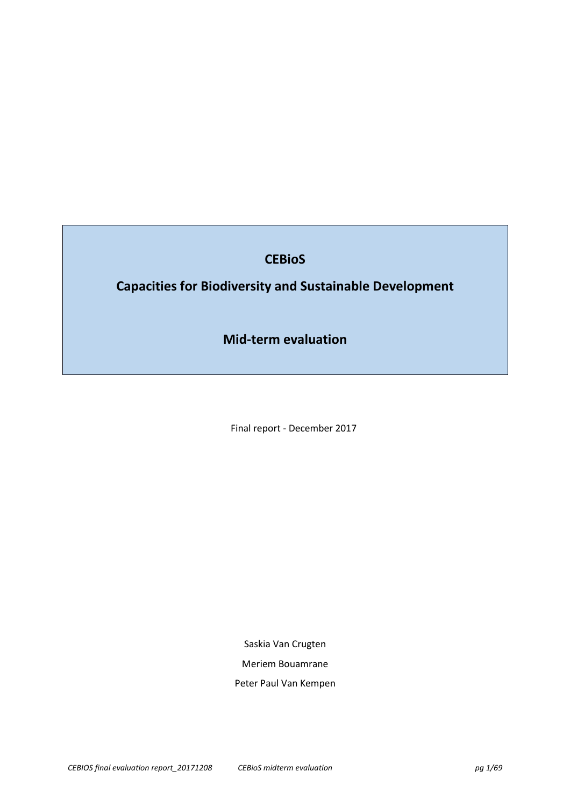# **CEBioS**

# **Capacities for Biodiversity and Sustainable Development**

**Mid-term evaluation** 

Final report - December 2017

Saskia Van Crugten Meriem Bouamrane Peter Paul Van Kempen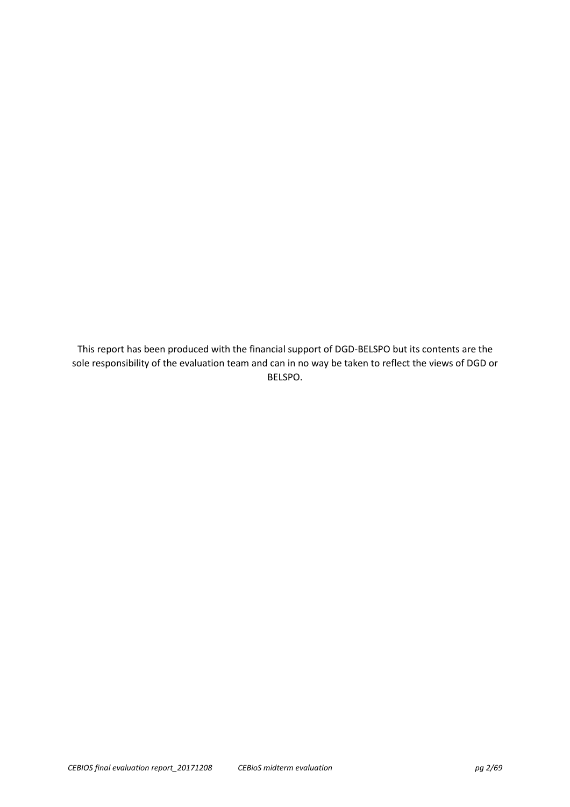This report has been produced with the financial support of DGD-BELSPO but its contents are the sole responsibility of the evaluation team and can in no way be taken to reflect the views of DGD or BELSPO.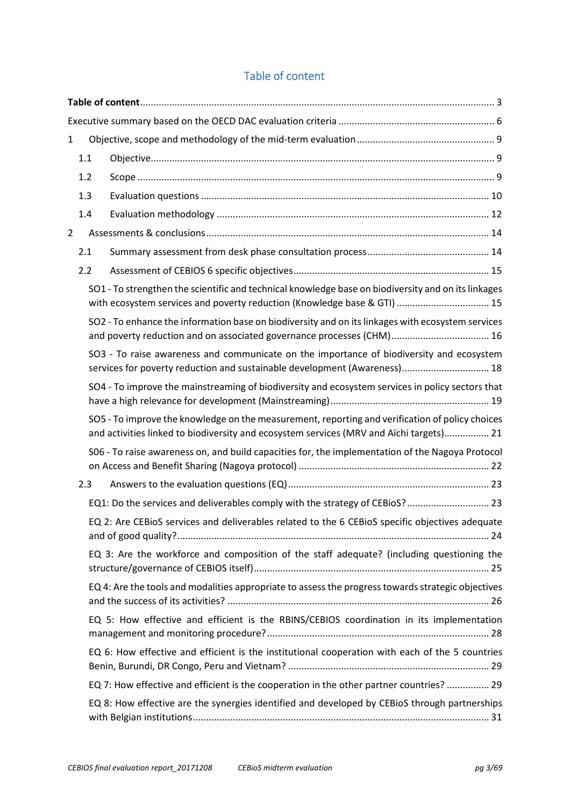# Table of content

| 1              |     |                                                                                                                                                                                            |  |  |
|----------------|-----|--------------------------------------------------------------------------------------------------------------------------------------------------------------------------------------------|--|--|
|                | 1.1 |                                                                                                                                                                                            |  |  |
|                | 1.2 |                                                                                                                                                                                            |  |  |
|                | 1.3 |                                                                                                                                                                                            |  |  |
|                | 1.4 |                                                                                                                                                                                            |  |  |
| $\overline{2}$ |     |                                                                                                                                                                                            |  |  |
|                | 2.1 |                                                                                                                                                                                            |  |  |
|                | 2.2 |                                                                                                                                                                                            |  |  |
|                |     | SO1 - To strengthen the scientific and technical knowledge base on biodiversity and on its linkages<br>with ecosystem services and poverty reduction (Knowledge base & GTI)  15            |  |  |
|                |     | SO2 - To enhance the information base on biodiversity and on its linkages with ecosystem services<br>and poverty reduction and on associated governance processes (CHM) 16                 |  |  |
|                |     | SO3 - To raise awareness and communicate on the importance of biodiversity and ecosystem<br>services for poverty reduction and sustainable development (Awareness) 18                      |  |  |
|                |     | SO4 - To improve the mainstreaming of biodiversity and ecosystem services in policy sectors that                                                                                           |  |  |
|                |     | SO5 - To improve the knowledge on the measurement, reporting and verification of policy choices<br>and activities linked to biodiversity and ecosystem services (MRV and Aïchi targets) 21 |  |  |
|                |     | S06 - To raise awareness on, and build capacities for, the implementation of the Nagoya Protocol                                                                                           |  |  |
|                | 2.3 |                                                                                                                                                                                            |  |  |
|                |     | EQ1: Do the services and deliverables comply with the strategy of CEBioS? 23                                                                                                               |  |  |
|                |     | EQ 2: Are CEBioS services and deliverables related to the 6 CEBioS specific objectives adequate                                                                                            |  |  |
|                |     | EQ 3: Are the workforce and composition of the staff adequate? (including questioning the                                                                                                  |  |  |
|                |     | EQ 4: Are the tools and modalities appropriate to assess the progress towards strategic objectives                                                                                         |  |  |
|                |     | EQ 5: How effective and efficient is the RBINS/CEBIOS coordination in its implementation                                                                                                   |  |  |
|                |     | EQ 6: How effective and efficient is the institutional cooperation with each of the 5 countries                                                                                            |  |  |
|                |     | EQ 7: How effective and efficient is the cooperation in the other partner countries?  29                                                                                                   |  |  |
|                |     | EQ 8: How effective are the synergies identified and developed by CEBioS through partnerships                                                                                              |  |  |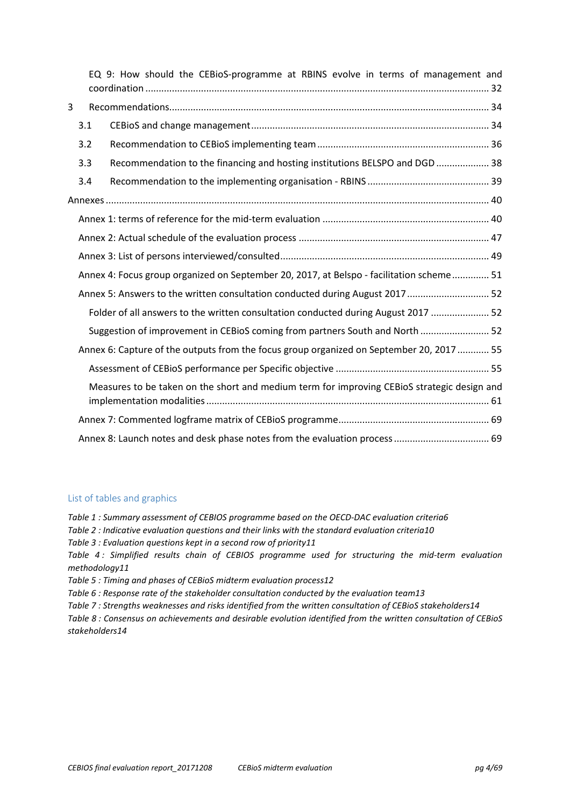|                                                                               |                                                                                          | EQ 9: How should the CEBioS-programme at RBINS evolve in terms of management and            |  |
|-------------------------------------------------------------------------------|------------------------------------------------------------------------------------------|---------------------------------------------------------------------------------------------|--|
| 3                                                                             |                                                                                          |                                                                                             |  |
|                                                                               | 3.1                                                                                      |                                                                                             |  |
|                                                                               | 3.2                                                                                      |                                                                                             |  |
|                                                                               | 3.3                                                                                      | Recommendation to the financing and hosting institutions BELSPO and DGD  38                 |  |
|                                                                               | 3.4                                                                                      |                                                                                             |  |
|                                                                               |                                                                                          |                                                                                             |  |
|                                                                               |                                                                                          |                                                                                             |  |
|                                                                               |                                                                                          |                                                                                             |  |
|                                                                               |                                                                                          |                                                                                             |  |
|                                                                               |                                                                                          | Annex 4: Focus group organized on September 20, 2017, at Belspo - facilitation scheme 51    |  |
| Annex 5: Answers to the written consultation conducted during August 2017  52 |                                                                                          |                                                                                             |  |
|                                                                               |                                                                                          | Folder of all answers to the written consultation conducted during August 2017  52          |  |
|                                                                               |                                                                                          | Suggestion of improvement in CEBioS coming from partners South and North  52                |  |
|                                                                               | Annex 6: Capture of the outputs from the focus group organized on September 20, 2017  55 |                                                                                             |  |
|                                                                               |                                                                                          |                                                                                             |  |
|                                                                               |                                                                                          | Measures to be taken on the short and medium term for improving CEBioS strategic design and |  |
|                                                                               |                                                                                          |                                                                                             |  |
|                                                                               |                                                                                          |                                                                                             |  |

## List of tables and graphics

*Table 1 : Summary assessment of CEBIOS programme based on the OECD-DAC evaluation criteria6 Table 2 : Indicative evaluation questions and their links with the standard evaluation criteria10 Table 3 : Evaluation questions kept in a second row of priority11 Table 4 : Simplified results chain of CEBIOS programme used for structuring the mid-term evaluation methodology11 Table 5 : Timing and phases of CEBioS midterm evaluation process12 Table 6 : Response rate of the stakeholder consultation conducted by the evaluation team13 Table 7 : Strengths weaknesses and risks identified from the written consultation of CEBioS stakeholders14 Table 8 : Consensus on achievements and desirable evolution identified from the written consultation of CEBioS stakeholders14*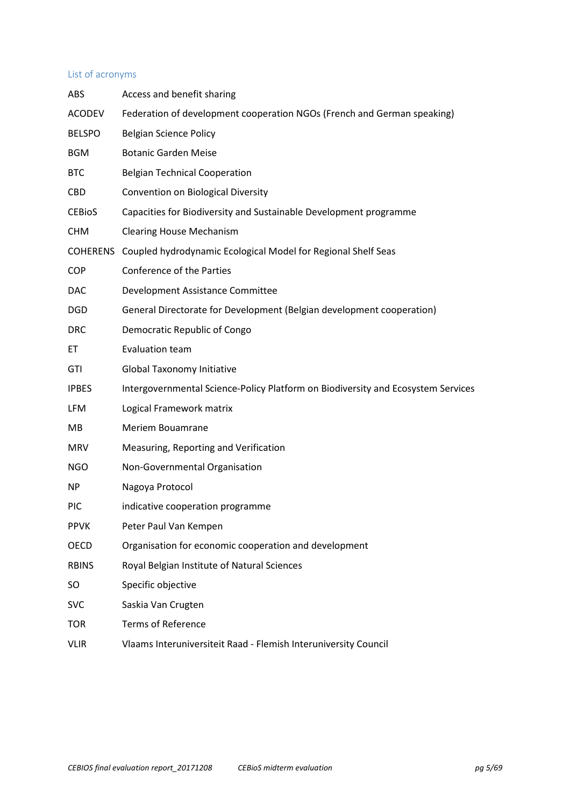## List of acronyms

| <b>ABS</b>    | Access and benefit sharing                                                       |
|---------------|----------------------------------------------------------------------------------|
| <b>ACODEV</b> | Federation of development cooperation NGOs (French and German speaking)          |
| <b>BELSPO</b> | <b>Belgian Science Policy</b>                                                    |
| <b>BGM</b>    | <b>Botanic Garden Meise</b>                                                      |
| <b>BTC</b>    | <b>Belgian Technical Cooperation</b>                                             |
| <b>CBD</b>    | Convention on Biological Diversity                                               |
| <b>CEBIOS</b> | Capacities for Biodiversity and Sustainable Development programme                |
| <b>CHM</b>    | <b>Clearing House Mechanism</b>                                                  |
|               | COHERENS Coupled hydrodynamic Ecological Model for Regional Shelf Seas           |
| <b>COP</b>    | Conference of the Parties                                                        |
| <b>DAC</b>    | Development Assistance Committee                                                 |
| <b>DGD</b>    | General Directorate for Development (Belgian development cooperation)            |
| <b>DRC</b>    | Democratic Republic of Congo                                                     |
| EТ            | <b>Evaluation team</b>                                                           |
| GTI           | Global Taxonomy Initiative                                                       |
| <b>IPBES</b>  | Intergovernmental Science-Policy Platform on Biodiversity and Ecosystem Services |
| <b>LFM</b>    | Logical Framework matrix                                                         |
| MВ            | Meriem Bouamrane                                                                 |
| <b>MRV</b>    | Measuring, Reporting and Verification                                            |
| <b>NGO</b>    | Non-Governmental Organisation                                                    |
| NP            | Nagoya Protocol                                                                  |
| <b>PIC</b>    | indicative cooperation programme                                                 |
| <b>PPVK</b>   | Peter Paul Van Kempen                                                            |
| OECD          | Organisation for economic cooperation and development                            |
| <b>RBINS</b>  | Royal Belgian Institute of Natural Sciences                                      |
| SO            | Specific objective                                                               |
| <b>SVC</b>    | Saskia Van Crugten                                                               |
| <b>TOR</b>    | <b>Terms of Reference</b>                                                        |
| <b>VLIR</b>   | Vlaams Interuniversiteit Raad - Flemish Interuniversity Council                  |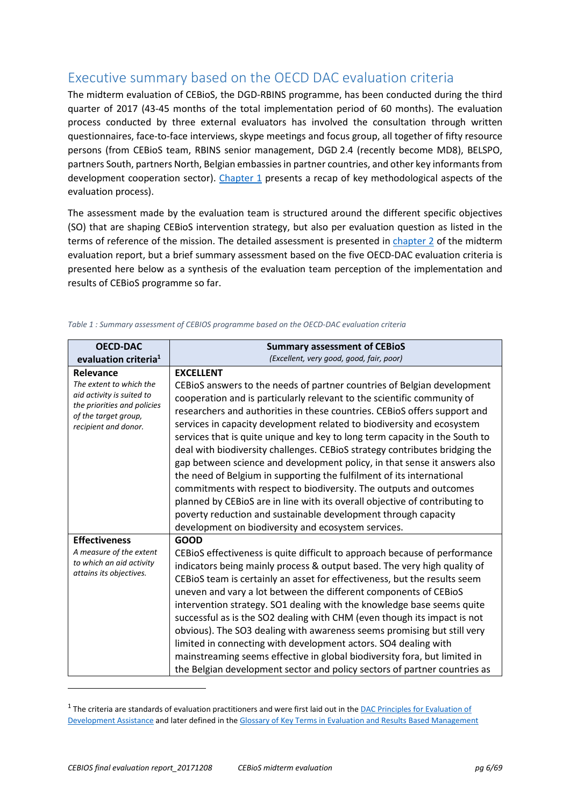# Executive summary based on the OECD DAC evaluation criteria

The midterm evaluation of CEBioS, the DGD-RBINS programme, has been conducted during the third quarter of 2017 (43-45 months of the total implementation period of 60 months). The evaluation process conducted by three external evaluators has involved the consultation through written questionnaires, face-to-face interviews, skype meetings and focus group, all together of fifty resource persons (from CEBioS team, RBINS senior management, DGD 2.4 (recently become MD8), BELSPO, partners South, partners North, Belgian embassies in partner countries, and other key informants from development cooperation sector). Chapter 1 presents a recap of key methodological aspects of the evaluation process).

The assessment made by the evaluation team is structured around the different specific objectives (SO) that are shaping CEBioS intervention strategy, but also per evaluation question as listed in the terms of reference of the mission. The detailed assessment is presented in chapter 2 of the midterm evaluation report, but a brief summary assessment based on the five OECD-DAC evaluation criteria is presented here below as a synthesis of the evaluation team perception of the implementation and results of CEBioS programme so far.

| <b>OECD-DAC</b>                                                                                                                                  | <b>Summary assessment of CEBioS</b>                                                                                                                                                                                                                                                                                                                                                                                                                                                                                                                                                                                                                                                                                                                                                                                                                                                                                             |  |
|--------------------------------------------------------------------------------------------------------------------------------------------------|---------------------------------------------------------------------------------------------------------------------------------------------------------------------------------------------------------------------------------------------------------------------------------------------------------------------------------------------------------------------------------------------------------------------------------------------------------------------------------------------------------------------------------------------------------------------------------------------------------------------------------------------------------------------------------------------------------------------------------------------------------------------------------------------------------------------------------------------------------------------------------------------------------------------------------|--|
| evaluation criteria <sup>1</sup>                                                                                                                 | (Excellent, very good, good, fair, poor)                                                                                                                                                                                                                                                                                                                                                                                                                                                                                                                                                                                                                                                                                                                                                                                                                                                                                        |  |
| Relevance<br>The extent to which the<br>aid activity is suited to<br>the priorities and policies<br>of the target group,<br>recipient and donor. | <b>EXCELLENT</b><br>CEBioS answers to the needs of partner countries of Belgian development<br>cooperation and is particularly relevant to the scientific community of<br>researchers and authorities in these countries. CEBioS offers support and<br>services in capacity development related to biodiversity and ecosystem<br>services that is quite unique and key to long term capacity in the South to<br>deal with biodiversity challenges. CEBioS strategy contributes bridging the<br>gap between science and development policy, in that sense it answers also<br>the need of Belgium in supporting the fulfilment of its international<br>commitments with respect to biodiversity. The outputs and outcomes<br>planned by CEBioS are in line with its overall objective of contributing to<br>poverty reduction and sustainable development through capacity<br>development on biodiversity and ecosystem services. |  |
| <b>Effectiveness</b><br>A measure of the extent<br>to which an aid activity<br>attains its objectives.                                           | <b>GOOD</b><br>CEBIOS effectiveness is quite difficult to approach because of performance<br>indicators being mainly process & output based. The very high quality of<br>CEBioS team is certainly an asset for effectiveness, but the results seem<br>uneven and vary a lot between the different components of CEBioS<br>intervention strategy. SO1 dealing with the knowledge base seems quite<br>successful as is the SO2 dealing with CHM (even though its impact is not<br>obvious). The SO3 dealing with awareness seems promising but still very<br>limited in connecting with development actors. SO4 dealing with<br>mainstreaming seems effective in global biodiversity fora, but limited in<br>the Belgian development sector and policy sectors of partner countries as                                                                                                                                            |  |

#### *Table 1 : Summary assessment of CEBIOS programme based on the OECD-DAC evaluation criteria*

l

 $^1$  The criteria are standards of evaluation practitioners and were first laid out in the **DAC** Principles for Evaluation of Development Assistance and later defined in the Glossary of Key Terms in Evaluation and Results Based Management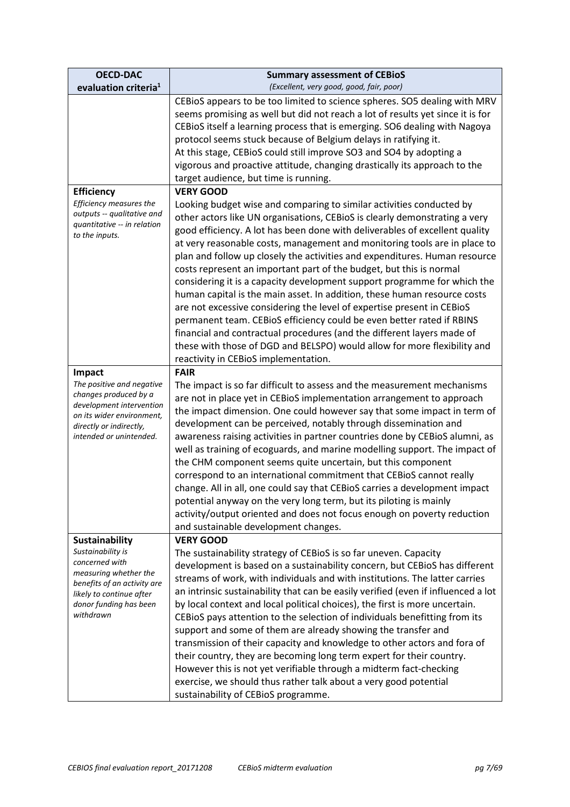| <b>OECD-DAC</b><br>evaluation criteria <sup>1</sup>   | <b>Summary assessment of CEBIOS</b><br>(Excellent, very good, good, fair, poor)                                                                    |
|-------------------------------------------------------|----------------------------------------------------------------------------------------------------------------------------------------------------|
|                                                       | CEBIOS appears to be too limited to science spheres. SO5 dealing with MRV                                                                          |
|                                                       | seems promising as well but did not reach a lot of results yet since it is for                                                                     |
|                                                       | CEBioS itself a learning process that is emerging. SO6 dealing with Nagoya                                                                         |
|                                                       | protocol seems stuck because of Belgium delays in ratifying it.                                                                                    |
|                                                       | At this stage, CEBioS could still improve SO3 and SO4 by adopting a                                                                                |
|                                                       | vigorous and proactive attitude, changing drastically its approach to the                                                                          |
|                                                       | target audience, but time is running.                                                                                                              |
| <b>Efficiency</b><br>Efficiency measures the          | <b>VERY GOOD</b>                                                                                                                                   |
| outputs -- qualitative and                            | Looking budget wise and comparing to similar activities conducted by<br>other actors like UN organisations, CEBioS is clearly demonstrating a very |
| quantitative -- in relation                           | good efficiency. A lot has been done with deliverables of excellent quality                                                                        |
| to the inputs.                                        | at very reasonable costs, management and monitoring tools are in place to                                                                          |
|                                                       | plan and follow up closely the activities and expenditures. Human resource                                                                         |
|                                                       | costs represent an important part of the budget, but this is normal                                                                                |
|                                                       | considering it is a capacity development support programme for which the                                                                           |
|                                                       | human capital is the main asset. In addition, these human resource costs                                                                           |
|                                                       | are not excessive considering the level of expertise present in CEBioS                                                                             |
|                                                       | permanent team. CEBioS efficiency could be even better rated if RBINS                                                                              |
|                                                       | financial and contractual procedures (and the different layers made of                                                                             |
|                                                       | these with those of DGD and BELSPO) would allow for more flexibility and<br>reactivity in CEBioS implementation.                                   |
| Impact                                                | <b>FAIR</b>                                                                                                                                        |
| The positive and negative                             | The impact is so far difficult to assess and the measurement mechanisms                                                                            |
| changes produced by a                                 | are not in place yet in CEBioS implementation arrangement to approach                                                                              |
| development intervention<br>on its wider environment, | the impact dimension. One could however say that some impact in term of                                                                            |
| directly or indirectly,                               | development can be perceived, notably through dissemination and                                                                                    |
| intended or unintended.                               | awareness raising activities in partner countries done by CEBioS alumni, as                                                                        |
|                                                       | well as training of ecoguards, and marine modelling support. The impact of                                                                         |
|                                                       | the CHM component seems quite uncertain, but this component                                                                                        |
|                                                       | correspond to an international commitment that CEBioS cannot really<br>change. All in all, one could say that CEBioS carries a development impact  |
|                                                       | potential anyway on the very long term, but its piloting is mainly                                                                                 |
|                                                       | activity/output oriented and does not focus enough on poverty reduction                                                                            |
|                                                       | and sustainable development changes.                                                                                                               |
| <b>Sustainability</b>                                 | <b>VERY GOOD</b>                                                                                                                                   |
| Sustainability is                                     | The sustainability strategy of CEBioS is so far uneven. Capacity                                                                                   |
| concerned with<br>measuring whether the               | development is based on a sustainability concern, but CEBioS has different                                                                         |
| benefits of an activity are                           | streams of work, with individuals and with institutions. The latter carries                                                                        |
| likely to continue after                              | an intrinsic sustainability that can be easily verified (even if influenced a lot                                                                  |
| donor funding has been<br>withdrawn                   | by local context and local political choices), the first is more uncertain.                                                                        |
|                                                       | CEBioS pays attention to the selection of individuals benefitting from its<br>support and some of them are already showing the transfer and        |
|                                                       | transmission of their capacity and knowledge to other actors and fora of                                                                           |
|                                                       | their country, they are becoming long term expert for their country.                                                                               |
|                                                       | However this is not yet verifiable through a midterm fact-checking                                                                                 |
|                                                       | exercise, we should thus rather talk about a very good potential                                                                                   |
|                                                       | sustainability of CEBioS programme.                                                                                                                |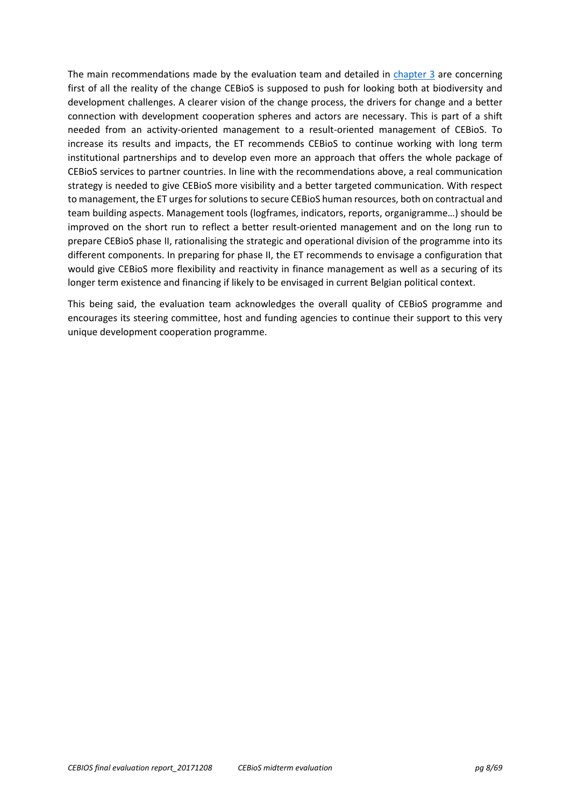The main recommendations made by the evaluation team and detailed in chapter 3 are concerning first of all the reality of the change CEBioS is supposed to push for looking both at biodiversity and development challenges. A clearer vision of the change process, the drivers for change and a better connection with development cooperation spheres and actors are necessary. This is part of a shift needed from an activity-oriented management to a result-oriented management of CEBioS. To increase its results and impacts, the ET recommends CEBioS to continue working with long term institutional partnerships and to develop even more an approach that offers the whole package of CEBioS services to partner countries. In line with the recommendations above, a real communication strategy is needed to give CEBioS more visibility and a better targeted communication. With respect to management, the ET urges for solutions to secure CEBioS human resources, both on contractual and team building aspects. Management tools (logframes, indicators, reports, organigramme…) should be improved on the short run to reflect a better result-oriented management and on the long run to prepare CEBioS phase II, rationalising the strategic and operational division of the programme into its different components. In preparing for phase II, the ET recommends to envisage a configuration that would give CEBioS more flexibility and reactivity in finance management as well as a securing of its longer term existence and financing if likely to be envisaged in current Belgian political context.

This being said, the evaluation team acknowledges the overall quality of CEBioS programme and encourages its steering committee, host and funding agencies to continue their support to this very unique development cooperation programme.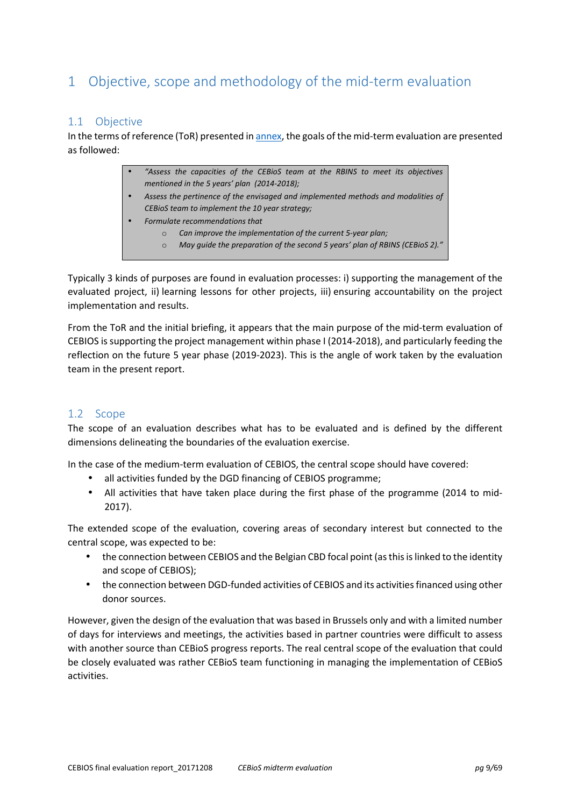# 1 Objective, scope and methodology of the mid-term evaluation

## 1.1 Objective

In the terms of reference (ToR) presented in **annex**, the goals of the mid-term evaluation are presented as followed:

- *"Assess the capacities of the CEBioS team at the RBINS to meet its objectives mentioned in the 5 years' plan (2014-2018);*
- *Assess the pertinence of the envisaged and implemented methods and modalities of CEBioS team to implement the 10 year strategy;*
- *Formulate recommendations that* 
	- o *Can improve the implementation of the current 5-year plan;* 
		- o *May guide the preparation of the second 5 years' plan of RBINS (CEBioS 2)."*

Typically 3 kinds of purposes are found in evaluation processes: i) supporting the management of the evaluated project, ii) learning lessons for other projects, iii) ensuring accountability on the project implementation and results.

From the ToR and the initial briefing, it appears that the main purpose of the mid-term evaluation of CEBIOS is supporting the project management within phase I (2014-2018), and particularly feeding the reflection on the future 5 year phase (2019-2023). This is the angle of work taken by the evaluation team in the present report.

## 1.2 Scope

The scope of an evaluation describes what has to be evaluated and is defined by the different dimensions delineating the boundaries of the evaluation exercise.

In the case of the medium-term evaluation of CEBIOS, the central scope should have covered:

- all activities funded by the DGD financing of CEBIOS programme;
- All activities that have taken place during the first phase of the programme (2014 to mid-2017).

The extended scope of the evaluation, covering areas of secondary interest but connected to the central scope, was expected to be:

- the connection between CEBIOS and the Belgian CBD focal point (as this is linked to the identity and scope of CEBIOS);
- the connection between DGD-funded activities of CEBIOS and its activities financed using other donor sources.

However, given the design of the evaluation that was based in Brussels only and with a limited number of days for interviews and meetings, the activities based in partner countries were difficult to assess with another source than CEBioS progress reports. The real central scope of the evaluation that could be closely evaluated was rather CEBioS team functioning in managing the implementation of CEBioS activities.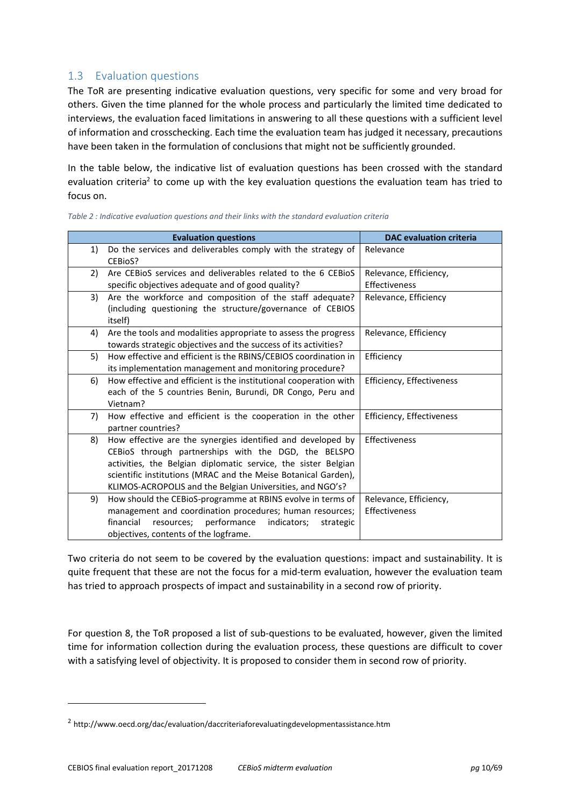## 1.3 Evaluation questions

The ToR are presenting indicative evaluation questions, very specific for some and very broad for others. Given the time planned for the whole process and particularly the limited time dedicated to interviews, the evaluation faced limitations in answering to all these questions with a sufficient level of information and crosschecking. Each time the evaluation team has judged it necessary, precautions have been taken in the formulation of conclusions that might not be sufficiently grounded.

In the table below, the indicative list of evaluation questions has been crossed with the standard evaluation criteria<sup>2</sup> to come up with the key evaluation questions the evaluation team has tried to focus on.

|    | <b>Evaluation questions</b>                                                                                                                                                                                                                                                                                          | <b>DAC</b> evaluation criteria          |
|----|----------------------------------------------------------------------------------------------------------------------------------------------------------------------------------------------------------------------------------------------------------------------------------------------------------------------|-----------------------------------------|
| 1) | Do the services and deliverables comply with the strategy of<br>CEBioS?                                                                                                                                                                                                                                              | Relevance                               |
| 2) | Are CEBIOS services and deliverables related to the 6 CEBIOS<br>specific objectives adequate and of good quality?                                                                                                                                                                                                    | Relevance, Efficiency,<br>Effectiveness |
| 3) | Are the workforce and composition of the staff adequate?<br>(including questioning the structure/governance of CEBIOS<br>itself)                                                                                                                                                                                     | Relevance, Efficiency                   |
| 4) | Are the tools and modalities appropriate to assess the progress<br>towards strategic objectives and the success of its activities?                                                                                                                                                                                   | Relevance, Efficiency                   |
| 5) | How effective and efficient is the RBINS/CEBIOS coordination in<br>its implementation management and monitoring procedure?                                                                                                                                                                                           | Efficiency                              |
| 6) | How effective and efficient is the institutional cooperation with<br>each of the 5 countries Benin, Burundi, DR Congo, Peru and<br>Vietnam?                                                                                                                                                                          | Efficiency, Effectiveness               |
| 7) | How effective and efficient is the cooperation in the other<br>partner countries?                                                                                                                                                                                                                                    | Efficiency, Effectiveness               |
| 8) | How effective are the synergies identified and developed by<br>CEBioS through partnerships with the DGD, the BELSPO<br>activities, the Belgian diplomatic service, the sister Belgian<br>scientific institutions (MRAC and the Meise Botanical Garden),<br>KLIMOS-ACROPOLIS and the Belgian Universities, and NGO's? | Effectiveness                           |
| 9) | How should the CEBioS-programme at RBINS evolve in terms of<br>management and coordination procedures; human resources;<br>financial<br>performance<br>resources;<br>indicators;<br>strategic<br>objectives, contents of the logframe.                                                                               | Relevance, Efficiency,<br>Effectiveness |

*Table 2 : Indicative evaluation questions and their links with the standard evaluation criteria* 

Two criteria do not seem to be covered by the evaluation questions: impact and sustainability. It is quite frequent that these are not the focus for a mid-term evaluation, however the evaluation team has tried to approach prospects of impact and sustainability in a second row of priority.

For question 8, the ToR proposed a list of sub-questions to be evaluated, however, given the limited time for information collection during the evaluation process, these questions are difficult to cover with a satisfying level of objectivity. It is proposed to consider them in second row of priority.

 $\overline{a}$ 

<sup>&</sup>lt;sup>2</sup> http://www.oecd.org/dac/evaluation/daccriteriaforevaluatingdevelopmentassistance.htm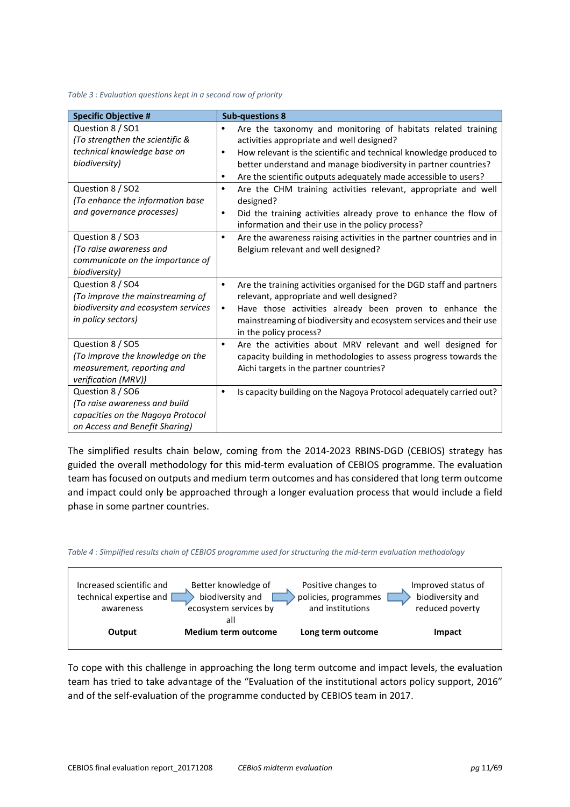#### *Table 3 : Evaluation questions kept in a second row of priority*

| <b>Specific Objective #</b>         | <b>Sub-questions 8</b>                                                            |
|-------------------------------------|-----------------------------------------------------------------------------------|
| Question 8 / SO1                    | Are the taxonomy and monitoring of habitats related training<br>$\bullet$         |
| (To strengthen the scientific &     | activities appropriate and well designed?                                         |
| technical knowledge base on         | How relevant is the scientific and technical knowledge produced to<br>$\bullet$   |
| biodiversity)                       | better understand and manage biodiversity in partner countries?                   |
|                                     | Are the scientific outputs adequately made accessible to users?<br>٠              |
| Question 8 / SO2                    | Are the CHM training activities relevant, appropriate and well<br>$\bullet$       |
| (To enhance the information base    | designed?                                                                         |
| and governance processes)           | Did the training activities already prove to enhance the flow of<br>$\bullet$     |
|                                     | information and their use in the policy process?                                  |
| Question 8 / SO3                    | Are the awareness raising activities in the partner countries and in<br>$\bullet$ |
| (To raise awareness and             | Belgium relevant and well designed?                                               |
| communicate on the importance of    |                                                                                   |
| biodiversity)                       |                                                                                   |
| Question 8 / SO4                    | Are the training activities organised for the DGD staff and partners<br>$\bullet$ |
| (To improve the mainstreaming of    | relevant, appropriate and well designed?                                          |
| biodiversity and ecosystem services | Have those activities already been proven to enhance the<br>$\bullet$             |
| in policy sectors)                  | mainstreaming of biodiversity and ecosystem services and their use                |
|                                     | in the policy process?                                                            |
| Question 8 / SO5                    | Are the activities about MRV relevant and well designed for<br>$\bullet$          |
| (To improve the knowledge on the    | capacity building in methodologies to assess progress towards the                 |
| measurement, reporting and          | Aichi targets in the partner countries?                                           |
| verification (MRV))                 |                                                                                   |
| Question 8 / SO6                    | Is capacity building on the Nagoya Protocol adequately carried out?<br>$\bullet$  |
| (To raise awareness and build       |                                                                                   |
| capacities on the Nagoya Protocol   |                                                                                   |
| on Access and Benefit Sharing)      |                                                                                   |

The simplified results chain below, coming from the 2014-2023 RBINS-DGD (CEBIOS) strategy has guided the overall methodology for this mid-term evaluation of CEBIOS programme. The evaluation team has focused on outputs and medium term outcomes and has considered that long term outcome and impact could only be approached through a longer evaluation process that would include a field phase in some partner countries.





To cope with this challenge in approaching the long term outcome and impact levels, the evaluation team has tried to take advantage of the "Evaluation of the institutional actors policy support, 2016" and of the self-evaluation of the programme conducted by CEBIOS team in 2017.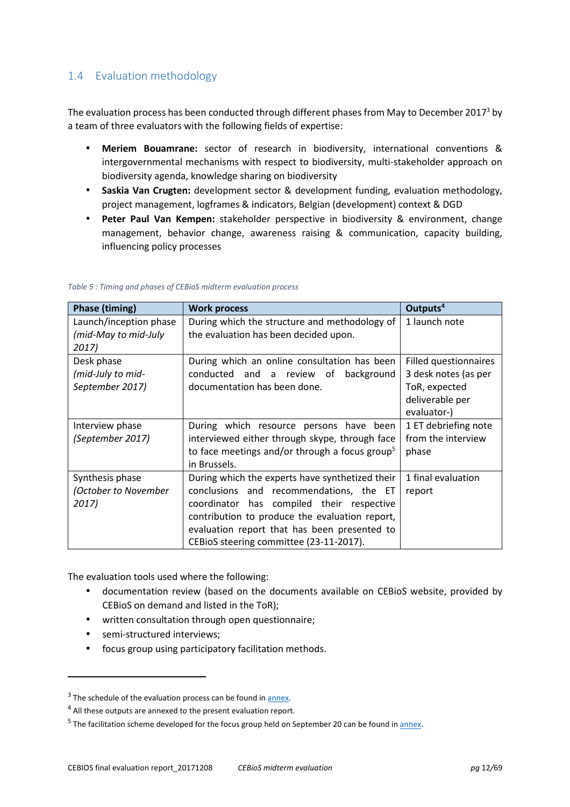# 1.4 Evaluation methodology

The evaluation process has been conducted through different phases from May to December 2017<sup>3</sup> by a team of three evaluators with the following fields of expertise:

- **Meriem Bouamrane:** sector of research in biodiversity, international conventions & intergovernmental mechanisms with respect to biodiversity, multi-stakeholder approach on biodiversity agenda, knowledge sharing on biodiversity
- **Saskia Van Crugten:** development sector & development funding, evaluation methodology, project management, logframes & indicators, Belgian (development) context & DGD
- **Peter Paul Van Kempen:** stakeholder perspective in biodiversity & environment, change management, behavior change, awareness raising & communication, capacity building, influencing policy processes

| <b>Phase (timing)</b>  | <b>Work process</b>                                        | Outputs <sup>4</sup>  |
|------------------------|------------------------------------------------------------|-----------------------|
| Launch/inception phase | During which the structure and methodology of              | 1 launch note         |
| (mid-May to mid-July   | the evaluation has been decided upon.                      |                       |
| 2017)                  |                                                            |                       |
| Desk phase             | During which an online consultation has been               | Filled questionnaires |
| (mid-July to mid-      | conducted and a review of<br>background                    | 3 desk notes (as per  |
| September 2017)        | documentation has been done.                               | ToR, expected         |
|                        |                                                            | deliverable per       |
|                        |                                                            | evaluator-)           |
| Interview phase        | During which resource persons have been                    | 1 ET debriefing note  |
| (September 2017)       | interviewed either through skype, through face             | from the interview    |
|                        | to face meetings and/or through a focus group <sup>5</sup> | phase                 |
|                        | in Brussels.                                               |                       |
| Synthesis phase        | During which the experts have synthetized their            | 1 final evaluation    |
| (October to November   | conclusions and recommendations, the ET                    | report                |
| 2017)                  | coordinator has compiled their respective                  |                       |
|                        | contribution to produce the evaluation report,             |                       |
|                        | evaluation report that has been presented to               |                       |
|                        | CEBioS steering committee (23-11-2017).                    |                       |

#### *Table 5 : Timing and phases of CEBioS midterm evaluation process*

The evaluation tools used where the following:

- documentation review (based on the documents available on CEBioS website, provided by CEBioS on demand and listed in the ToR);
- written consultation through open questionnaire;
- semi-structured interviews;

l

• focus group using participatory facilitation methods.

 $3$  The schedule of the evaluation process can be found in  $\frac{annex}{}$ .

 $<sup>4</sup>$  All these outputs are annexed to the present evaluation report.</sup>

<sup>&</sup>lt;sup>5</sup> The facilitation scheme developed for the focus group held on September 20 can be found in **annex**.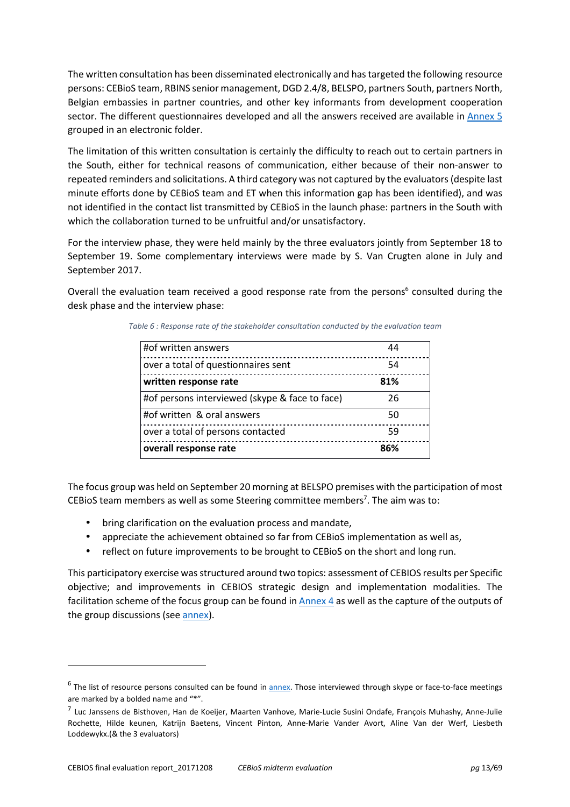The written consultation has been disseminated electronically and has targeted the following resource persons: CEBioS team, RBINS senior management, DGD 2.4/8, BELSPO, partners South, partners North, Belgian embassies in partner countries, and other key informants from development cooperation sector. The different questionnaires developed and all the answers received are available in Annex 5 grouped in an electronic folder.

The limitation of this written consultation is certainly the difficulty to reach out to certain partners in the South, either for technical reasons of communication, either because of their non-answer to repeated reminders and solicitations. A third category was not captured by the evaluators (despite last minute efforts done by CEBioS team and ET when this information gap has been identified), and was not identified in the contact list transmitted by CEBioS in the launch phase: partners in the South with which the collaboration turned to be unfruitful and/or unsatisfactory.

For the interview phase, they were held mainly by the three evaluators jointly from September 18 to September 19. Some complementary interviews were made by S. Van Crugten alone in July and September 2017.

Overall the evaluation team received a good response rate from the persons<sup>6</sup> consulted during the desk phase and the interview phase:

| #of written answers                            | 44  |  |
|------------------------------------------------|-----|--|
| over a total of questionnaires sent            | 54  |  |
| written response rate                          | 81% |  |
| #of persons interviewed (skype & face to face) | 26  |  |
| #of written & oral answers                     | 50  |  |
| over a total of persons contacted              | 59  |  |
| overall response rate                          | 86% |  |

*Table 6 : Response rate of the stakeholder consultation conducted by the evaluation team* 

The focus group was held on September 20 morning at BELSPO premises with the participation of most CEBioS team members as well as some Steering committee members<sup>7</sup>. The aim was to:

- bring clarification on the evaluation process and mandate,
- appreciate the achievement obtained so far from CEBioS implementation as well as,
- reflect on future improvements to be brought to CEBioS on the short and long run.

This participatory exercise was structured around two topics: assessment of CEBIOS results per Specific objective; and improvements in CEBIOS strategic design and implementation modalities. The facilitation scheme of the focus group can be found in Annex 4 as well as the capture of the outputs of the group discussions (see annex).

 $\overline{a}$ 

<sup>&</sup>lt;sup>6</sup> The list of resource persons consulted can be found in **annex**. Those interviewed through skype or face-to-face meetings are marked by a bolded name and "\*".

<sup>&</sup>lt;sup>7</sup> Luc Janssens de Bisthoven, Han de Koeijer, Maarten Vanhove, Marie-Lucie Susini Ondafe, François Muhashy, Anne-Julie Rochette, Hilde keunen, Katrijn Baetens, Vincent Pinton, Anne-Marie Vander Avort, Aline Van der Werf, Liesbeth Loddewykx.(& the 3 evaluators)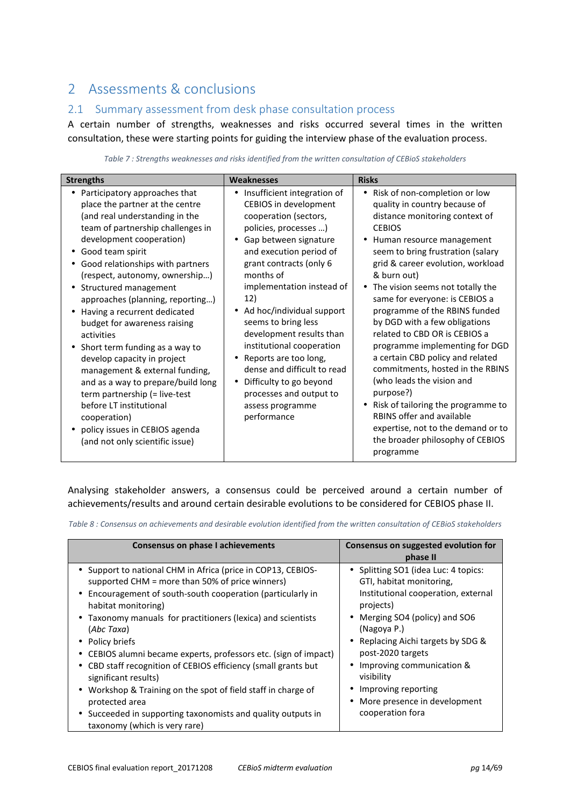# 2 Assessments & conclusions

## 2.1 Summary assessment from desk phase consultation process

A certain number of strengths, weaknesses and risks occurred several times in the written consultation, these were starting points for guiding the interview phase of the evaluation process.

| <b>Strengths</b>                                                                                                                                                                                                                                                                                                                                                                                                                                                                                                                                                                                                                                                                                                                          | <b>Weaknesses</b>                                                                                                                                                                                                                                                                                                                                                                                                                                                                                                                   | <b>Risks</b>                                                                                                                                                                                                                                                                                                                                                                                                                                                                                                                                                                                                                                                                                                                         |  |
|-------------------------------------------------------------------------------------------------------------------------------------------------------------------------------------------------------------------------------------------------------------------------------------------------------------------------------------------------------------------------------------------------------------------------------------------------------------------------------------------------------------------------------------------------------------------------------------------------------------------------------------------------------------------------------------------------------------------------------------------|-------------------------------------------------------------------------------------------------------------------------------------------------------------------------------------------------------------------------------------------------------------------------------------------------------------------------------------------------------------------------------------------------------------------------------------------------------------------------------------------------------------------------------------|--------------------------------------------------------------------------------------------------------------------------------------------------------------------------------------------------------------------------------------------------------------------------------------------------------------------------------------------------------------------------------------------------------------------------------------------------------------------------------------------------------------------------------------------------------------------------------------------------------------------------------------------------------------------------------------------------------------------------------------|--|
| Participatory approaches that<br>place the partner at the centre<br>(and real understanding in the<br>team of partnership challenges in<br>development cooperation)<br>Good team spirit<br>Good relationships with partners<br>(respect, autonomy, ownership)<br>Structured management<br>$\bullet$<br>approaches (planning, reporting)<br>Having a recurrent dedicated<br>$\bullet$<br>budget for awareness raising<br>activities<br>Short term funding as a way to<br>$\bullet$<br>develop capacity in project<br>management & external funding,<br>and as a way to prepare/build long<br>term partnership (= live-test<br>before LT institutional<br>cooperation)<br>policy issues in CEBIOS agenda<br>(and not only scientific issue) | Insufficient integration of<br>٠<br>CEBIOS in development<br>cooperation (sectors,<br>policies, processes )<br>Gap between signature<br>and execution period of<br>grant contracts (only 6<br>months of<br>implementation instead of<br>12)<br>Ad hoc/individual support<br>seems to bring less<br>development results than<br>institutional cooperation<br>Reports are too long,<br>$\bullet$<br>dense and difficult to read<br>Difficulty to go beyond<br>$\bullet$<br>processes and output to<br>assess programme<br>performance | • Risk of non-completion or low<br>quality in country because of<br>distance monitoring context of<br><b>CEBIOS</b><br>Human resource management<br>seem to bring frustration (salary<br>grid & career evolution, workload<br>& burn out)<br>• The vision seems not totally the<br>same for everyone: is CEBIOS a<br>programme of the RBINS funded<br>by DGD with a few obligations<br>related to CBD OR is CEBIOS a<br>programme implementing for DGD<br>a certain CBD policy and related<br>commitments, hosted in the RBINS<br>(who leads the vision and<br>purpose?)<br>• Risk of tailoring the programme to<br>RBINS offer and available<br>expertise, not to the demand or to<br>the broader philosophy of CEBIOS<br>programme |  |

*Table 7 : Strengths weaknesses and risks identified from the written consultation of CEBioS stakeholders* 

Analysing stakeholder answers, a consensus could be perceived around a certain number of achievements/results and around certain desirable evolutions to be considered for CEBIOS phase II.

*Table 8 : Consensus on achievements and desirable evolution identified from the written consultation of CEBioS stakeholders* 

| Consensus on phase I achievements                                                                                                                                                                                                                                                                                                                                                                                                                                                                                                                       | Consensus on suggested evolution for                                                                                                                                                                                                                                                                                                   |
|---------------------------------------------------------------------------------------------------------------------------------------------------------------------------------------------------------------------------------------------------------------------------------------------------------------------------------------------------------------------------------------------------------------------------------------------------------------------------------------------------------------------------------------------------------|----------------------------------------------------------------------------------------------------------------------------------------------------------------------------------------------------------------------------------------------------------------------------------------------------------------------------------------|
|                                                                                                                                                                                                                                                                                                                                                                                                                                                                                                                                                         | phase II                                                                                                                                                                                                                                                                                                                               |
| • Support to national CHM in Africa (price in COP13, CEBIOS-<br>supported CHM = more than 50% of price winners)<br>• Encouragement of south-south cooperation (particularly in<br>habitat monitoring)<br>• Taxonomy manuals for practitioners (lexica) and scientists<br>(Abc Taxa)<br>• Policy briefs<br>• CEBIOS alumni became experts, professors etc. (sign of impact)<br>• CBD staff recognition of CEBIOS efficiency (small grants but<br>significant results)<br>• Workshop & Training on the spot of field staff in charge of<br>protected area | • Splitting SO1 (idea Luc: 4 topics:<br>GTI, habitat monitoring,<br>Institutional cooperation, external<br>projects)<br>• Merging SO4 (policy) and SO6<br>(Nagoya P.)<br>• Replacing Aichi targets by SDG &<br>post-2020 targets<br>• Improving communication &<br>visibility<br>Improving reporting<br>• More presence in development |
| • Succeeded in supporting taxonomists and quality outputs in<br>taxonomy (which is very rare)                                                                                                                                                                                                                                                                                                                                                                                                                                                           | cooperation fora                                                                                                                                                                                                                                                                                                                       |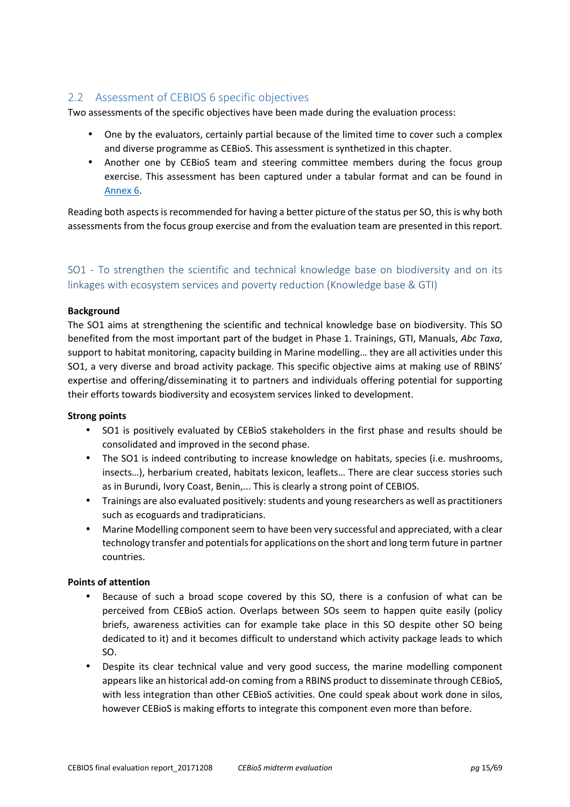## 2.2 Assessment of CEBIOS 6 specific objectives

Two assessments of the specific objectives have been made during the evaluation process:

- One by the evaluators, certainly partial because of the limited time to cover such a complex and diverse programme as CEBioS. This assessment is synthetized in this chapter.
- Another one by CEBioS team and steering committee members during the focus group exercise. This assessment has been captured under a tabular format and can be found in Annex 6.

Reading both aspects is recommended for having a better picture of the status per SO, this is why both assessments from the focus group exercise and from the evaluation team are presented in this report.

## SO1 - To strengthen the scientific and technical knowledge base on biodiversity and on its linkages with ecosystem services and poverty reduction (Knowledge base & GTI)

## **Background**

The SO1 aims at strengthening the scientific and technical knowledge base on biodiversity. This SO benefited from the most important part of the budget in Phase 1. Trainings, GTI, Manuals, *Abc Taxa*, support to habitat monitoring, capacity building in Marine modelling… they are all activities under this SO1, a very diverse and broad activity package. This specific objective aims at making use of RBINS' expertise and offering/disseminating it to partners and individuals offering potential for supporting their efforts towards biodiversity and ecosystem services linked to development.

## **Strong points**

- SO1 is positively evaluated by CEBioS stakeholders in the first phase and results should be consolidated and improved in the second phase.
- The SO1 is indeed contributing to increase knowledge on habitats, species (i.e. mushrooms, insects…), herbarium created, habitats lexicon, leaflets… There are clear success stories such as in Burundi, Ivory Coast, Benin,... This is clearly a strong point of CEBIOS.
- Trainings are also evaluated positively: students and young researchers as well as practitioners such as ecoguards and tradipraticians.
- Marine Modelling component seem to have been very successful and appreciated, with a clear technology transfer and potentials for applications on the short and long term future in partner countries.

## **Points of attention**

- Because of such a broad scope covered by this SO, there is a confusion of what can be perceived from CEBioS action. Overlaps between SOs seem to happen quite easily (policy briefs, awareness activities can for example take place in this SO despite other SO being dedicated to it) and it becomes difficult to understand which activity package leads to which SO.
- Despite its clear technical value and very good success, the marine modelling component appears like an historical add-on coming from a RBINS product to disseminate through CEBioS, with less integration than other CEBioS activities. One could speak about work done in silos, however CEBioS is making efforts to integrate this component even more than before.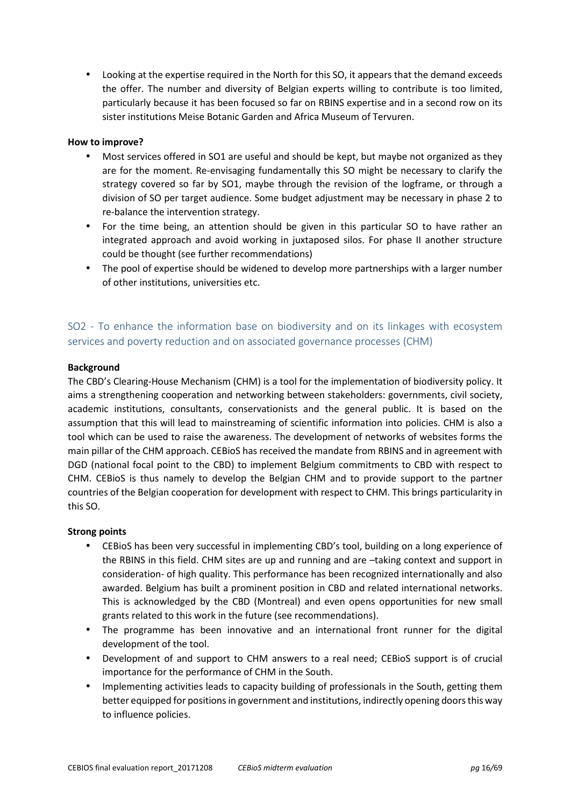• Looking at the expertise required in the North for this SO, it appears that the demand exceeds the offer. The number and diversity of Belgian experts willing to contribute is too limited, particularly because it has been focused so far on RBINS expertise and in a second row on its sister institutions Meise Botanic Garden and Africa Museum of Tervuren.

## **How to improve?**

- Most services offered in SO1 are useful and should be kept, but maybe not organized as they are for the moment. Re-envisaging fundamentally this SO might be necessary to clarify the strategy covered so far by SO1, maybe through the revision of the logframe, or through a division of SO per target audience. Some budget adjustment may be necessary in phase 2 to re-balance the intervention strategy.
- For the time being, an attention should be given in this particular SO to have rather an integrated approach and avoid working in juxtaposed silos. For phase II another structure could be thought (see further recommendations)
- The pool of expertise should be widened to develop more partnerships with a larger number of other institutions, universities etc.

## SO2 - To enhance the information base on biodiversity and on its linkages with ecosystem services and poverty reduction and on associated governance processes (CHM)

## **Background**

The CBD's Clearing-House Mechanism (CHM) is a tool for the implementation of biodiversity policy. It aims a strengthening cooperation and networking between stakeholders: governments, civil society, academic institutions, consultants, conservationists and the general public. It is based on the assumption that this will lead to mainstreaming of scientific information into policies. CHM is also a tool which can be used to raise the awareness. The development of networks of websites forms the main pillar of the CHM approach. CEBioS has received the mandate from RBINS and in agreement with DGD (national focal point to the CBD) to implement Belgium commitments to CBD with respect to CHM. CEBioS is thus namely to develop the Belgian CHM and to provide support to the partner countries of the Belgian cooperation for development with respect to CHM. This brings particularity in this SO.

## **Strong points**

- CEBioS has been very successful in implementing CBD's tool, building on a long experience of the RBINS in this field. CHM sites are up and running and are –taking context and support in consideration- of high quality. This performance has been recognized internationally and also awarded. Belgium has built a prominent position in CBD and related international networks. This is acknowledged by the CBD (Montreal) and even opens opportunities for new small grants related to this work in the future (see recommendations).
- The programme has been innovative and an international front runner for the digital development of the tool.
- Development of and support to CHM answers to a real need; CEBioS support is of crucial importance for the performance of CHM in the South.
- Implementing activities leads to capacity building of professionals in the South, getting them better equipped for positions in government and institutions, indirectly opening doors this way to influence policies.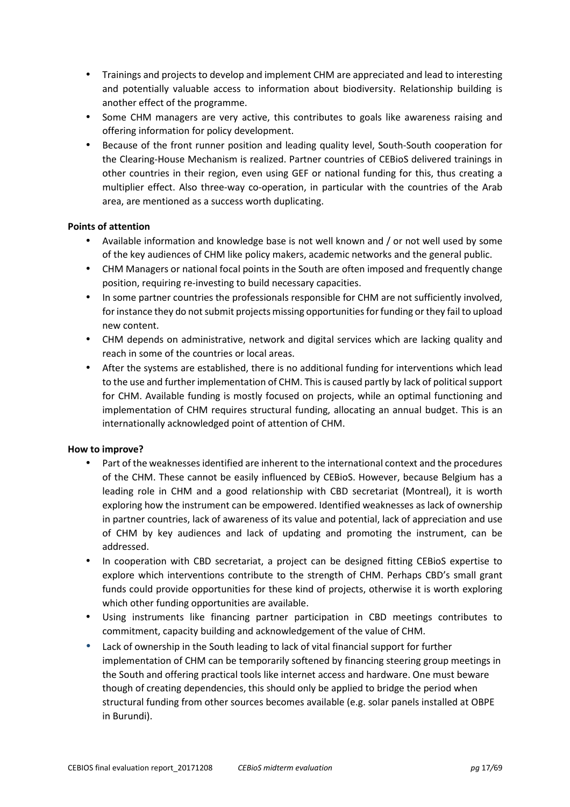- Trainings and projects to develop and implement CHM are appreciated and lead to interesting and potentially valuable access to information about biodiversity. Relationship building is another effect of the programme.
- Some CHM managers are very active, this contributes to goals like awareness raising and offering information for policy development.
- Because of the front runner position and leading quality level, South-South cooperation for the Clearing-House Mechanism is realized. Partner countries of CEBioS delivered trainings in other countries in their region, even using GEF or national funding for this, thus creating a multiplier effect. Also three-way co-operation, in particular with the countries of the Arab area, are mentioned as a success worth duplicating.

## **Points of attention**

- Available information and knowledge base is not well known and / or not well used by some of the key audiences of CHM like policy makers, academic networks and the general public.
- CHM Managers or national focal points in the South are often imposed and frequently change position, requiring re-investing to build necessary capacities.
- In some partner countries the professionals responsible for CHM are not sufficiently involved, for instance they do not submit projects missing opportunities for funding or they fail to upload new content.
- CHM depends on administrative, network and digital services which are lacking quality and reach in some of the countries or local areas.
- After the systems are established, there is no additional funding for interventions which lead to the use and further implementation of CHM. This is caused partly by lack of political support for CHM. Available funding is mostly focused on projects, while an optimal functioning and implementation of CHM requires structural funding, allocating an annual budget. This is an internationally acknowledged point of attention of CHM.

## **How to improve?**

- Part of the weaknesses identified are inherent to the international context and the procedures of the CHM. These cannot be easily influenced by CEBioS. However, because Belgium has a leading role in CHM and a good relationship with CBD secretariat (Montreal), it is worth exploring how the instrument can be empowered. Identified weaknesses as lack of ownership in partner countries, lack of awareness of its value and potential, lack of appreciation and use of CHM by key audiences and lack of updating and promoting the instrument, can be addressed.
- In cooperation with CBD secretariat, a project can be designed fitting CEBioS expertise to explore which interventions contribute to the strength of CHM. Perhaps CBD's small grant funds could provide opportunities for these kind of projects, otherwise it is worth exploring which other funding opportunities are available.
- Using instruments like financing partner participation in CBD meetings contributes to commitment, capacity building and acknowledgement of the value of CHM.
- Lack of ownership in the South leading to lack of vital financial support for further implementation of CHM can be temporarily softened by financing steering group meetings in the South and offering practical tools like internet access and hardware. One must beware though of creating dependencies, this should only be applied to bridge the period when structural funding from other sources becomes available (e.g. solar panels installed at OBPE in Burundi).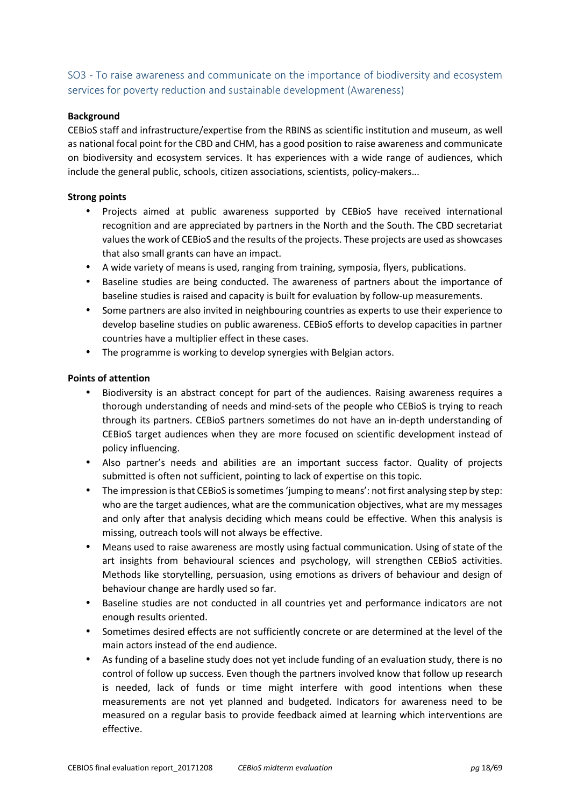## SO3 - To raise awareness and communicate on the importance of biodiversity and ecosystem services for poverty reduction and sustainable development (Awareness)

## **Background**

CEBioS staff and infrastructure/expertise from the RBINS as scientific institution and museum, as well as national focal point for the CBD and CHM, has a good position to raise awareness and communicate on biodiversity and ecosystem services. It has experiences with a wide range of audiences, which include the general public, schools, citizen associations, scientists, policy-makers...

## **Strong points**

- Projects aimed at public awareness supported by CEBioS have received international recognition and are appreciated by partners in the North and the South. The CBD secretariat values the work of CEBioS and the results of the projects. These projects are used as showcases that also small grants can have an impact.
- A wide variety of means is used, ranging from training, symposia, flyers, publications.
- Baseline studies are being conducted. The awareness of partners about the importance of baseline studies is raised and capacity is built for evaluation by follow-up measurements.
- Some partners are also invited in neighbouring countries as experts to use their experience to develop baseline studies on public awareness. CEBioS efforts to develop capacities in partner countries have a multiplier effect in these cases.
- The programme is working to develop synergies with Belgian actors.

## **Points of attention**

- Biodiversity is an abstract concept for part of the audiences. Raising awareness requires a thorough understanding of needs and mind-sets of the people who CEBioS is trying to reach through its partners. CEBioS partners sometimes do not have an in-depth understanding of CEBioS target audiences when they are more focused on scientific development instead of policy influencing.
- Also partner's needs and abilities are an important success factor. Quality of projects submitted is often not sufficient, pointing to lack of expertise on this topic.
- The impression is that CEBioS is sometimes 'jumping to means': not first analysing step by step: who are the target audiences, what are the communication objectives, what are my messages and only after that analysis deciding which means could be effective. When this analysis is missing, outreach tools will not always be effective.
- Means used to raise awareness are mostly using factual communication. Using of state of the art insights from behavioural sciences and psychology, will strengthen CEBioS activities. Methods like storytelling, persuasion, using emotions as drivers of behaviour and design of behaviour change are hardly used so far.
- Baseline studies are not conducted in all countries yet and performance indicators are not enough results oriented.
- Sometimes desired effects are not sufficiently concrete or are determined at the level of the main actors instead of the end audience.
- As funding of a baseline study does not yet include funding of an evaluation study, there is no control of follow up success. Even though the partners involved know that follow up research is needed, lack of funds or time might interfere with good intentions when these measurements are not yet planned and budgeted. Indicators for awareness need to be measured on a regular basis to provide feedback aimed at learning which interventions are effective.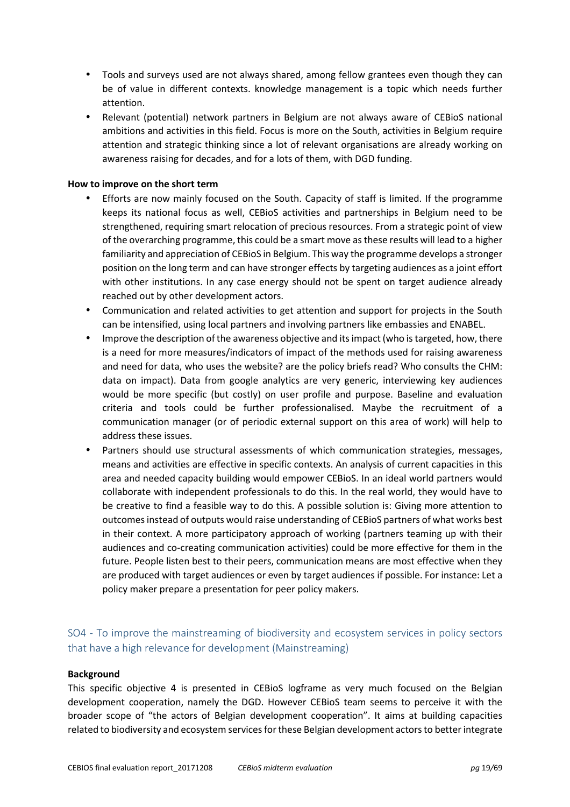- Tools and surveys used are not always shared, among fellow grantees even though they can be of value in different contexts. knowledge management is a topic which needs further attention.
- Relevant (potential) network partners in Belgium are not always aware of CEBioS national ambitions and activities in this field. Focus is more on the South, activities in Belgium require attention and strategic thinking since a lot of relevant organisations are already working on awareness raising for decades, and for a lots of them, with DGD funding.

## **How to improve on the short term**

- Efforts are now mainly focused on the South. Capacity of staff is limited. If the programme keeps its national focus as well, CEBioS activities and partnerships in Belgium need to be strengthened, requiring smart relocation of precious resources. From a strategic point of view of the overarching programme, this could be a smart move as these results will lead to a higher familiarity and appreciation of CEBioS in Belgium. This way the programme develops a stronger position on the long term and can have stronger effects by targeting audiences as a joint effort with other institutions. In any case energy should not be spent on target audience already reached out by other development actors.
- Communication and related activities to get attention and support for projects in the South can be intensified, using local partners and involving partners like embassies and ENABEL.
- Improve the description of the awareness objective and its impact (who is targeted, how, there is a need for more measures/indicators of impact of the methods used for raising awareness and need for data, who uses the website? are the policy briefs read? Who consults the CHM: data on impact). Data from google analytics are very generic, interviewing key audiences would be more specific (but costly) on user profile and purpose. Baseline and evaluation criteria and tools could be further professionalised. Maybe the recruitment of a communication manager (or of periodic external support on this area of work) will help to address these issues.
- Partners should use structural assessments of which communication strategies, messages, means and activities are effective in specific contexts. An analysis of current capacities in this area and needed capacity building would empower CEBioS. In an ideal world partners would collaborate with independent professionals to do this. In the real world, they would have to be creative to find a feasible way to do this. A possible solution is: Giving more attention to outcomes instead of outputs would raise understanding of CEBioS partners of what works best in their context. A more participatory approach of working (partners teaming up with their audiences and co-creating communication activities) could be more effective for them in the future. People listen best to their peers, communication means are most effective when they are produced with target audiences or even by target audiences if possible. For instance: Let a policy maker prepare a presentation for peer policy makers.

## SO4 - To improve the mainstreaming of biodiversity and ecosystem services in policy sectors that have a high relevance for development (Mainstreaming)

#### **Background**

This specific objective 4 is presented in CEBioS logframe as very much focused on the Belgian development cooperation, namely the DGD. However CEBioS team seems to perceive it with the broader scope of "the actors of Belgian development cooperation". It aims at building capacities related to biodiversity and ecosystem services for these Belgian development actors to better integrate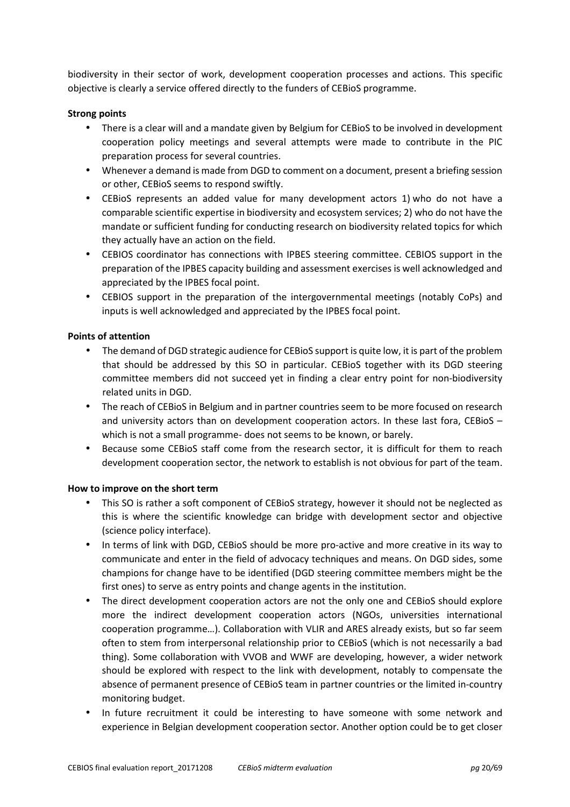biodiversity in their sector of work, development cooperation processes and actions. This specific objective is clearly a service offered directly to the funders of CEBioS programme.

## **Strong points**

- There is a clear will and a mandate given by Belgium for CEBioS to be involved in development cooperation policy meetings and several attempts were made to contribute in the PIC preparation process for several countries.
- Whenever a demand is made from DGD to comment on a document, present a briefing session or other, CEBioS seems to respond swiftly.
- CEBioS represents an added value for many development actors 1) who do not have a comparable scientific expertise in biodiversity and ecosystem services; 2) who do not have the mandate or sufficient funding for conducting research on biodiversity related topics for which they actually have an action on the field.
- CEBIOS coordinator has connections with IPBES steering committee. CEBIOS support in the preparation of the IPBES capacity building and assessment exercises is well acknowledged and appreciated by the IPBES focal point.
- CEBIOS support in the preparation of the intergovernmental meetings (notably CoPs) and inputs is well acknowledged and appreciated by the IPBES focal point.

## **Points of attention**

- The demand of DGD strategic audience for CEBioS support is quite low, it is part of the problem that should be addressed by this SO in particular. CEBioS together with its DGD steering committee members did not succeed yet in finding a clear entry point for non-biodiversity related units in DGD.
- The reach of CEBioS in Belgium and in partner countries seem to be more focused on research and university actors than on development cooperation actors. In these last fora, CEBioS – which is not a small programme- does not seems to be known, or barely.
- Because some CEBioS staff come from the research sector, it is difficult for them to reach development cooperation sector, the network to establish is not obvious for part of the team.

## **How to improve on the short term**

- This SO is rather a soft component of CEBioS strategy, however it should not be neglected as this is where the scientific knowledge can bridge with development sector and objective (science policy interface).
- In terms of link with DGD, CEBioS should be more pro-active and more creative in its way to communicate and enter in the field of advocacy techniques and means. On DGD sides, some champions for change have to be identified (DGD steering committee members might be the first ones) to serve as entry points and change agents in the institution.
- The direct development cooperation actors are not the only one and CEBioS should explore more the indirect development cooperation actors (NGOs, universities international cooperation programme…). Collaboration with VLIR and ARES already exists, but so far seem often to stem from interpersonal relationship prior to CEBioS (which is not necessarily a bad thing). Some collaboration with VVOB and WWF are developing, however, a wider network should be explored with respect to the link with development, notably to compensate the absence of permanent presence of CEBioS team in partner countries or the limited in-country monitoring budget.
- In future recruitment it could be interesting to have someone with some network and experience in Belgian development cooperation sector. Another option could be to get closer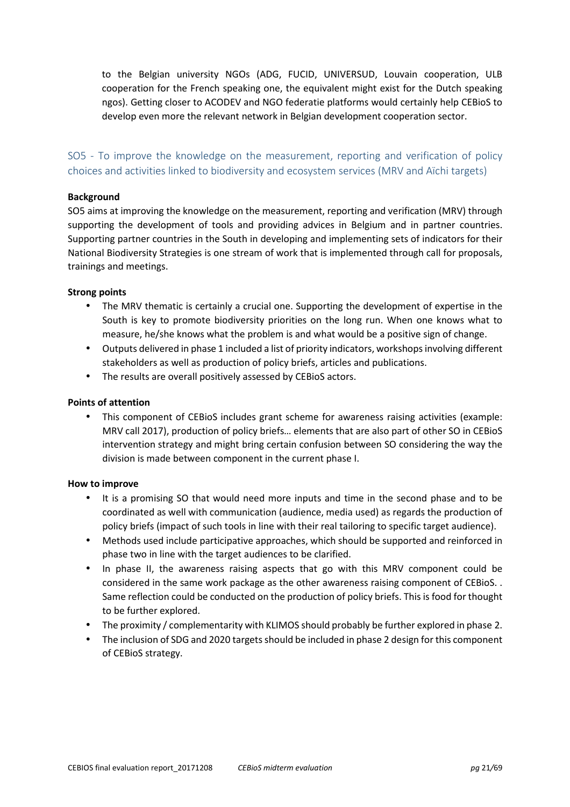to the Belgian university NGOs (ADG, FUCID, UNIVERSUD, Louvain cooperation, ULB cooperation for the French speaking one, the equivalent might exist for the Dutch speaking ngos). Getting closer to ACODEV and NGO federatie platforms would certainly help CEBioS to develop even more the relevant network in Belgian development cooperation sector.

SO5 - To improve the knowledge on the measurement, reporting and verification of policy choices and activities linked to biodiversity and ecosystem services (MRV and Aïchi targets)

## **Background**

SO5 aims at improving the knowledge on the measurement, reporting and verification (MRV) through supporting the development of tools and providing advices in Belgium and in partner countries. Supporting partner countries in the South in developing and implementing sets of indicators for their National Biodiversity Strategies is one stream of work that is implemented through call for proposals, trainings and meetings.

#### **Strong points**

- The MRV thematic is certainly a crucial one. Supporting the development of expertise in the South is key to promote biodiversity priorities on the long run. When one knows what to measure, he/she knows what the problem is and what would be a positive sign of change.
- Outputs delivered in phase 1 included a list of priority indicators, workshops involving different stakeholders as well as production of policy briefs, articles and publications.
- The results are overall positively assessed by CEBioS actors.

#### **Points of attention**

• This component of CEBioS includes grant scheme for awareness raising activities (example: MRV call 2017), production of policy briefs… elements that are also part of other SO in CEBioS intervention strategy and might bring certain confusion between SO considering the way the division is made between component in the current phase I.

#### **How to improve**

- It is a promising SO that would need more inputs and time in the second phase and to be coordinated as well with communication (audience, media used) as regards the production of policy briefs (impact of such tools in line with their real tailoring to specific target audience).
- Methods used include participative approaches, which should be supported and reinforced in phase two in line with the target audiences to be clarified.
- In phase II, the awareness raising aspects that go with this MRV component could be considered in the same work package as the other awareness raising component of CEBioS. . Same reflection could be conducted on the production of policy briefs. This is food for thought to be further explored.
- The proximity / complementarity with KLIMOS should probably be further explored in phase 2.
- The inclusion of SDG and 2020 targets should be included in phase 2 design for this component of CEBioS strategy.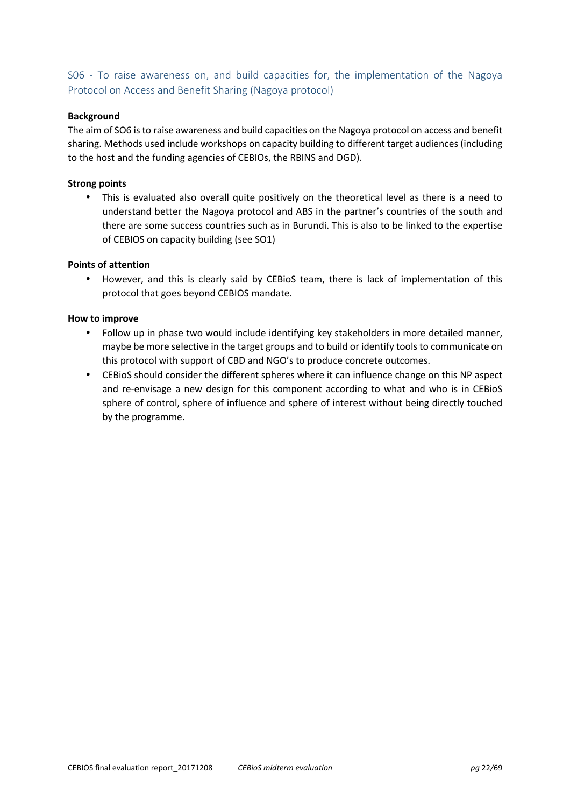## S06 - To raise awareness on, and build capacities for, the implementation of the Nagoya Protocol on Access and Benefit Sharing (Nagoya protocol)

## **Background**

The aim of SO6 is to raise awareness and build capacities on the Nagoya protocol on access and benefit sharing. Methods used include workshops on capacity building to different target audiences (including to the host and the funding agencies of CEBIOs, the RBINS and DGD).

## **Strong points**

• This is evaluated also overall quite positively on the theoretical level as there is a need to understand better the Nagoya protocol and ABS in the partner's countries of the south and there are some success countries such as in Burundi. This is also to be linked to the expertise of CEBIOS on capacity building (see SO1)

## **Points of attention**

• However, and this is clearly said by CEBioS team, there is lack of implementation of this protocol that goes beyond CEBIOS mandate.

## **How to improve**

- Follow up in phase two would include identifying key stakeholders in more detailed manner, maybe be more selective in the target groups and to build or identify tools to communicate on this protocol with support of CBD and NGO's to produce concrete outcomes.
- CEBioS should consider the different spheres where it can influence change on this NP aspect and re-envisage a new design for this component according to what and who is in CEBioS sphere of control, sphere of influence and sphere of interest without being directly touched by the programme.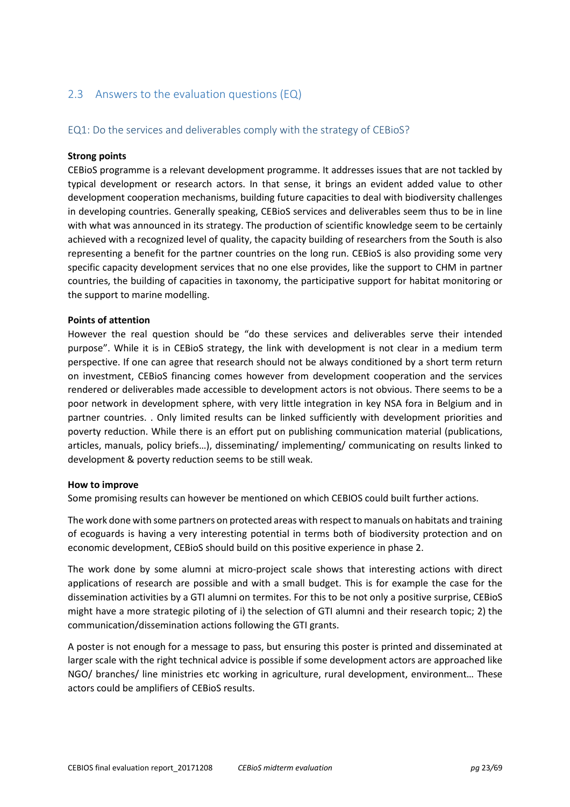# 2.3 Answers to the evaluation questions (EQ)

## EQ1: Do the services and deliverables comply with the strategy of CEBioS?

#### **Strong points**

CEBioS programme is a relevant development programme. It addresses issues that are not tackled by typical development or research actors. In that sense, it brings an evident added value to other development cooperation mechanisms, building future capacities to deal with biodiversity challenges in developing countries. Generally speaking, CEBioS services and deliverables seem thus to be in line with what was announced in its strategy. The production of scientific knowledge seem to be certainly achieved with a recognized level of quality, the capacity building of researchers from the South is also representing a benefit for the partner countries on the long run. CEBioS is also providing some very specific capacity development services that no one else provides, like the support to CHM in partner countries, the building of capacities in taxonomy, the participative support for habitat monitoring or the support to marine modelling.

#### **Points of attention**

However the real question should be "do these services and deliverables serve their intended purpose". While it is in CEBioS strategy, the link with development is not clear in a medium term perspective. If one can agree that research should not be always conditioned by a short term return on investment, CEBioS financing comes however from development cooperation and the services rendered or deliverables made accessible to development actors is not obvious. There seems to be a poor network in development sphere, with very little integration in key NSA fora in Belgium and in partner countries. . Only limited results can be linked sufficiently with development priorities and poverty reduction. While there is an effort put on publishing communication material (publications, articles, manuals, policy briefs…), disseminating/ implementing/ communicating on results linked to development & poverty reduction seems to be still weak.

#### **How to improve**

Some promising results can however be mentioned on which CEBIOS could built further actions.

The work done with some partners on protected areas with respect to manuals on habitats and training of ecoguards is having a very interesting potential in terms both of biodiversity protection and on economic development, CEBioS should build on this positive experience in phase 2.

The work done by some alumni at micro-project scale shows that interesting actions with direct applications of research are possible and with a small budget. This is for example the case for the dissemination activities by a GTI alumni on termites. For this to be not only a positive surprise, CEBioS might have a more strategic piloting of i) the selection of GTI alumni and their research topic; 2) the communication/dissemination actions following the GTI grants.

A poster is not enough for a message to pass, but ensuring this poster is printed and disseminated at larger scale with the right technical advice is possible if some development actors are approached like NGO/ branches/ line ministries etc working in agriculture, rural development, environment… These actors could be amplifiers of CEBioS results.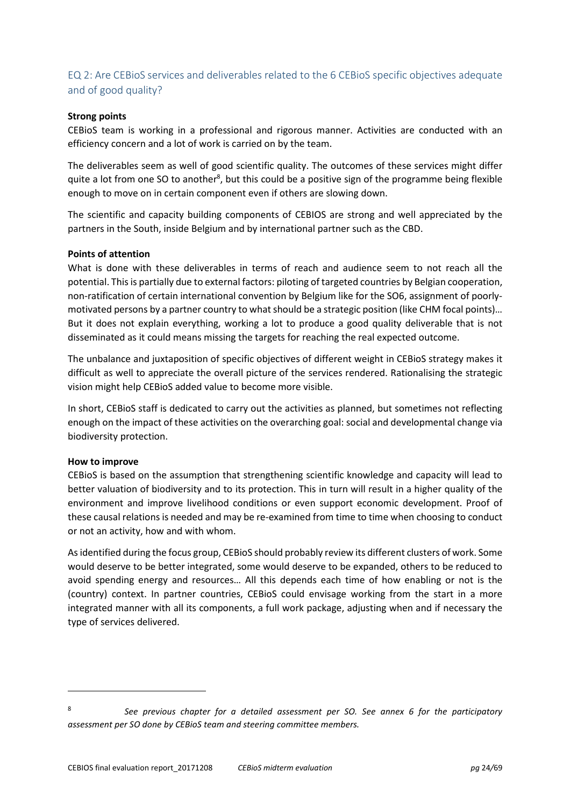## EQ 2: Are CEBioS services and deliverables related to the 6 CEBioS specific objectives adequate and of good quality?

## **Strong points**

CEBioS team is working in a professional and rigorous manner. Activities are conducted with an efficiency concern and a lot of work is carried on by the team.

The deliverables seem as well of good scientific quality. The outcomes of these services might differ quite a lot from one SO to another<sup>8</sup>, but this could be a positive sign of the programme being flexible enough to move on in certain component even if others are slowing down.

The scientific and capacity building components of CEBIOS are strong and well appreciated by the partners in the South, inside Belgium and by international partner such as the CBD.

#### **Points of attention**

What is done with these deliverables in terms of reach and audience seem to not reach all the potential. This is partially due to external factors: piloting of targeted countries by Belgian cooperation, non-ratification of certain international convention by Belgium like for the SO6, assignment of poorlymotivated persons by a partner country to what should be a strategic position (like CHM focal points)… But it does not explain everything, working a lot to produce a good quality deliverable that is not disseminated as it could means missing the targets for reaching the real expected outcome.

The unbalance and juxtaposition of specific objectives of different weight in CEBioS strategy makes it difficult as well to appreciate the overall picture of the services rendered. Rationalising the strategic vision might help CEBioS added value to become more visible.

In short, CEBioS staff is dedicated to carry out the activities as planned, but sometimes not reflecting enough on the impact of these activities on the overarching goal: social and developmental change via biodiversity protection.

## **How to improve**

 $\overline{a}$ 

CEBioS is based on the assumption that strengthening scientific knowledge and capacity will lead to better valuation of biodiversity and to its protection. This in turn will result in a higher quality of the environment and improve livelihood conditions or even support economic development. Proof of these causal relations is needed and may be re-examined from time to time when choosing to conduct or not an activity, how and with whom.

As identified during the focus group, CEBioS should probably review its different clusters of work. Some would deserve to be better integrated, some would deserve to be expanded, others to be reduced to avoid spending energy and resources… All this depends each time of how enabling or not is the (country) context. In partner countries, CEBioS could envisage working from the start in a more integrated manner with all its components, a full work package, adjusting when and if necessary the type of services delivered.

<sup>8</sup>*See previous chapter for a detailed assessment per SO. See annex 6 for the participatory assessment per SO done by CEBioS team and steering committee members.*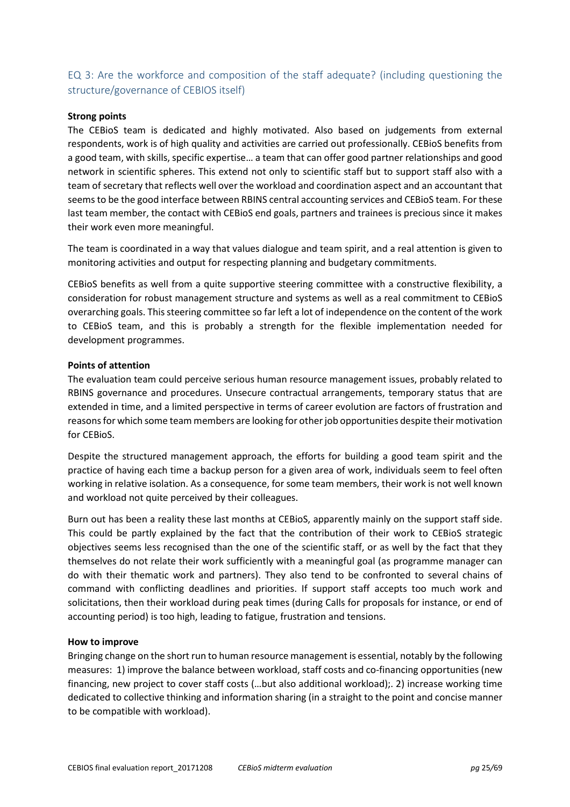# EQ 3: Are the workforce and composition of the staff adequate? (including questioning the structure/governance of CEBIOS itself)

## **Strong points**

The CEBioS team is dedicated and highly motivated. Also based on judgements from external respondents, work is of high quality and activities are carried out professionally. CEBioS benefits from a good team, with skills, specific expertise… a team that can offer good partner relationships and good network in scientific spheres. This extend not only to scientific staff but to support staff also with a team of secretary that reflects well over the workload and coordination aspect and an accountant that seems to be the good interface between RBINS central accounting services and CEBioS team. For these last team member, the contact with CEBioS end goals, partners and trainees is precious since it makes their work even more meaningful.

The team is coordinated in a way that values dialogue and team spirit, and a real attention is given to monitoring activities and output for respecting planning and budgetary commitments.

CEBioS benefits as well from a quite supportive steering committee with a constructive flexibility, a consideration for robust management structure and systems as well as a real commitment to CEBioS overarching goals. This steering committee so far left a lot of independence on the content of the work to CEBioS team, and this is probably a strength for the flexible implementation needed for development programmes.

## **Points of attention**

The evaluation team could perceive serious human resource management issues, probably related to RBINS governance and procedures. Unsecure contractual arrangements, temporary status that are extended in time, and a limited perspective in terms of career evolution are factors of frustration and reasons for which some team members are looking for other job opportunities despite their motivation for CEBioS.

Despite the structured management approach, the efforts for building a good team spirit and the practice of having each time a backup person for a given area of work, individuals seem to feel often working in relative isolation. As a consequence, for some team members, their work is not well known and workload not quite perceived by their colleagues.

Burn out has been a reality these last months at CEBioS, apparently mainly on the support staff side. This could be partly explained by the fact that the contribution of their work to CEBioS strategic objectives seems less recognised than the one of the scientific staff, or as well by the fact that they themselves do not relate their work sufficiently with a meaningful goal (as programme manager can do with their thematic work and partners). They also tend to be confronted to several chains of command with conflicting deadlines and priorities. If support staff accepts too much work and solicitations, then their workload during peak times (during Calls for proposals for instance, or end of accounting period) is too high, leading to fatigue, frustration and tensions.

## **How to improve**

Bringing change on the short run to human resource management is essential, notably by the following measures: 1) improve the balance between workload, staff costs and co-financing opportunities (new financing, new project to cover staff costs (…but also additional workload);. 2) increase working time dedicated to collective thinking and information sharing (in a straight to the point and concise manner to be compatible with workload).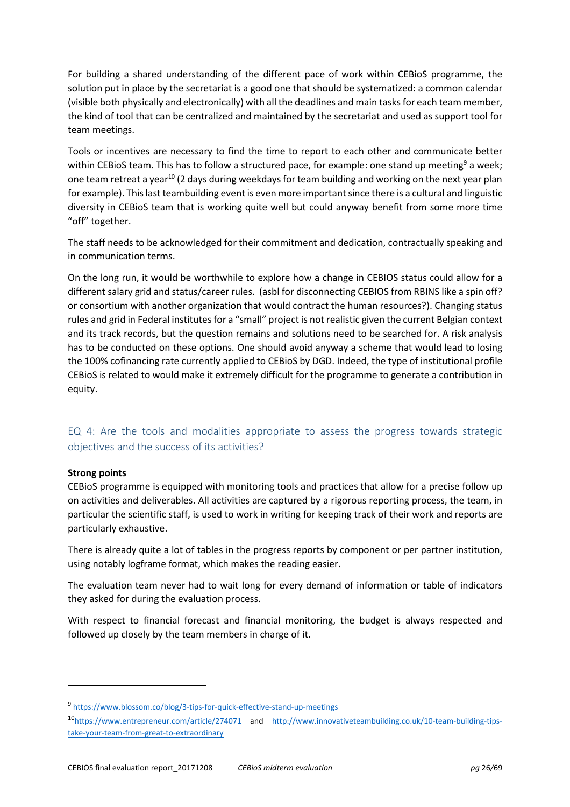For building a shared understanding of the different pace of work within CEBioS programme, the solution put in place by the secretariat is a good one that should be systematized: a common calendar (visible both physically and electronically) with all the deadlines and main tasks for each team member, the kind of tool that can be centralized and maintained by the secretariat and used as support tool for team meetings.

Tools or incentives are necessary to find the time to report to each other and communicate better within CEBioS team. This has to follow a structured pace, for example: one stand up meeting<sup>9</sup> a week; one team retreat a year<sup>10</sup> (2 days during weekdays for team building and working on the next year plan for example). This last teambuilding event is even more important since there is a cultural and linguistic diversity in CEBioS team that is working quite well but could anyway benefit from some more time "off" together.

The staff needs to be acknowledged for their commitment and dedication, contractually speaking and in communication terms.

On the long run, it would be worthwhile to explore how a change in CEBIOS status could allow for a different salary grid and status/career rules. (asbl for disconnecting CEBIOS from RBINS like a spin off? or consortium with another organization that would contract the human resources?). Changing status rules and grid in Federal institutes for a "small" project is not realistic given the current Belgian context and its track records, but the question remains and solutions need to be searched for. A risk analysis has to be conducted on these options. One should avoid anyway a scheme that would lead to losing the 100% cofinancing rate currently applied to CEBioS by DGD. Indeed, the type of institutional profile CEBioS is related to would make it extremely difficult for the programme to generate a contribution in equity.

## EQ 4: Are the tools and modalities appropriate to assess the progress towards strategic objectives and the success of its activities?

## **Strong points**

 $\overline{a}$ 

CEBioS programme is equipped with monitoring tools and practices that allow for a precise follow up on activities and deliverables. All activities are captured by a rigorous reporting process, the team, in particular the scientific staff, is used to work in writing for keeping track of their work and reports are particularly exhaustive.

There is already quite a lot of tables in the progress reports by component or per partner institution, using notably logframe format, which makes the reading easier.

The evaluation team never had to wait long for every demand of information or table of indicators they asked for during the evaluation process.

With respect to financial forecast and financial monitoring, the budget is always respected and followed up closely by the team members in charge of it.

<sup>9</sup> https://www.blossom.co/blog/3-tips-for-quick-effective-stand-up-meetings

<sup>10</sup>https://www.entrepreneur.com/article/274071 and http://www.innovativeteambuilding.co.uk/10-team-building-tipstake-your-team-from-great-to-extraordinary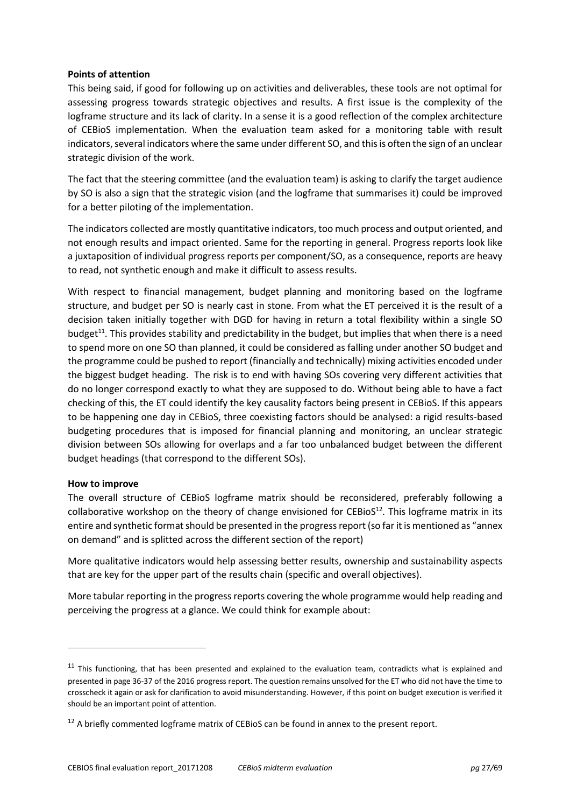## **Points of attention**

This being said, if good for following up on activities and deliverables, these tools are not optimal for assessing progress towards strategic objectives and results. A first issue is the complexity of the logframe structure and its lack of clarity. In a sense it is a good reflection of the complex architecture of CEBioS implementation. When the evaluation team asked for a monitoring table with result indicators, several indicators where the same under different SO, and this is often the sign of an unclear strategic division of the work.

The fact that the steering committee (and the evaluation team) is asking to clarify the target audience by SO is also a sign that the strategic vision (and the logframe that summarises it) could be improved for a better piloting of the implementation.

The indicators collected are mostly quantitative indicators, too much process and output oriented, and not enough results and impact oriented. Same for the reporting in general. Progress reports look like a juxtaposition of individual progress reports per component/SO, as a consequence, reports are heavy to read, not synthetic enough and make it difficult to assess results.

With respect to financial management, budget planning and monitoring based on the logframe structure, and budget per SO is nearly cast in stone. From what the ET perceived it is the result of a decision taken initially together with DGD for having in return a total flexibility within a single SO budget<sup>11</sup>. This provides stability and predictability in the budget, but implies that when there is a need to spend more on one SO than planned, it could be considered as falling under another SO budget and the programme could be pushed to report (financially and technically) mixing activities encoded under the biggest budget heading. The risk is to end with having SOs covering very different activities that do no longer correspond exactly to what they are supposed to do. Without being able to have a fact checking of this, the ET could identify the key causality factors being present in CEBioS. If this appears to be happening one day in CEBioS, three coexisting factors should be analysed: a rigid results-based budgeting procedures that is imposed for financial planning and monitoring, an unclear strategic division between SOs allowing for overlaps and a far too unbalanced budget between the different budget headings (that correspond to the different SOs).

## **How to improve**

 $\overline{a}$ 

The overall structure of CEBioS logframe matrix should be reconsidered, preferably following a collaborative workshop on the theory of change envisioned for  $CEBioS<sup>12</sup>$ . This logframe matrix in its entire and synthetic format should be presented in the progress report (so far it is mentioned as "annex on demand" and is splitted across the different section of the report)

More qualitative indicators would help assessing better results, ownership and sustainability aspects that are key for the upper part of the results chain (specific and overall objectives).

More tabular reporting in the progress reports covering the whole programme would help reading and perceiving the progress at a glance. We could think for example about:

 $11$  This functioning, that has been presented and explained to the evaluation team, contradicts what is explained and presented in page 36-37 of the 2016 progress report. The question remains unsolved for the ET who did not have the time to crosscheck it again or ask for clarification to avoid misunderstanding. However, if this point on budget execution is verified it should be an important point of attention.

 $12$  A briefly commented logframe matrix of CEBioS can be found in annex to the present report.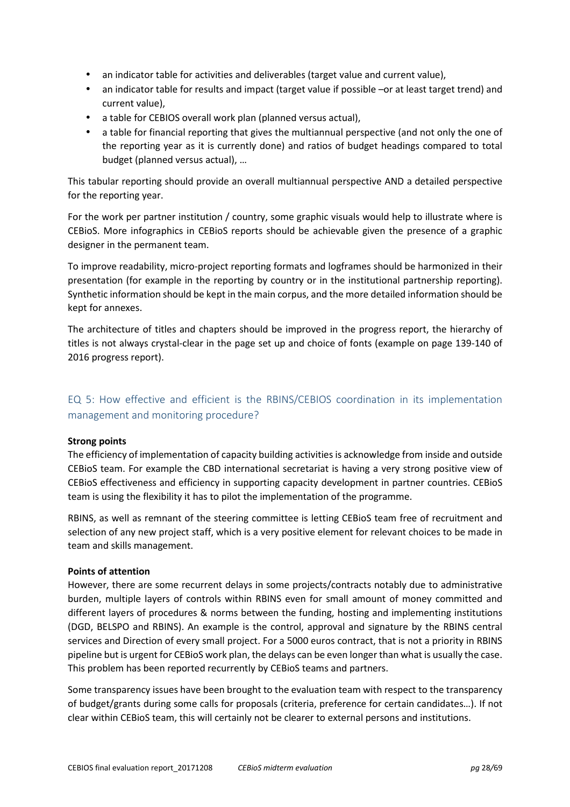- an indicator table for activities and deliverables (target value and current value),
- an indicator table for results and impact (target value if possible –or at least target trend) and current value),
- a table for CEBIOS overall work plan (planned versus actual),
- a table for financial reporting that gives the multiannual perspective (and not only the one of the reporting year as it is currently done) and ratios of budget headings compared to total budget (planned versus actual), …

This tabular reporting should provide an overall multiannual perspective AND a detailed perspective for the reporting year.

For the work per partner institution / country, some graphic visuals would help to illustrate where is CEBioS. More infographics in CEBioS reports should be achievable given the presence of a graphic designer in the permanent team.

To improve readability, micro-project reporting formats and logframes should be harmonized in their presentation (for example in the reporting by country or in the institutional partnership reporting). Synthetic information should be kept in the main corpus, and the more detailed information should be kept for annexes.

The architecture of titles and chapters should be improved in the progress report, the hierarchy of titles is not always crystal-clear in the page set up and choice of fonts (example on page 139-140 of 2016 progress report).

## EQ 5: How effective and efficient is the RBINS/CEBIOS coordination in its implementation management and monitoring procedure?

## **Strong points**

The efficiency of implementation of capacity building activities is acknowledge from inside and outside CEBioS team. For example the CBD international secretariat is having a very strong positive view of CEBioS effectiveness and efficiency in supporting capacity development in partner countries. CEBioS team is using the flexibility it has to pilot the implementation of the programme.

RBINS, as well as remnant of the steering committee is letting CEBioS team free of recruitment and selection of any new project staff, which is a very positive element for relevant choices to be made in team and skills management.

## **Points of attention**

However, there are some recurrent delays in some projects/contracts notably due to administrative burden, multiple layers of controls within RBINS even for small amount of money committed and different layers of procedures & norms between the funding, hosting and implementing institutions (DGD, BELSPO and RBINS). An example is the control, approval and signature by the RBINS central services and Direction of every small project. For a 5000 euros contract, that is not a priority in RBINS pipeline but is urgent for CEBioS work plan, the delays can be even longer than what is usually the case. This problem has been reported recurrently by CEBioS teams and partners.

Some transparency issues have been brought to the evaluation team with respect to the transparency of budget/grants during some calls for proposals (criteria, preference for certain candidates…). If not clear within CEBioS team, this will certainly not be clearer to external persons and institutions.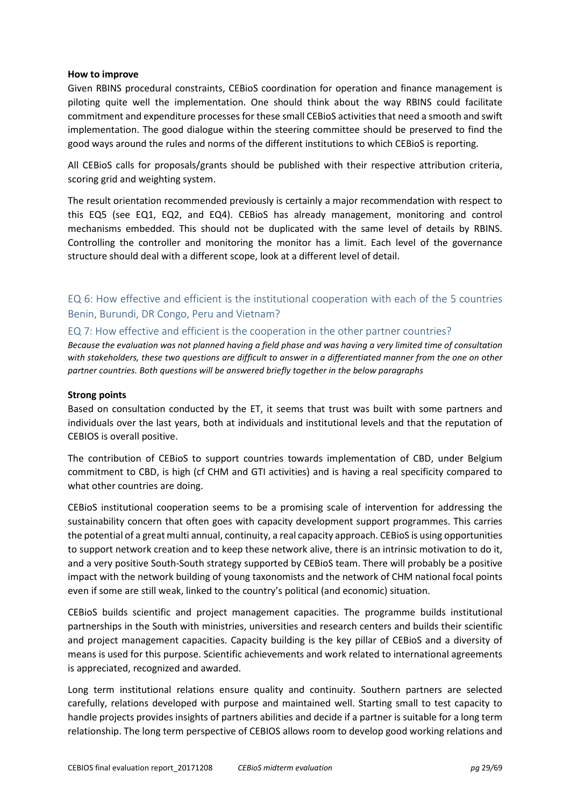### **How to improve**

Given RBINS procedural constraints, CEBioS coordination for operation and finance management is piloting quite well the implementation. One should think about the way RBINS could facilitate commitment and expenditure processes for these small CEBioS activities that need a smooth and swift implementation. The good dialogue within the steering committee should be preserved to find the good ways around the rules and norms of the different institutions to which CEBioS is reporting.

All CEBioS calls for proposals/grants should be published with their respective attribution criteria, scoring grid and weighting system.

The result orientation recommended previously is certainly a major recommendation with respect to this EQ5 (see EQ1, EQ2, and EQ4). CEBioS has already management, monitoring and control mechanisms embedded. This should not be duplicated with the same level of details by RBINS. Controlling the controller and monitoring the monitor has a limit. Each level of the governance structure should deal with a different scope, look at a different level of detail.

EQ 6: How effective and efficient is the institutional cooperation with each of the 5 countries Benin, Burundi, DR Congo, Peru and Vietnam?

## EQ 7: How effective and efficient is the cooperation in the other partner countries?

*Because the evaluation was not planned having a field phase and was having a very limited time of consultation with stakeholders, these two questions are difficult to answer in a differentiated manner from the one on other partner countries. Both questions will be answered briefly together in the below paragraphs* 

#### **Strong points**

Based on consultation conducted by the ET, it seems that trust was built with some partners and individuals over the last years, both at individuals and institutional levels and that the reputation of CEBIOS is overall positive.

The contribution of CEBioS to support countries towards implementation of CBD, under Belgium commitment to CBD, is high (cf CHM and GTI activities) and is having a real specificity compared to what other countries are doing.

CEBioS institutional cooperation seems to be a promising scale of intervention for addressing the sustainability concern that often goes with capacity development support programmes. This carries the potential of a great multi annual, continuity, a real capacity approach. CEBioS is using opportunities to support network creation and to keep these network alive, there is an intrinsic motivation to do it, and a very positive South-South strategy supported by CEBioS team. There will probably be a positive impact with the network building of young taxonomists and the network of CHM national focal points even if some are still weak, linked to the country's political (and economic) situation.

CEBioS builds scientific and project management capacities. The programme builds institutional partnerships in the South with ministries, universities and research centers and builds their scientific and project management capacities. Capacity building is the key pillar of CEBioS and a diversity of means is used for this purpose. Scientific achievements and work related to international agreements is appreciated, recognized and awarded.

Long term institutional relations ensure quality and continuity. Southern partners are selected carefully, relations developed with purpose and maintained well. Starting small to test capacity to handle projects provides insights of partners abilities and decide if a partner is suitable for a long term relationship. The long term perspective of CEBIOS allows room to develop good working relations and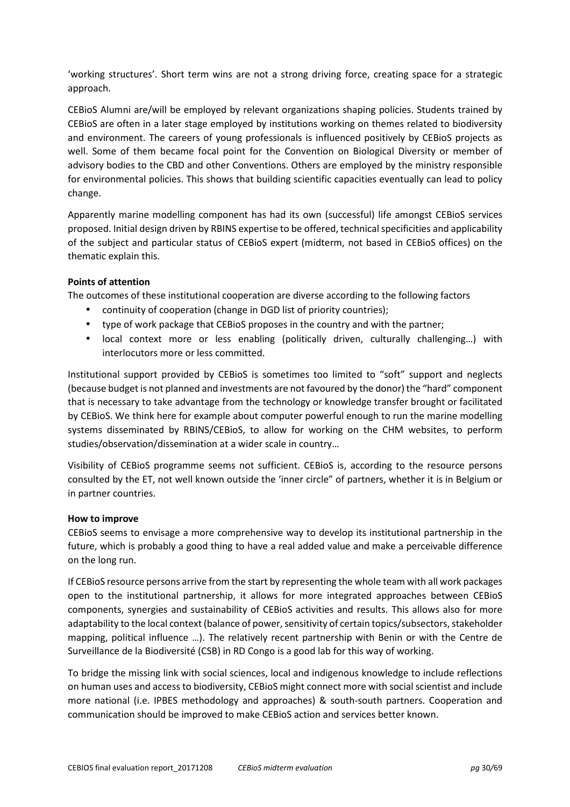'working structures'. Short term wins are not a strong driving force, creating space for a strategic approach.

CEBioS Alumni are/will be employed by relevant organizations shaping policies. Students trained by CEBioS are often in a later stage employed by institutions working on themes related to biodiversity and environment. The careers of young professionals is influenced positively by CEBioS projects as well. Some of them became focal point for the Convention on Biological Diversity or member of advisory bodies to the CBD and other Conventions. Others are employed by the ministry responsible for environmental policies. This shows that building scientific capacities eventually can lead to policy change.

Apparently marine modelling component has had its own (successful) life amongst CEBioS services proposed. Initial design driven by RBINS expertise to be offered, technical specificities and applicability of the subject and particular status of CEBioS expert (midterm, not based in CEBioS offices) on the thematic explain this.

## **Points of attention**

The outcomes of these institutional cooperation are diverse according to the following factors

- continuity of cooperation (change in DGD list of priority countries);
- type of work package that CEBioS proposes in the country and with the partner;
- local context more or less enabling (politically driven, culturally challenging…) with interlocutors more or less committed.

Institutional support provided by CEBioS is sometimes too limited to "soft" support and neglects (because budget is not planned and investments are not favoured by the donor) the "hard" component that is necessary to take advantage from the technology or knowledge transfer brought or facilitated by CEBioS. We think here for example about computer powerful enough to run the marine modelling systems disseminated by RBINS/CEBioS, to allow for working on the CHM websites, to perform studies/observation/dissemination at a wider scale in country…

Visibility of CEBioS programme seems not sufficient. CEBioS is, according to the resource persons consulted by the ET, not well known outside the 'inner circle" of partners, whether it is in Belgium or in partner countries.

## **How to improve**

CEBioS seems to envisage a more comprehensive way to develop its institutional partnership in the future, which is probably a good thing to have a real added value and make a perceivable difference on the long run.

If CEBioS resource persons arrive from the start by representing the whole team with all work packages open to the institutional partnership, it allows for more integrated approaches between CEBioS components, synergies and sustainability of CEBioS activities and results. This allows also for more adaptability to the local context (balance of power, sensitivity of certain topics/subsectors, stakeholder mapping, political influence …). The relatively recent partnership with Benin or with the Centre de Surveillance de la Biodiversité (CSB) in RD Congo is a good lab for this way of working.

To bridge the missing link with social sciences, local and indigenous knowledge to include reflections on human uses and access to biodiversity, CEBioS might connect more with social scientist and include more national (i.e. IPBES methodology and approaches) & south-south partners. Cooperation and communication should be improved to make CEBioS action and services better known.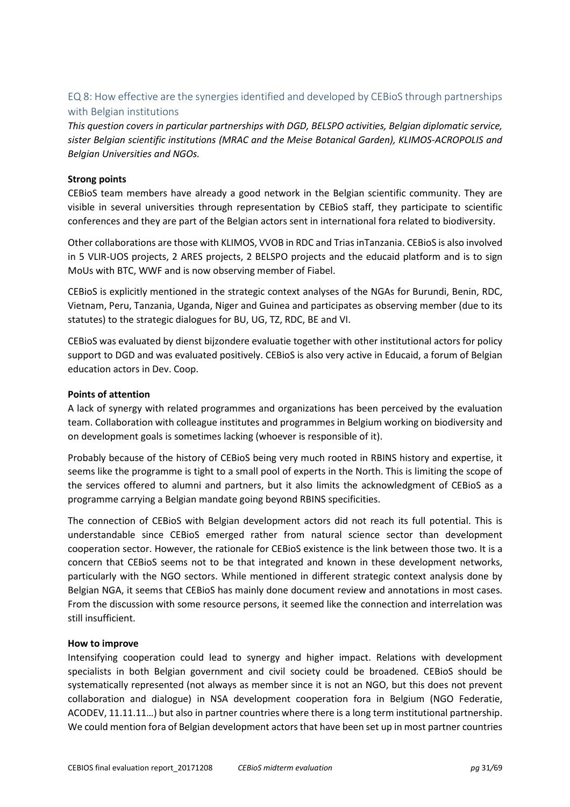## EQ 8: How effective are the synergies identified and developed by CEBioS through partnerships with Belgian institutions

*This question covers in particular partnerships with DGD, BELSPO activities, Belgian diplomatic service, sister Belgian scientific institutions (MRAC and the Meise Botanical Garden), KLIMOS-ACROPOLIS and Belgian Universities and NGOs.* 

## **Strong points**

CEBioS team members have already a good network in the Belgian scientific community. They are visible in several universities through representation by CEBioS staff, they participate to scientific conferences and they are part of the Belgian actors sent in international fora related to biodiversity.

Other collaborations are those with KLIMOS, VVOB in RDC and Trias inTanzania. CEBioS is also involved in 5 VLIR-UOS projects, 2 ARES projects, 2 BELSPO projects and the educaid platform and is to sign MoUs with BTC, WWF and is now observing member of Fiabel.

CEBioS is explicitly mentioned in the strategic context analyses of the NGAs for Burundi, Benin, RDC, Vietnam, Peru, Tanzania, Uganda, Niger and Guinea and participates as observing member (due to its statutes) to the strategic dialogues for BU, UG, TZ, RDC, BE and VI.

CEBioS was evaluated by dienst bijzondere evaluatie together with other institutional actors for policy support to DGD and was evaluated positively. CEBioS is also very active in Educaid, a forum of Belgian education actors in Dev. Coop.

## **Points of attention**

A lack of synergy with related programmes and organizations has been perceived by the evaluation team. Collaboration with colleague institutes and programmes in Belgium working on biodiversity and on development goals is sometimes lacking (whoever is responsible of it).

Probably because of the history of CEBioS being very much rooted in RBINS history and expertise, it seems like the programme is tight to a small pool of experts in the North. This is limiting the scope of the services offered to alumni and partners, but it also limits the acknowledgment of CEBioS as a programme carrying a Belgian mandate going beyond RBINS specificities.

The connection of CEBioS with Belgian development actors did not reach its full potential. This is understandable since CEBioS emerged rather from natural science sector than development cooperation sector. However, the rationale for CEBioS existence is the link between those two. It is a concern that CEBioS seems not to be that integrated and known in these development networks, particularly with the NGO sectors. While mentioned in different strategic context analysis done by Belgian NGA, it seems that CEBioS has mainly done document review and annotations in most cases. From the discussion with some resource persons, it seemed like the connection and interrelation was still insufficient.

## **How to improve**

Intensifying cooperation could lead to synergy and higher impact. Relations with development specialists in both Belgian government and civil society could be broadened. CEBioS should be systematically represented (not always as member since it is not an NGO, but this does not prevent collaboration and dialogue) in NSA development cooperation fora in Belgium (NGO Federatie, ACODEV, 11.11.11…) but also in partner countries where there is a long term institutional partnership. We could mention fora of Belgian development actors that have been set up in most partner countries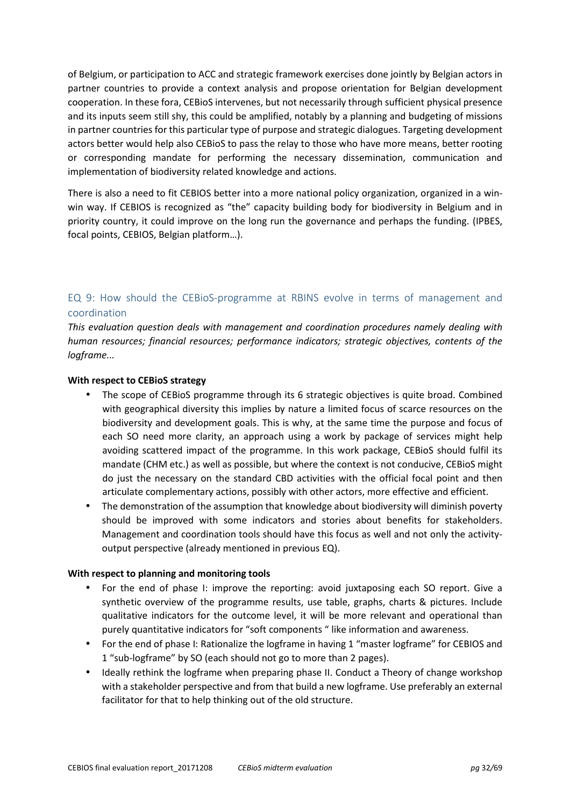of Belgium, or participation to ACC and strategic framework exercises done jointly by Belgian actors in partner countries to provide a context analysis and propose orientation for Belgian development cooperation. In these fora, CEBioS intervenes, but not necessarily through sufficient physical presence and its inputs seem still shy, this could be amplified, notably by a planning and budgeting of missions in partner countries for this particular type of purpose and strategic dialogues. Targeting development actors better would help also CEBioS to pass the relay to those who have more means, better rooting or corresponding mandate for performing the necessary dissemination, communication and implementation of biodiversity related knowledge and actions.

There is also a need to fit CEBIOS better into a more national policy organization, organized in a winwin way. If CEBIOS is recognized as "the" capacity building body for biodiversity in Belgium and in priority country, it could improve on the long run the governance and perhaps the funding. (IPBES, focal points, CEBIOS, Belgian platform…).

## EQ 9: How should the CEBioS-programme at RBINS evolve in terms of management and coordination

*This evaluation question deals with management and coordination procedures namely dealing with human resources; financial resources; performance indicators; strategic objectives, contents of the logframe...* 

## **With respect to CEBioS strategy**

- The scope of CEBioS programme through its 6 strategic objectives is quite broad. Combined with geographical diversity this implies by nature a limited focus of scarce resources on the biodiversity and development goals. This is why, at the same time the purpose and focus of each SO need more clarity, an approach using a work by package of services might help avoiding scattered impact of the programme. In this work package, CEBioS should fulfil its mandate (CHM etc.) as well as possible, but where the context is not conducive, CEBioS might do just the necessary on the standard CBD activities with the official focal point and then articulate complementary actions, possibly with other actors, more effective and efficient.
- The demonstration of the assumption that knowledge about biodiversity will diminish poverty should be improved with some indicators and stories about benefits for stakeholders. Management and coordination tools should have this focus as well and not only the activityoutput perspective (already mentioned in previous EQ).

## **With respect to planning and monitoring tools**

- For the end of phase I: improve the reporting: avoid juxtaposing each SO report. Give a synthetic overview of the programme results, use table, graphs, charts & pictures. Include qualitative indicators for the outcome level, it will be more relevant and operational than purely quantitative indicators for "soft components " like information and awareness.
- For the end of phase I: Rationalize the logframe in having 1 "master logframe" for CEBIOS and 1 "sub-logframe" by SO (each should not go to more than 2 pages).
- Ideally rethink the logframe when preparing phase II. Conduct a Theory of change workshop with a stakeholder perspective and from that build a new logframe. Use preferably an external facilitator for that to help thinking out of the old structure.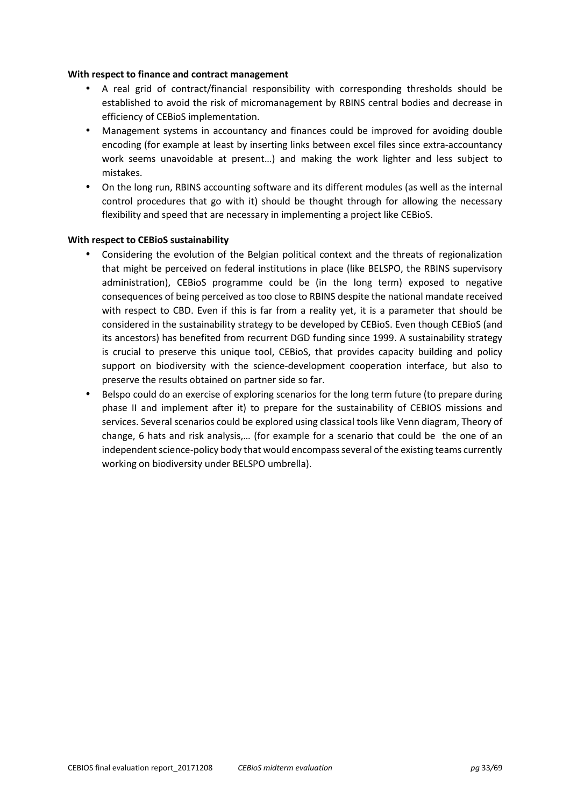## **With respect to finance and contract management**

- A real grid of contract/financial responsibility with corresponding thresholds should be established to avoid the risk of micromanagement by RBINS central bodies and decrease in efficiency of CEBioS implementation.
- Management systems in accountancy and finances could be improved for avoiding double encoding (for example at least by inserting links between excel files since extra-accountancy work seems unavoidable at present…) and making the work lighter and less subject to mistakes.
- On the long run, RBINS accounting software and its different modules (as well as the internal control procedures that go with it) should be thought through for allowing the necessary flexibility and speed that are necessary in implementing a project like CEBioS.

#### **With respect to CEBioS sustainability**

- Considering the evolution of the Belgian political context and the threats of regionalization that might be perceived on federal institutions in place (like BELSPO, the RBINS supervisory administration), CEBioS programme could be (in the long term) exposed to negative consequences of being perceived as too close to RBINS despite the national mandate received with respect to CBD. Even if this is far from a reality yet, it is a parameter that should be considered in the sustainability strategy to be developed by CEBioS. Even though CEBioS (and its ancestors) has benefited from recurrent DGD funding since 1999. A sustainability strategy is crucial to preserve this unique tool, CEBioS, that provides capacity building and policy support on biodiversity with the science-development cooperation interface, but also to preserve the results obtained on partner side so far.
- Belspo could do an exercise of exploring scenarios for the long term future (to prepare during phase II and implement after it) to prepare for the sustainability of CEBIOS missions and services. Several scenarios could be explored using classical tools like Venn diagram, Theory of change, 6 hats and risk analysis,… (for example for a scenario that could be the one of an independent science-policy body that would encompass several of the existing teams currently working on biodiversity under BELSPO umbrella).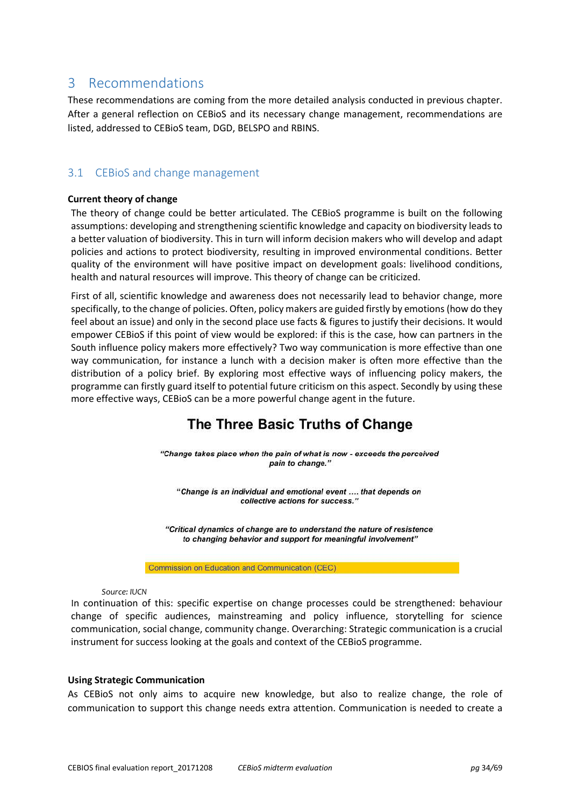# 3 Recommendations

These recommendations are coming from the more detailed analysis conducted in previous chapter. After a general reflection on CEBioS and its necessary change management, recommendations are listed, addressed to CEBioS team, DGD, BELSPO and RBINS.

## 3.1 CEBioS and change management

## **Current theory of change**

The theory of change could be better articulated. The CEBioS programme is built on the following assumptions: developing and strengthening scientific knowledge and capacity on biodiversity leads to a better valuation of biodiversity. This in turn will inform decision makers who will develop and adapt policies and actions to protect biodiversity, resulting in improved environmental conditions. Better quality of the environment will have positive impact on development goals: livelihood conditions, health and natural resources will improve. This theory of change can be criticized.

First of all, scientific knowledge and awareness does not necessarily lead to behavior change, more specifically, to the change of policies. Often, policy makers are guided firstly by emotions (how do they feel about an issue) and only in the second place use facts & figures to justify their decisions. It would empower CEBioS if this point of view would be explored: if this is the case, how can partners in the South influence policy makers more effectively? Two way communication is more effective than one way communication, for instance a lunch with a decision maker is often more effective than the distribution of a policy brief. By exploring most effective ways of influencing policy makers, the programme can firstly guard itself to potential future criticism on this aspect. Secondly by using these more effective ways, CEBioS can be a more powerful change agent in the future.

# The Three Basic Truths of Change

"Change takes place when the pain of what is now - exceeds the perceived pain to change."

"Change is an individual and emotional event .... that depends on collective actions for success."

"Critical dynamics of change are to understand the nature of resistence to changing behavior and support for meaningful involvement"

Commission on Education and Communication (CEC)

#### *Source: IUCN*

In continuation of this: specific expertise on change processes could be strengthened: behaviour change of specific audiences, mainstreaming and policy influence, storytelling for science communication, social change, community change. Overarching: Strategic communication is a crucial instrument for success looking at the goals and context of the CEBioS programme.

#### **Using Strategic Communication**

As CEBioS not only aims to acquire new knowledge, but also to realize change, the role of communication to support this change needs extra attention. Communication is needed to create a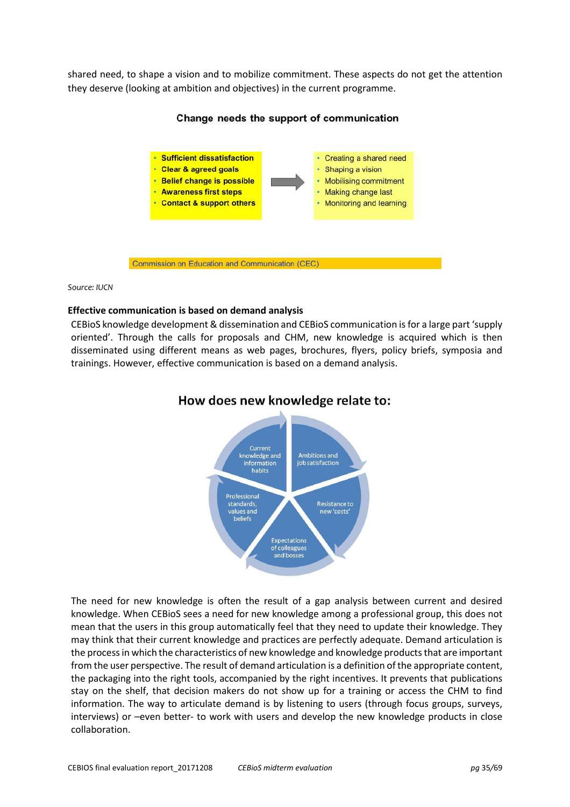shared need, to shape a vision and to mobilize commitment. These aspects do not get the attention they deserve (looking at ambition and objectives) in the current programme.



## Change needs the support of communication

#### *Source: IUCN*

#### **Effective communication is based on demand analysis**

CEBioS knowledge development & dissemination and CEBioS communication is for a large part 'supply oriented'. Through the calls for proposals and CHM, new knowledge is acquired which is then disseminated using different means as web pages, brochures, flyers, policy briefs, symposia and trainings. However, effective communication is based on a demand analysis.



## How does new knowledge relate to:

The need for new knowledge is often the result of a gap analysis between current and desired knowledge. When CEBioS sees a need for new knowledge among a professional group, this does not mean that the users in this group automatically feel that they need to update their knowledge. They may think that their current knowledge and practices are perfectly adequate. Demand articulation is the process in which the characteristics of new knowledge and knowledge products that are important from the user perspective. The result of demand articulation is a definition of the appropriate content, the packaging into the right tools, accompanied by the right incentives. It prevents that publications stay on the shelf, that decision makers do not show up for a training or access the CHM to find information. The way to articulate demand is by listening to users (through focus groups, surveys, interviews) or –even better- to work with users and develop the new knowledge products in close collaboration.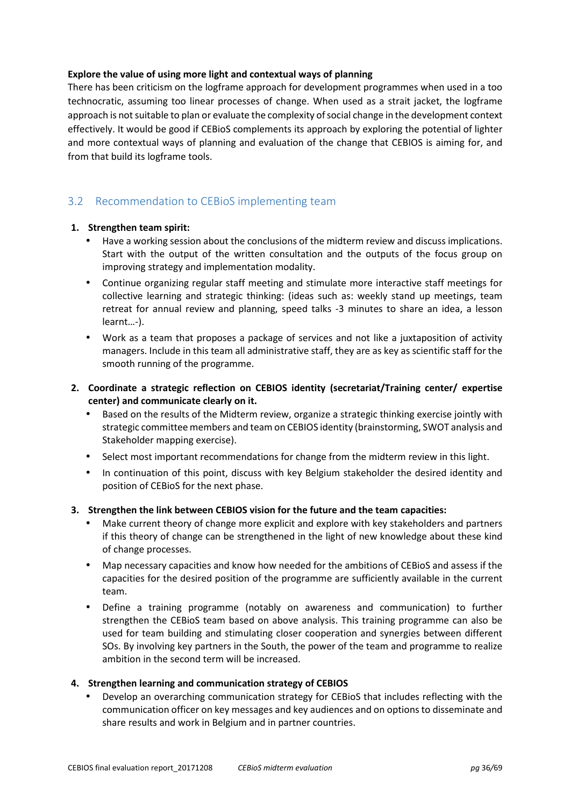## **Explore the value of using more light and contextual ways of planning**

There has been criticism on the logframe approach for development programmes when used in a too technocratic, assuming too linear processes of change. When used as a strait jacket, the logframe approach is not suitable to plan or evaluate the complexity of social change in the development context effectively. It would be good if CEBioS complements its approach by exploring the potential of lighter and more contextual ways of planning and evaluation of the change that CEBIOS is aiming for, and from that build its logframe tools.

## 3.2 Recommendation to CEBioS implementing team

## **1. Strengthen team spirit:**

- Have a working session about the conclusions of the midterm review and discuss implications. Start with the output of the written consultation and the outputs of the focus group on improving strategy and implementation modality.
- Continue organizing regular staff meeting and stimulate more interactive staff meetings for collective learning and strategic thinking: (ideas such as: weekly stand up meetings, team retreat for annual review and planning, speed talks -3 minutes to share an idea, a lesson learnt…-).
- Work as a team that proposes a package of services and not like a juxtaposition of activity managers. Include in this team all administrative staff, they are as key as scientific staff for the smooth running of the programme.
- **2. Coordinate a strategic reflection on CEBIOS identity (secretariat/Training center/ expertise center) and communicate clearly on it.** 
	- Based on the results of the Midterm review, organize a strategic thinking exercise jointly with strategic committee members and team on CEBIOS identity (brainstorming, SWOT analysis and Stakeholder mapping exercise).
	- Select most important recommendations for change from the midterm review in this light.
	- In continuation of this point, discuss with key Belgium stakeholder the desired identity and position of CEBioS for the next phase.

## **3. Strengthen the link between CEBIOS vision for the future and the team capacities:**

- Make current theory of change more explicit and explore with key stakeholders and partners if this theory of change can be strengthened in the light of new knowledge about these kind of change processes.
- Map necessary capacities and know how needed for the ambitions of CEBioS and assess if the capacities for the desired position of the programme are sufficiently available in the current team.
- Define a training programme (notably on awareness and communication) to further strengthen the CEBioS team based on above analysis. This training programme can also be used for team building and stimulating closer cooperation and synergies between different SOs. By involving key partners in the South, the power of the team and programme to realize ambition in the second term will be increased.

## **4. Strengthen learning and communication strategy of CEBIOS**

• Develop an overarching communication strategy for CEBioS that includes reflecting with the communication officer on key messages and key audiences and on options to disseminate and share results and work in Belgium and in partner countries.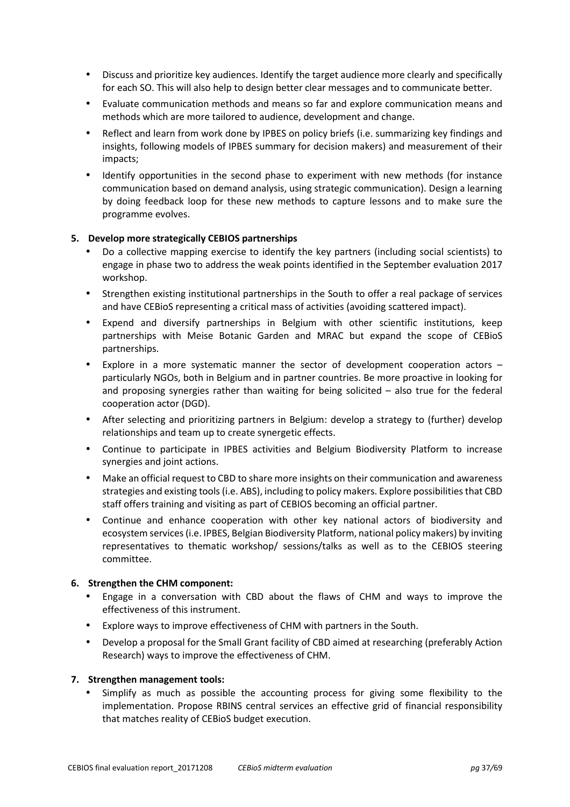- Discuss and prioritize key audiences. Identify the target audience more clearly and specifically for each SO. This will also help to design better clear messages and to communicate better.
- Evaluate communication methods and means so far and explore communication means and methods which are more tailored to audience, development and change.
- Reflect and learn from work done by IPBES on policy briefs (i.e. summarizing key findings and insights, following models of IPBES summary for decision makers) and measurement of their impacts;
- Identify opportunities in the second phase to experiment with new methods (for instance communication based on demand analysis, using strategic communication). Design a learning by doing feedback loop for these new methods to capture lessons and to make sure the programme evolves.

## **5. Develop more strategically CEBIOS partnerships**

- Do a collective mapping exercise to identify the key partners (including social scientists) to engage in phase two to address the weak points identified in the September evaluation 2017 workshop.
- Strengthen existing institutional partnerships in the South to offer a real package of services and have CEBioS representing a critical mass of activities (avoiding scattered impact).
- Expend and diversify partnerships in Belgium with other scientific institutions, keep partnerships with Meise Botanic Garden and MRAC but expand the scope of CEBioS partnerships.
- Explore in a more systematic manner the sector of development cooperation actors  $$ particularly NGOs, both in Belgium and in partner countries. Be more proactive in looking for and proposing synergies rather than waiting for being solicited – also true for the federal cooperation actor (DGD).
- After selecting and prioritizing partners in Belgium: develop a strategy to (further) develop relationships and team up to create synergetic effects.
- Continue to participate in IPBES activities and Belgium Biodiversity Platform to increase synergies and joint actions.
- Make an official request to CBD to share more insights on their communication and awareness strategies and existing tools (i.e. ABS), including to policy makers. Explore possibilities that CBD staff offers training and visiting as part of CEBIOS becoming an official partner.
- Continue and enhance cooperation with other key national actors of biodiversity and ecosystem services (i.e. IPBES, Belgian Biodiversity Platform, national policy makers) by inviting representatives to thematic workshop/ sessions/talks as well as to the CEBIOS steering committee.

## **6. Strengthen the CHM component:**

- Engage in a conversation with CBD about the flaws of CHM and ways to improve the effectiveness of this instrument.
- Explore ways to improve effectiveness of CHM with partners in the South.
- Develop a proposal for the Small Grant facility of CBD aimed at researching (preferably Action Research) ways to improve the effectiveness of CHM.

## **7. Strengthen management tools:**

• Simplify as much as possible the accounting process for giving some flexibility to the implementation. Propose RBINS central services an effective grid of financial responsibility that matches reality of CEBioS budget execution.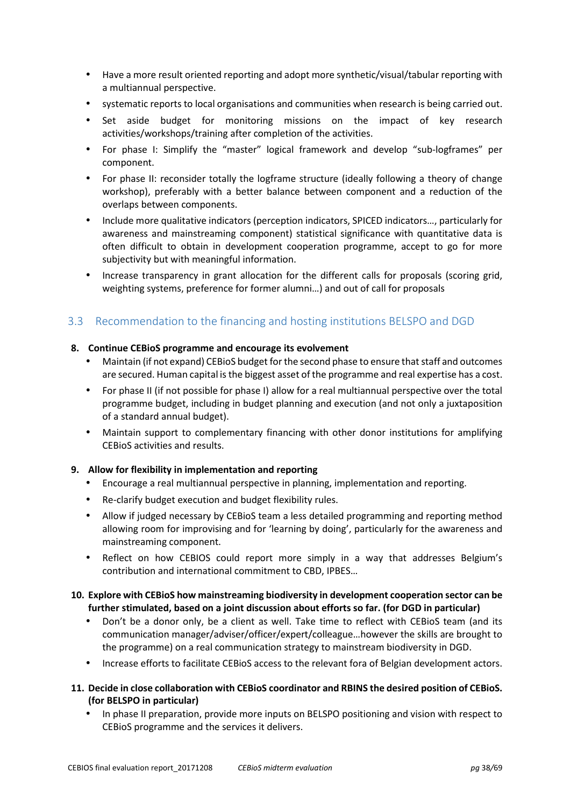- Have a more result oriented reporting and adopt more synthetic/visual/tabular reporting with a multiannual perspective.
- systematic reports to local organisations and communities when research is being carried out.
- Set aside budget for monitoring missions on the impact of key research activities/workshops/training after completion of the activities.
- For phase I: Simplify the "master" logical framework and develop "sub-logframes" per component.
- For phase II: reconsider totally the logframe structure (ideally following a theory of change workshop), preferably with a better balance between component and a reduction of the overlaps between components.
- Include more qualitative indicators (perception indicators, SPICED indicators…, particularly for awareness and mainstreaming component) statistical significance with quantitative data is often difficult to obtain in development cooperation programme, accept to go for more subjectivity but with meaningful information.
- Increase transparency in grant allocation for the different calls for proposals (scoring grid, weighting systems, preference for former alumni…) and out of call for proposals

# 3.3 Recommendation to the financing and hosting institutions BELSPO and DGD

## **8. Continue CEBioS programme and encourage its evolvement**

- Maintain (if not expand) CEBioS budget for the second phase to ensure that staff and outcomes are secured. Human capital is the biggest asset of the programme and real expertise has a cost.
- For phase II (if not possible for phase I) allow for a real multiannual perspective over the total programme budget, including in budget planning and execution (and not only a juxtaposition of a standard annual budget).
- Maintain support to complementary financing with other donor institutions for amplifying CEBioS activities and results.

## **9. Allow for flexibility in implementation and reporting**

- Encourage a real multiannual perspective in planning, implementation and reporting.
- Re-clarify budget execution and budget flexibility rules.
- Allow if judged necessary by CEBioS team a less detailed programming and reporting method allowing room for improvising and for 'learning by doing', particularly for the awareness and mainstreaming component.
- Reflect on how CEBIOS could report more simply in a way that addresses Belgium's contribution and international commitment to CBD, IPBES…

## **10. Explore with CEBioS how mainstreaming biodiversity in development cooperation sector can be further stimulated, based on a joint discussion about efforts so far. (for DGD in particular)**

- Don't be a donor only, be a client as well. Take time to reflect with CEBioS team (and its communication manager/adviser/officer/expert/colleague…however the skills are brought to the programme) on a real communication strategy to mainstream biodiversity in DGD.
- Increase efforts to facilitate CEBioS access to the relevant fora of Belgian development actors.
- **11. Decide in close collaboration with CEBioS coordinator and RBINS the desired position of CEBioS. (for BELSPO in particular)** 
	- In phase II preparation, provide more inputs on BELSPO positioning and vision with respect to CEBioS programme and the services it delivers.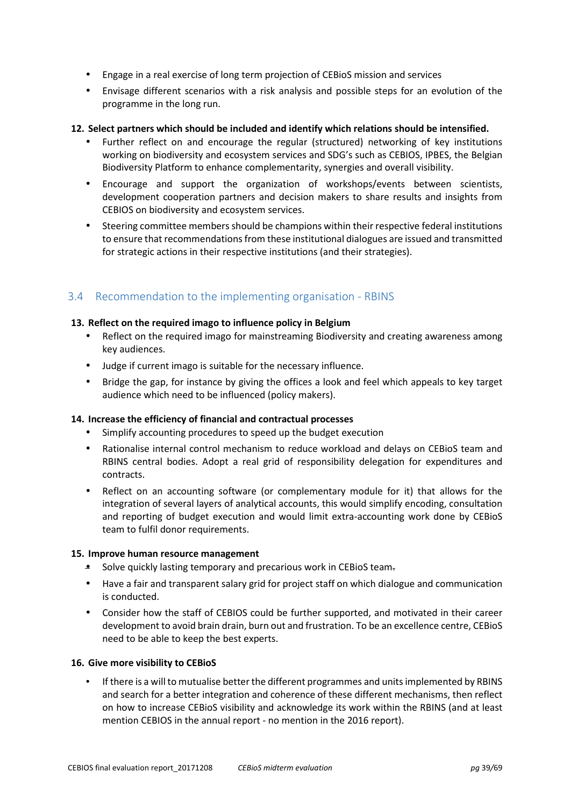- Engage in a real exercise of long term projection of CEBioS mission and services
- Envisage different scenarios with a risk analysis and possible steps for an evolution of the programme in the long run.

## **12. Select partners which should be included and identify which relations should be intensified.**

- Further reflect on and encourage the regular (structured) networking of key institutions working on biodiversity and ecosystem services and SDG's such as CEBIOS, IPBES, the Belgian Biodiversity Platform to enhance complementarity, synergies and overall visibility.
- Encourage and support the organization of workshops/events between scientists, development cooperation partners and decision makers to share results and insights from CEBIOS on biodiversity and ecosystem services.
- Steering committee members should be champions within their respective federal institutions to ensure that recommendations from these institutional dialogues are issued and transmitted for strategic actions in their respective institutions (and their strategies).

## 3.4 Recommendation to the implementing organisation - RBINS

## **13. Reflect on the required imago to influence policy in Belgium**

- Reflect on the required imago for mainstreaming Biodiversity and creating awareness among key audiences.
- Judge if current imago is suitable for the necessary influence.
- Bridge the gap, for instance by giving the offices a look and feel which appeals to key target audience which need to be influenced (policy makers).

## **14. Increase the efficiency of financial and contractual processes**

- Simplify accounting procedures to speed up the budget execution
- Rationalise internal control mechanism to reduce workload and delays on CEBioS team and RBINS central bodies. Adopt a real grid of responsibility delegation for expenditures and contracts.
- Reflect on an accounting software (or complementary module for it) that allows for the integration of several layers of analytical accounts, this would simplify encoding, consultation and reporting of budget execution and would limit extra-accounting work done by CEBioS team to fulfil donor requirements.

## **15. Improve human resource management**

- Solve quickly lasting temporary and precarious work in CEBioS team.
- Have a fair and transparent salary grid for project staff on which dialogue and communication is conducted.
- Consider how the staff of CEBIOS could be further supported, and motivated in their career development to avoid brain drain, burn out and frustration. To be an excellence centre, CEBioS need to be able to keep the best experts.

## **16. Give more visibility to CEBioS**

• If there is a will to mutualise better the different programmes and units implemented by RBINS and search for a better integration and coherence of these different mechanisms, then reflect on how to increase CEBioS visibility and acknowledge its work within the RBINS (and at least mention CEBIOS in the annual report - no mention in the 2016 report).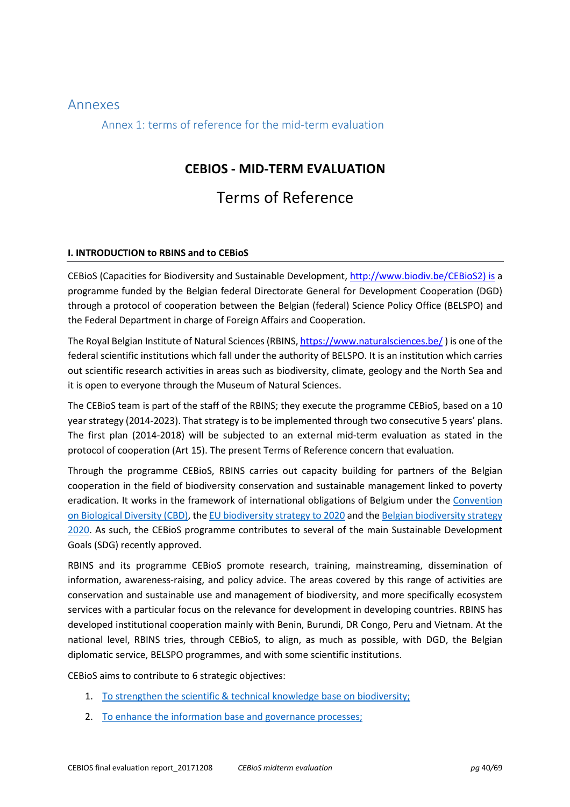## Annexes

Annex 1: terms of reference for the mid-term evaluation

# **CEBIOS - MID-TERM EVALUATION**

# Terms of Reference

## **I. INTRODUCTION to RBINS and to CEBioS**

CEBioS (Capacities for Biodiversity and Sustainable Development, http://www.biodiv.be/CEBioS2) is a programme funded by the Belgian federal Directorate General for Development Cooperation (DGD) through a protocol of cooperation between the Belgian (federal) Science Policy Office (BELSPO) and the Federal Department in charge of Foreign Affairs and Cooperation.

The Royal Belgian Institute of Natural Sciences (RBINS, https://www.naturalsciences.be/ ) is one of the federal scientific institutions which fall under the authority of BELSPO. It is an institution which carries out scientific research activities in areas such as biodiversity, climate, geology and the North Sea and it is open to everyone through the Museum of Natural Sciences.

The CEBioS team is part of the staff of the RBINS; they execute the programme CEBioS, based on a 10 year strategy (2014-2023). That strategy is to be implemented through two consecutive 5 years' plans. The first plan (2014-2018) will be subjected to an external mid-term evaluation as stated in the protocol of cooperation (Art 15). The present Terms of Reference concern that evaluation.

Through the programme CEBioS, RBINS carries out capacity building for partners of the Belgian cooperation in the field of biodiversity conservation and sustainable management linked to poverty eradication. It works in the framework of international obligations of Belgium under the Convention on Biological Diversity (CBD), the EU biodiversity strategy to 2020 and the Belgian biodiversity strategy 2020. As such, the CEBioS programme contributes to several of the main Sustainable Development Goals (SDG) recently approved.

RBINS and its programme CEBioS promote research, training, mainstreaming, dissemination of information, awareness-raising, and policy advice. The areas covered by this range of activities are conservation and sustainable use and management of biodiversity, and more specifically ecosystem services with a particular focus on the relevance for development in developing countries. RBINS has developed institutional cooperation mainly with Benin, Burundi, DR Congo, Peru and Vietnam. At the national level, RBINS tries, through CEBioS, to align, as much as possible, with DGD, the Belgian diplomatic service, BELSPO programmes, and with some scientific institutions.

CEBioS aims to contribute to 6 strategic objectives:

- 1. To strengthen the scientific & technical knowledge base on biodiversity;
- 2. To enhance the information base and governance processes;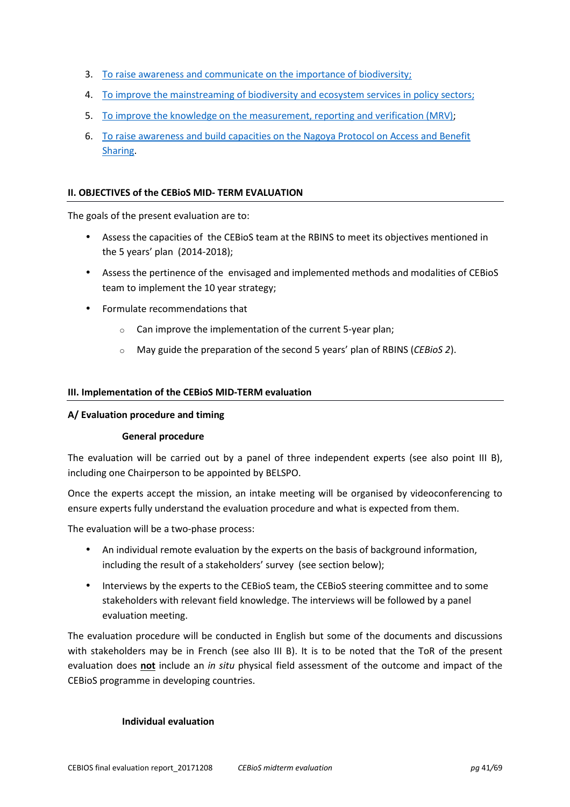- 3. To raise awareness and communicate on the importance of biodiversity;
- 4. To improve the mainstreaming of biodiversity and ecosystem services in policy sectors;
- 5. To improve the knowledge on the measurement, reporting and verification (MRV);
- 6. To raise awareness and build capacities on the Nagoya Protocol on Access and Benefit Sharing.

### **II. OBJECTIVES of the CEBioS MID- TERM EVALUATION**

The goals of the present evaluation are to:

- Assess the capacities of the CEBioS team at the RBINS to meet its objectives mentioned in the 5 years' plan (2014-2018);
- Assess the pertinence of the envisaged and implemented methods and modalities of CEBioS team to implement the 10 year strategy;
- Formulate recommendations that
	- o Can improve the implementation of the current 5-year plan;
	- o May guide the preparation of the second 5 years' plan of RBINS (*CEBioS 2*).

#### **III. Implementation of the CEBioS MID-TERM evaluation**

#### **A/ Evaluation procedure and timing**

## **General procedure**

The evaluation will be carried out by a panel of three independent experts (see also point III B), including one Chairperson to be appointed by BELSPO.

Once the experts accept the mission, an intake meeting will be organised by videoconferencing to ensure experts fully understand the evaluation procedure and what is expected from them.

The evaluation will be a two-phase process:

- An individual remote evaluation by the experts on the basis of background information, including the result of a stakeholders' survey (see section below);
- Interviews by the experts to the CEBioS team, the CEBioS steering committee and to some stakeholders with relevant field knowledge. The interviews will be followed by a panel evaluation meeting.

The evaluation procedure will be conducted in English but some of the documents and discussions with stakeholders may be in French (see also III B). It is to be noted that the ToR of the present evaluation does **not** include an *in situ* physical field assessment of the outcome and impact of the CEBioS programme in developing countries.

#### **Individual evaluation**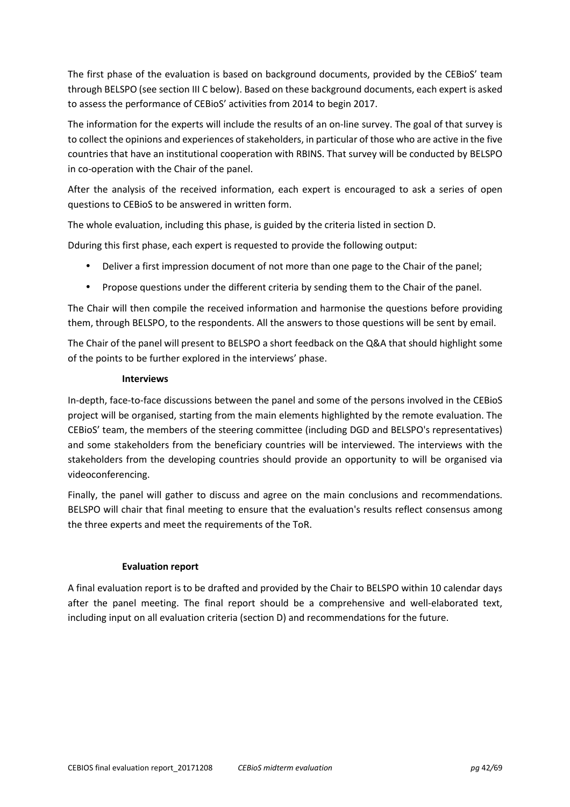The first phase of the evaluation is based on background documents, provided by the CEBioS' team through BELSPO (see section III C below). Based on these background documents, each expert is asked to assess the performance of CEBioS' activities from 2014 to begin 2017.

The information for the experts will include the results of an on-line survey. The goal of that survey is to collect the opinions and experiences of stakeholders, in particular of those who are active in the five countries that have an institutional cooperation with RBINS. That survey will be conducted by BELSPO in co-operation with the Chair of the panel.

After the analysis of the received information, each expert is encouraged to ask a series of open questions to CEBioS to be answered in written form.

The whole evaluation, including this phase, is guided by the criteria listed in section D.

Dduring this first phase, each expert is requested to provide the following output:

- Deliver a first impression document of not more than one page to the Chair of the panel;
- Propose questions under the different criteria by sending them to the Chair of the panel.

The Chair will then compile the received information and harmonise the questions before providing them, through BELSPO, to the respondents. All the answers to those questions will be sent by email.

The Chair of the panel will present to BELSPO a short feedback on the Q&A that should highlight some of the points to be further explored in the interviews' phase.

## **Interviews**

In-depth, face-to-face discussions between the panel and some of the persons involved in the CEBioS project will be organised, starting from the main elements highlighted by the remote evaluation. The CEBioS' team, the members of the steering committee (including DGD and BELSPO's representatives) and some stakeholders from the beneficiary countries will be interviewed. The interviews with the stakeholders from the developing countries should provide an opportunity to will be organised via videoconferencing.

Finally, the panel will gather to discuss and agree on the main conclusions and recommendations. BELSPO will chair that final meeting to ensure that the evaluation's results reflect consensus among the three experts and meet the requirements of the ToR.

## **Evaluation report**

A final evaluation report is to be drafted and provided by the Chair to BELSPO within 10 calendar days after the panel meeting. The final report should be a comprehensive and well-elaborated text, including input on all evaluation criteria (section D) and recommendations for the future.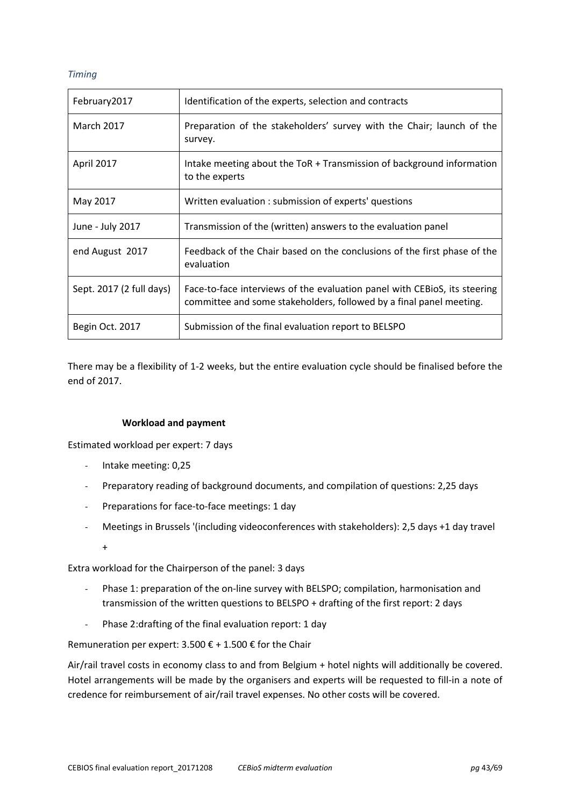## *Timing*

| February2017             | Identification of the experts, selection and contracts                                                                                           |  |
|--------------------------|--------------------------------------------------------------------------------------------------------------------------------------------------|--|
| <b>March 2017</b>        | Preparation of the stakeholders' survey with the Chair; launch of the<br>survey.                                                                 |  |
| April 2017               | Intake meeting about the ToR + Transmission of background information<br>to the experts                                                          |  |
| May 2017                 | Written evaluation: submission of experts' questions                                                                                             |  |
| June - July 2017         | Transmission of the (written) answers to the evaluation panel                                                                                    |  |
| end August 2017          | Feedback of the Chair based on the conclusions of the first phase of the<br>evaluation                                                           |  |
| Sept. 2017 (2 full days) | Face-to-face interviews of the evaluation panel with CEBioS, its steering<br>committee and some stakeholders, followed by a final panel meeting. |  |
| Begin Oct. 2017          | Submission of the final evaluation report to BELSPO                                                                                              |  |

There may be a flexibility of 1-2 weeks, but the entire evaluation cycle should be finalised before the end of 2017.

## **Workload and payment**

Estimated workload per expert: 7 days

- Intake meeting: 0,25
- Preparatory reading of background documents, and compilation of questions: 2,25 days
- Preparations for face-to-face meetings: 1 day
- Meetings in Brussels '(including videoconferences with stakeholders): 2,5 days +1 day travel

+

Extra workload for the Chairperson of the panel: 3 days

- Phase 1: preparation of the on-line survey with BELSPO; compilation, harmonisation and transmission of the written questions to BELSPO + drafting of the first report: 2 days
- Phase 2:drafting of the final evaluation report: 1 day

Remuneration per expert: 3.500  $\epsilon$  + 1.500  $\epsilon$  for the Chair

Air/rail travel costs in economy class to and from Belgium + hotel nights will additionally be covered. Hotel arrangements will be made by the organisers and experts will be requested to fill-in a note of credence for reimbursement of air/rail travel expenses. No other costs will be covered.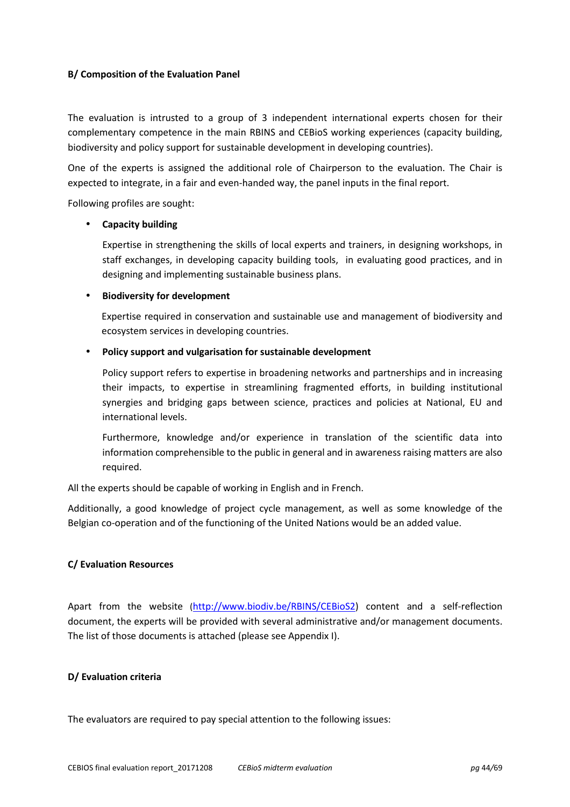## **B/ Composition of the Evaluation Panel**

The evaluation is intrusted to a group of 3 independent international experts chosen for their complementary competence in the main RBINS and CEBioS working experiences (capacity building, biodiversity and policy support for sustainable development in developing countries).

One of the experts is assigned the additional role of Chairperson to the evaluation. The Chair is expected to integrate, in a fair and even-handed way, the panel inputs in the final report.

Following profiles are sought:

#### • **Capacity building**

Expertise in strengthening the skills of local experts and trainers, in designing workshops, in staff exchanges, in developing capacity building tools, in evaluating good practices, and in designing and implementing sustainable business plans.

#### • **Biodiversity for development**

Expertise required in conservation and sustainable use and management of biodiversity and ecosystem services in developing countries.

#### • **Policy support and vulgarisation for sustainable development**

Policy support refers to expertise in broadening networks and partnerships and in increasing their impacts, to expertise in streamlining fragmented efforts, in building institutional synergies and bridging gaps between science, practices and policies at National, EU and international levels.

Furthermore, knowledge and/or experience in translation of the scientific data into information comprehensible to the public in general and in awareness raising matters are also required.

All the experts should be capable of working in English and in French.

Additionally, a good knowledge of project cycle management, as well as some knowledge of the Belgian co-operation and of the functioning of the United Nations would be an added value.

## **C/ Evaluation Resources**

Apart from the website (http://www.biodiv.be/RBINS/CEBioS2) content and a self-reflection document, the experts will be provided with several administrative and/or management documents. The list of those documents is attached (please see Appendix I).

#### **D/ Evaluation criteria**

The evaluators are required to pay special attention to the following issues: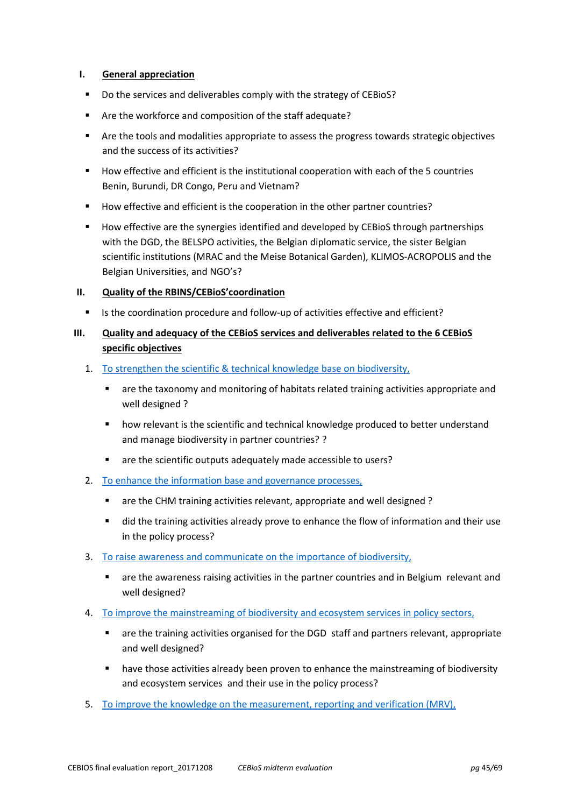## **I. General appreciation**

- Do the services and deliverables comply with the strategy of CEBioS?
- Are the workforce and composition of the staff adequate?
- Are the tools and modalities appropriate to assess the progress towards strategic objectives and the success of its activities?
- How effective and efficient is the institutional cooperation with each of the 5 countries Benin, Burundi, DR Congo, Peru and Vietnam?
- How effective and efficient is the cooperation in the other partner countries?
- How effective are the synergies identified and developed by CEBioS through partnerships with the DGD, the BELSPO activities, the Belgian diplomatic service, the sister Belgian scientific institutions (MRAC and the Meise Botanical Garden), KLIMOS-ACROPOLIS and the Belgian Universities, and NGO's?

## **II. Quality of the RBINS/CEBioS'coordination**

Is the coordination procedure and follow-up of activities effective and efficient?

## **III. Quality and adequacy of the CEBioS services and deliverables related to the 6 CEBioS specific objectives**

- 1. To strengthen the scientific & technical knowledge base on biodiversity,
	- are the taxonomy and monitoring of habitats related training activities appropriate and well designed ?
	- **•** how relevant is the scientific and technical knowledge produced to better understand and manage biodiversity in partner countries? ?
	- are the scientific outputs adequately made accessible to users?
- 2. To enhance the information base and governance processes,
	- are the CHM training activities relevant, appropriate and well designed ?
	- did the training activities already prove to enhance the flow of information and their use in the policy process?
- 3. To raise awareness and communicate on the importance of biodiversity,
	- are the awareness raising activities in the partner countries and in Belgium relevant and well designed?
- 4. To improve the mainstreaming of biodiversity and ecosystem services in policy sectors,
	- are the training activities organised for the DGD staff and partners relevant, appropriate and well designed?
	- **•** have those activities already been proven to enhance the mainstreaming of biodiversity and ecosystem services and their use in the policy process?
- 5. To improve the knowledge on the measurement, reporting and verification (MRV),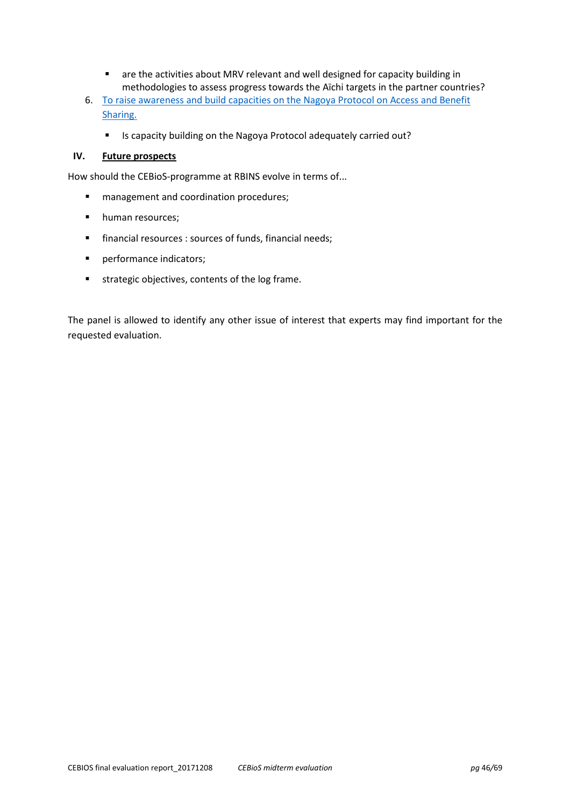- are the activities about MRV relevant and well designed for capacity building in methodologies to assess progress towards the Aïchi targets in the partner countries?
- 6. To raise awareness and build capacities on the Nagoya Protocol on Access and Benefit Sharing.
	- Is capacity building on the Nagoya Protocol adequately carried out?

## **IV. Future prospects**

How should the CEBioS-programme at RBINS evolve in terms of...

- **nanagement and coordination procedures;**
- human resources:
- financial resources : sources of funds, financial needs;
- **Parager Exercise 2** performance indicators;
- strategic objectives, contents of the log frame.

The panel is allowed to identify any other issue of interest that experts may find important for the requested evaluation.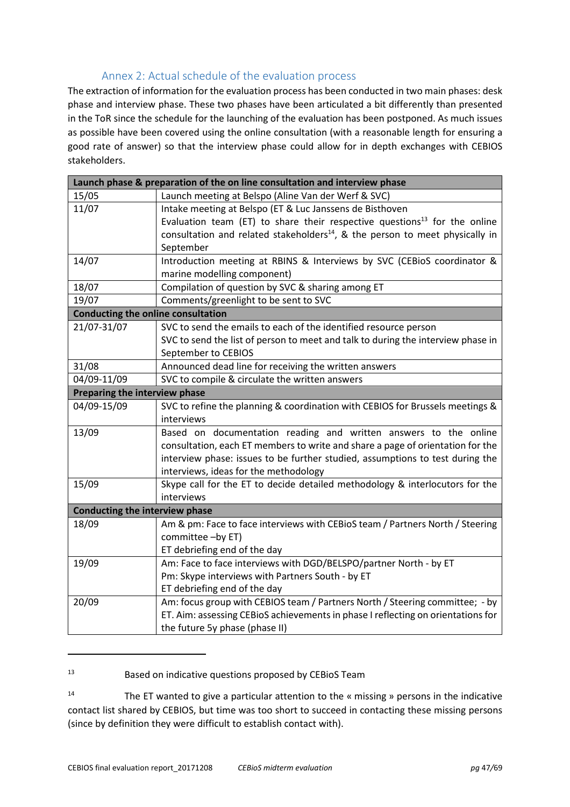## Annex 2: Actual schedule of the evaluation process

The extraction of information for the evaluation process has been conducted in two main phases: desk phase and interview phase. These two phases have been articulated a bit differently than presented in the ToR since the schedule for the launching of the evaluation has been postponed. As much issues as possible have been covered using the online consultation (with a reasonable length for ensuring a good rate of answer) so that the interview phase could allow for in depth exchanges with CEBIOS stakeholders.

| Launch phase & preparation of the on line consultation and interview phase |                                                                                          |  |  |
|----------------------------------------------------------------------------|------------------------------------------------------------------------------------------|--|--|
| 15/05                                                                      | Launch meeting at Belspo (Aline Van der Werf & SVC)                                      |  |  |
| 11/07                                                                      | Intake meeting at Belspo (ET & Luc Janssens de Bisthoven                                 |  |  |
|                                                                            | Evaluation team (ET) to share their respective questions <sup>13</sup> for the online    |  |  |
|                                                                            | consultation and related stakeholders <sup>14</sup> , & the person to meet physically in |  |  |
|                                                                            | September                                                                                |  |  |
| 14/07                                                                      | Introduction meeting at RBINS & Interviews by SVC (CEBioS coordinator &                  |  |  |
|                                                                            | marine modelling component)                                                              |  |  |
| 18/07                                                                      | Compilation of question by SVC & sharing among ET                                        |  |  |
| 19/07                                                                      | Comments/greenlight to be sent to SVC                                                    |  |  |
| <b>Conducting the online consultation</b>                                  |                                                                                          |  |  |
| 21/07-31/07                                                                | SVC to send the emails to each of the identified resource person                         |  |  |
|                                                                            | SVC to send the list of person to meet and talk to during the interview phase in         |  |  |
|                                                                            | September to CEBIOS                                                                      |  |  |
| 31/08                                                                      | Announced dead line for receiving the written answers                                    |  |  |
| 04/09-11/09                                                                | SVC to compile & circulate the written answers                                           |  |  |
| Preparing the interview phase                                              |                                                                                          |  |  |
| 04/09-15/09                                                                | SVC to refine the planning & coordination with CEBIOS for Brussels meetings &            |  |  |
|                                                                            | interviews                                                                               |  |  |
| 13/09                                                                      | Based on documentation reading and written answers to the online                         |  |  |
|                                                                            | consultation, each ET members to write and share a page of orientation for the           |  |  |
|                                                                            | interview phase: issues to be further studied, assumptions to test during the            |  |  |
|                                                                            | interviews, ideas for the methodology                                                    |  |  |
| 15/09                                                                      | Skype call for the ET to decide detailed methodology & interlocutors for the             |  |  |
|                                                                            | interviews                                                                               |  |  |
| <b>Conducting the interview phase</b>                                      |                                                                                          |  |  |
| 18/09                                                                      | Am & pm: Face to face interviews with CEBioS team / Partners North / Steering            |  |  |
|                                                                            | committee -by ET)                                                                        |  |  |
|                                                                            | ET debriefing end of the day                                                             |  |  |
| 19/09                                                                      | Am: Face to face interviews with DGD/BELSPO/partner North - by ET                        |  |  |
|                                                                            | Pm: Skype interviews with Partners South - by ET                                         |  |  |
|                                                                            | ET debriefing end of the day                                                             |  |  |
| 20/09                                                                      | Am: focus group with CEBIOS team / Partners North / Steering committee; - by             |  |  |
|                                                                            | ET. Aim: assessing CEBioS achievements in phase I reflecting on orientations for         |  |  |
|                                                                            | the future 5y phase (phase II)                                                           |  |  |

13 Based on indicative questions proposed by CEBioS Team

 $14$  The ET wanted to give a particular attention to the « missing » persons in the indicative contact list shared by CEBIOS, but time was too short to succeed in contacting these missing persons (since by definition they were difficult to establish contact with).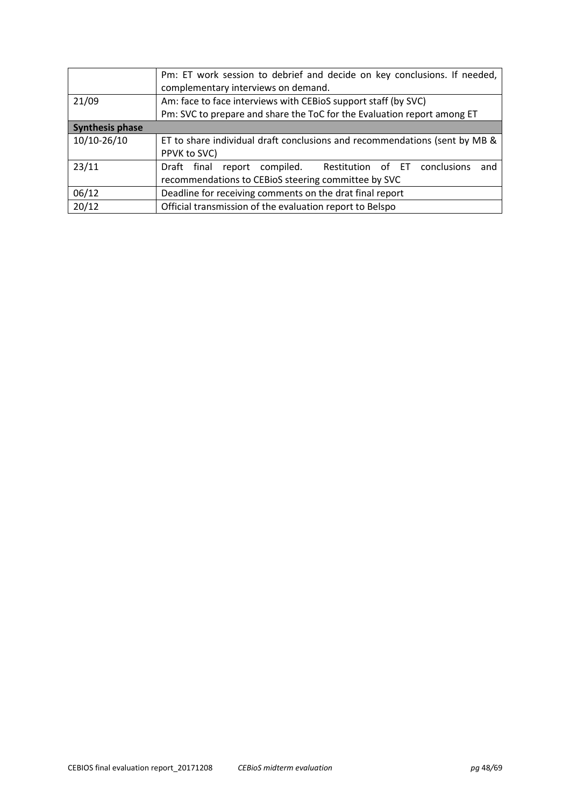|                        | Pm: ET work session to debrief and decide on key conclusions. If needed,<br>complementary interviews on demand. |  |  |  |  |
|------------------------|-----------------------------------------------------------------------------------------------------------------|--|--|--|--|
| 21/09                  | Am: face to face interviews with CEBioS support staff (by SVC)                                                  |  |  |  |  |
|                        | Pm: SVC to prepare and share the ToC for the Evaluation report among ET                                         |  |  |  |  |
| <b>Synthesis phase</b> |                                                                                                                 |  |  |  |  |
| 10/10-26/10            | ET to share individual draft conclusions and recommendations (sent by MB &                                      |  |  |  |  |
|                        | PPVK to SVC)                                                                                                    |  |  |  |  |
| 23/11                  | report compiled.<br>conclusions<br>Restitution of ET<br>Draft final<br>and                                      |  |  |  |  |
|                        | recommendations to CEBioS steering committee by SVC                                                             |  |  |  |  |
| 06/12                  | Deadline for receiving comments on the drat final report                                                        |  |  |  |  |
| 20/12                  | Official transmission of the evaluation report to Belspo                                                        |  |  |  |  |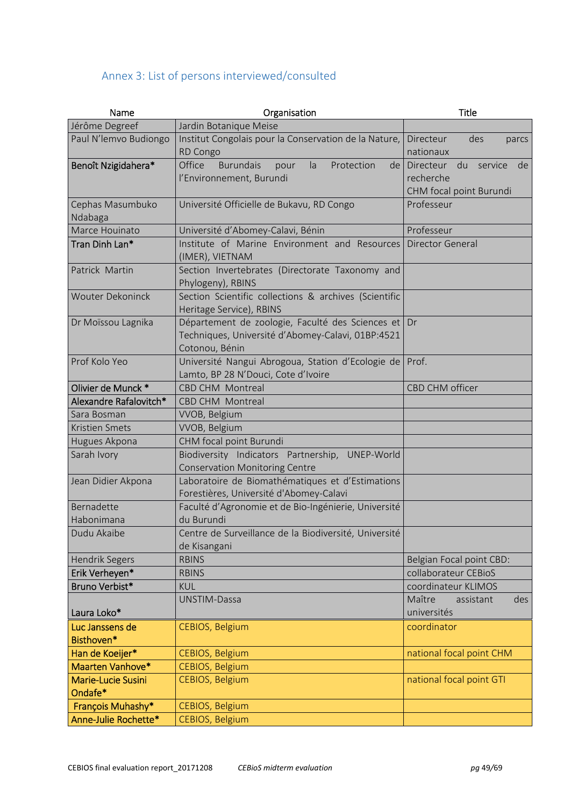# Annex 3: List of persons interviewed/consulted

| Name                          | Organisation                                                                                                               | <b>Title</b>                                                             |  |
|-------------------------------|----------------------------------------------------------------------------------------------------------------------------|--------------------------------------------------------------------------|--|
| Jérôme Degreef                | Jardin Botanique Meise                                                                                                     |                                                                          |  |
| Paul N'lemvo Budiongo         | Institut Congolais pour la Conservation de la Nature,<br>RD Congo                                                          | Directeur<br>des<br>parcs<br>nationaux                                   |  |
| Benoît Nzigidahera*           | Office<br><b>Burundais</b><br>Protection<br>la<br>pour<br>de <sub>1</sub><br>l'Environnement, Burundi                      | Directeur<br>du<br>service<br>de<br>recherche<br>CHM focal point Burundi |  |
| Cephas Masumbuko<br>Ndabaga   | Université Officielle de Bukavu, RD Congo                                                                                  | Professeur                                                               |  |
| Marce Houinato                | Université d'Abomey-Calavi, Bénin                                                                                          | Professeur                                                               |  |
| Tran Dinh Lan*                | Institute of Marine Environment and Resources<br>(IMER), VIETNAM                                                           | <b>Director General</b>                                                  |  |
| Patrick Martin                | Section Invertebrates (Directorate Taxonomy and<br>Phylogeny), RBINS                                                       |                                                                          |  |
| <b>Wouter Dekoninck</b>       | Section Scientific collections & archives (Scientific<br>Heritage Service), RBINS                                          |                                                                          |  |
| Dr Moïssou Lagnika            | Département de zoologie, Faculté des Sciences et Dr<br>Techniques, Université d'Abomey-Calavi, 01BP:4521<br>Cotonou, Bénin |                                                                          |  |
| Prof Kolo Yeo                 | Université Nangui Abrogoua, Station d'Ecologie de<br>Lamto, BP 28 N'Douci, Cote d'Ivoire                                   | Prof.                                                                    |  |
| Olivier de Munck *            | CBD CHM Montreal                                                                                                           | CBD CHM officer                                                          |  |
| Alexandre Rafalovitch*        | CBD CHM Montreal                                                                                                           |                                                                          |  |
| Sara Bosman                   | VVOB, Belgium                                                                                                              |                                                                          |  |
| Kristien Smets                | VVOB, Belgium                                                                                                              |                                                                          |  |
| Hugues Akpona                 | CHM focal point Burundi                                                                                                    |                                                                          |  |
| Sarah Ivory                   | Biodiversity Indicators Partnership, UNEP-World<br><b>Conservation Monitoring Centre</b>                                   |                                                                          |  |
| Jean Didier Akpona            | Laboratoire de Biomathématiques et d'Estimations<br>Forestières, Université d'Abomey-Calavi                                |                                                                          |  |
| Bernadette                    | Faculté d'Agronomie et de Bio-Ingénierie, Université                                                                       |                                                                          |  |
| Habonimana                    | du Burundi                                                                                                                 |                                                                          |  |
| Dudu Akaibe                   | Centre de Surveillance de la Biodiversité, Université<br>de Kisangani                                                      |                                                                          |  |
| <b>Hendrik Segers</b>         | <b>RBINS</b>                                                                                                               | Belgian Focal point CBD:                                                 |  |
| Erik Verheyen*                | <b>RBINS</b>                                                                                                               | collaborateur CEBioS                                                     |  |
| Bruno Verbist*                | <b>KUL</b>                                                                                                                 | coordinateur KLIMOS                                                      |  |
| Laura Loko*                   | UNSTIM-Dassa                                                                                                               | Maître<br>assistant<br>des<br>universités                                |  |
| Luc Janssens de<br>Bisthoven* | CEBIOS, Belgium                                                                                                            | coordinator                                                              |  |
| Han de Koeijer*               | CEBIOS, Belgium                                                                                                            | national focal point CHM                                                 |  |
| Maarten Vanhove*              | CEBIOS, Belgium                                                                                                            |                                                                          |  |
| Marie-Lucie Susini<br>Ondafe* | CEBIOS, Belgium                                                                                                            | national focal point GTI                                                 |  |
| François Muhashy*             | CEBIOS, Belgium                                                                                                            |                                                                          |  |
| Anne-Julie Rochette*          | CEBIOS, Belgium                                                                                                            |                                                                          |  |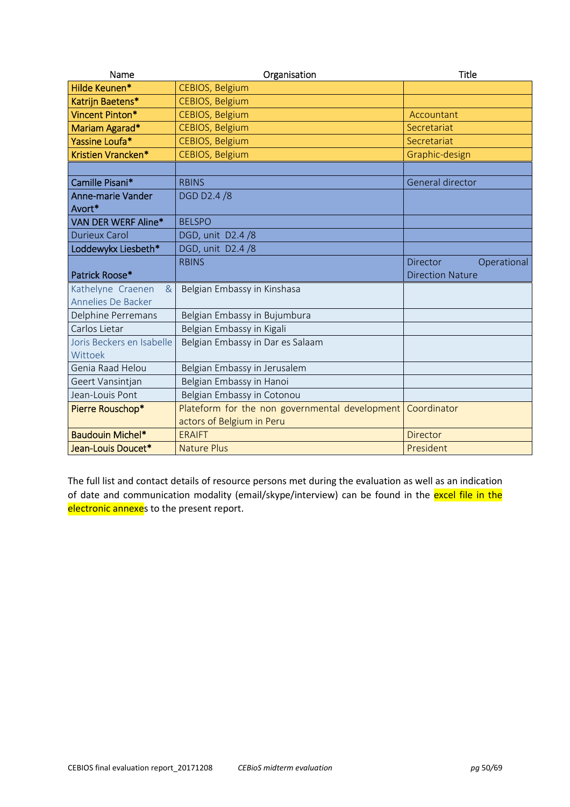| Name                      | Organisation                                   | <b>Title</b>                   |
|---------------------------|------------------------------------------------|--------------------------------|
| Hilde Keunen*             | CEBIOS, Belgium                                |                                |
| Katrijn Baetens*          | CEBIOS, Belgium                                |                                |
| Vincent Pinton*           | <b>CEBIOS, Belgium</b>                         | Accountant                     |
| Mariam Agarad*            | CEBIOS, Belgium                                | Secretariat                    |
| Yassine Loufa*            | CEBIOS, Belgium                                | Secretariat                    |
| Kristien Vrancken*        | CEBIOS, Belgium                                | Graphic-design                 |
|                           |                                                |                                |
| Camille Pisani*           | <b>RBINS</b>                                   | General director               |
| <b>Anne-marie Vander</b>  | DGD D2.4 /8                                    |                                |
| Avort*                    |                                                |                                |
| VAN DER WERF Aline*       | <b>BELSPO</b>                                  |                                |
| <b>Durieux Carol</b>      | DGD, unit D2.4 /8                              |                                |
| Loddewykx Liesbeth*       | DGD, unit D2.4 /8                              |                                |
|                           | <b>RBINS</b>                                   | <b>Director</b><br>Operational |
| Patrick Roose*            |                                                | <b>Direction Nature</b>        |
| Kathelyne Craenen<br>$\&$ | Belgian Embassy in Kinshasa                    |                                |
| Annelies De Backer        |                                                |                                |
| Delphine Perremans        | Belgian Embassy in Bujumbura                   |                                |
| Carlos Lietar             | Belgian Embassy in Kigali                      |                                |
| Joris Beckers en Isabelle | Belgian Embassy in Dar es Salaam               |                                |
| Wittoek                   |                                                |                                |
| Genia Raad Helou          | Belgian Embassy in Jerusalem                   |                                |
| Geert Vansintjan          | Belgian Embassy in Hanoi                       |                                |
| Jean-Louis Pont           | Belgian Embassy in Cotonou                     |                                |
| Pierre Rouschop*          | Plateform for the non governmental development | Coordinator                    |
|                           | actors of Belgium in Peru                      |                                |
| <b>Baudouin Michel*</b>   | <b>ERAIFT</b>                                  | <b>Director</b>                |
| Jean-Louis Doucet*        | <b>Nature Plus</b>                             | President                      |

The full list and contact details of resource persons met during the evaluation as well as an indication of date and communication modality (email/skype/interview) can be found in the excel file in the electronic annexes to the present report.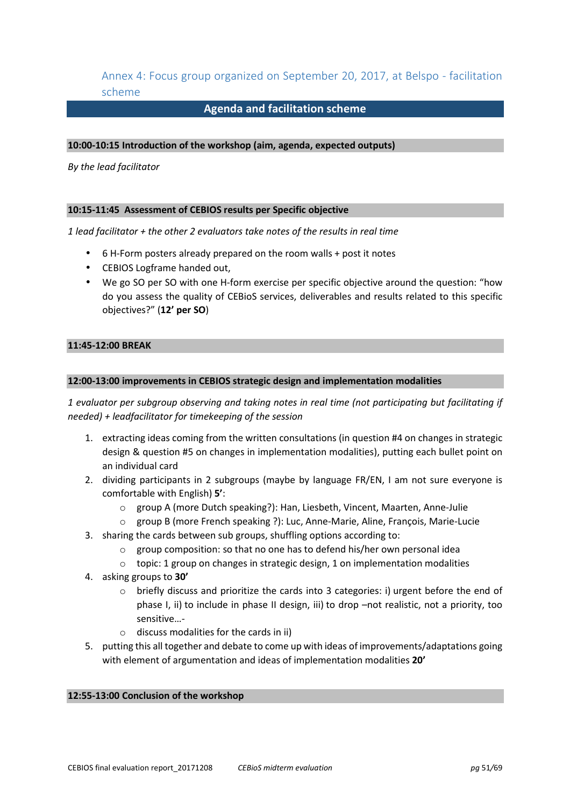Annex 4: Focus group organized on September 20, 2017, at Belspo - facilitation scheme

## **Agenda and facilitation scheme**

#### **10:00-10:15 Introduction of the workshop (aim, agenda, expected outputs)**

*By the lead facilitator* 

#### **10:15-11:45 Assessment of CEBIOS results per Specific objective**

*1 lead facilitator + the other 2 evaluators take notes of the results in real time* 

- 6 H-Form posters already prepared on the room walls + post it notes
- CEBIOS Logframe handed out,
- We go SO per SO with one H-form exercise per specific objective around the question: "how do you assess the quality of CEBioS services, deliverables and results related to this specific objectives?" (**12' per SO**)

#### **11:45-12:00 BREAK**

#### **12:00-13:00 improvements in CEBIOS strategic design and implementation modalities**

*1 evaluator per subgroup observing and taking notes in real time (not participating but facilitating if needed) + leadfacilitator for timekeeping of the session* 

- 1. extracting ideas coming from the written consultations (in question #4 on changes in strategic design & question #5 on changes in implementation modalities), putting each bullet point on an individual card
- 2. dividing participants in 2 subgroups (maybe by language FR/EN, I am not sure everyone is comfortable with English) **5'**:
	- o group A (more Dutch speaking?): Han, Liesbeth, Vincent, Maarten, Anne-Julie
	- o group B (more French speaking ?): Luc, Anne-Marie, Aline, François, Marie-Lucie
- 3. sharing the cards between sub groups, shuffling options according to:
	- o group composition: so that no one has to defend his/her own personal idea
	- $\circ$  topic: 1 group on changes in strategic design, 1 on implementation modalities
- 4. asking groups to **30'**
	- $\circ$  briefly discuss and prioritize the cards into 3 categories: i) urgent before the end of phase I, ii) to include in phase II design, iii) to drop –not realistic, not a priority, too sensitive…-
	- o discuss modalities for the cards in ii)
- 5. putting this all together and debate to come up with ideas of improvements/adaptations going with element of argumentation and ideas of implementation modalities **20'**

#### **12:55-13:00 Conclusion of the workshop**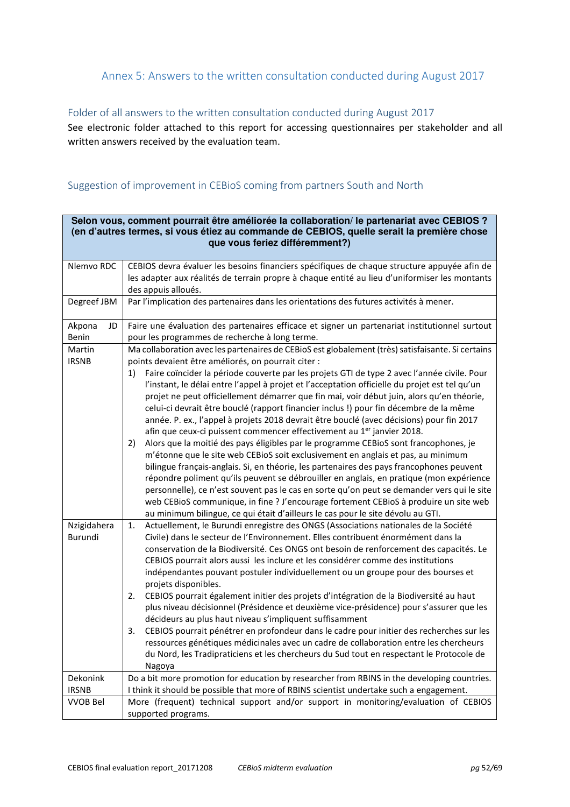# Annex 5: Answers to the written consultation conducted during August 2017

## Folder of all answers to the written consultation conducted during August 2017

See electronic folder attached to this report for accessing questionnaires per stakeholder and all written answers received by the evaluation team.

## Suggestion of improvement in CEBioS coming from partners South and North

| Selon vous, comment pourrait être améliorée la collaboration/ le partenariat avec CEBIOS ?<br>(en d'autres termes, si vous étiez au commande de CEBIOS, quelle serait la première chose<br>que vous feriez différemment?) |                                                                                                                                                                                                                                                                                                                                                                                                                                                                                                                                                                                                                                                                                                                                                                                                                                                                                                                                                                                                                                                                                                                                                                                                                                                                                                                                                                                            |  |  |
|---------------------------------------------------------------------------------------------------------------------------------------------------------------------------------------------------------------------------|--------------------------------------------------------------------------------------------------------------------------------------------------------------------------------------------------------------------------------------------------------------------------------------------------------------------------------------------------------------------------------------------------------------------------------------------------------------------------------------------------------------------------------------------------------------------------------------------------------------------------------------------------------------------------------------------------------------------------------------------------------------------------------------------------------------------------------------------------------------------------------------------------------------------------------------------------------------------------------------------------------------------------------------------------------------------------------------------------------------------------------------------------------------------------------------------------------------------------------------------------------------------------------------------------------------------------------------------------------------------------------------------|--|--|
|                                                                                                                                                                                                                           |                                                                                                                                                                                                                                                                                                                                                                                                                                                                                                                                                                                                                                                                                                                                                                                                                                                                                                                                                                                                                                                                                                                                                                                                                                                                                                                                                                                            |  |  |
| Nlemvo RDC                                                                                                                                                                                                                | CEBIOS devra évaluer les besoins financiers spécifiques de chaque structure appuyée afin de<br>les adapter aux réalités de terrain propre à chaque entité au lieu d'uniformiser les montants<br>des appuis alloués.                                                                                                                                                                                                                                                                                                                                                                                                                                                                                                                                                                                                                                                                                                                                                                                                                                                                                                                                                                                                                                                                                                                                                                        |  |  |
| Degreef JBM                                                                                                                                                                                                               | Par l'implication des partenaires dans les orientations des futures activités à mener.                                                                                                                                                                                                                                                                                                                                                                                                                                                                                                                                                                                                                                                                                                                                                                                                                                                                                                                                                                                                                                                                                                                                                                                                                                                                                                     |  |  |
| Akpona<br>JD<br>Benin                                                                                                                                                                                                     | Faire une évaluation des partenaires efficace et signer un partenariat institutionnel surtout<br>pour les programmes de recherche à long terme.                                                                                                                                                                                                                                                                                                                                                                                                                                                                                                                                                                                                                                                                                                                                                                                                                                                                                                                                                                                                                                                                                                                                                                                                                                            |  |  |
| Martin<br><b>IRSNB</b>                                                                                                                                                                                                    | Ma collaboration avec les partenaires de CEBioS est globalement (très) satisfaisante. Si certains<br>points devaient être améliorés, on pourrait citer :<br>Faire coïncider la période couverte par les projets GTI de type 2 avec l'année civile. Pour<br>1)<br>l'instant, le délai entre l'appel à projet et l'acceptation officielle du projet est tel qu'un<br>projet ne peut officiellement démarrer que fin mai, voir début juin, alors qu'en théorie,<br>celui-ci devrait être bouclé (rapport financier inclus !) pour fin décembre de la même<br>année. P. ex., l'appel à projets 2018 devrait être bouclé (avec décisions) pour fin 2017<br>afin que ceux-ci puissent commencer effectivement au 1 <sup>er</sup> janvier 2018.<br>Alors que la moitié des pays éligibles par le programme CEBioS sont francophones, je<br>2)<br>m'étonne que le site web CEBioS soit exclusivement en anglais et pas, au minimum<br>bilingue français-anglais. Si, en théorie, les partenaires des pays francophones peuvent<br>répondre poliment qu'ils peuvent se débrouiller en anglais, en pratique (mon expérience<br>personnelle), ce n'est souvent pas le cas en sorte qu'on peut se demander vers qui le site<br>web CEBioS communique, in fine ? J'encourage fortement CEBioS à produire un site web<br>au minimum bilingue, ce qui était d'ailleurs le cas pour le site dévolu au GTI. |  |  |
| Nzigidahera<br>Burundi                                                                                                                                                                                                    | Actuellement, le Burundi enregistre des ONGS (Associations nationales de la Société<br>1.<br>Civile) dans le secteur de l'Environnement. Elles contribuent énormément dans la<br>conservation de la Biodiversité. Ces ONGS ont besoin de renforcement des capacités. Le<br>CEBIOS pourrait alors aussi les inclure et les considérer comme des institutions<br>indépendantes pouvant postuler individuellement ou un groupe pour des bourses et<br>projets disponibles.<br>CEBIOS pourrait également initier des projets d'intégration de la Biodiversité au haut<br>2.<br>plus niveau décisionnel (Présidence et deuxième vice-présidence) pour s'assurer que les<br>décideurs au plus haut niveau s'impliquent suffisamment<br>CEBIOS pourrait pénétrer en profondeur dans le cadre pour initier des recherches sur les<br>3.<br>ressources génétiques médicinales avec un cadre de collaboration entre les chercheurs<br>du Nord, les Tradipraticiens et les chercheurs du Sud tout en respectant le Protocole de<br>Nagoya                                                                                                                                                                                                                                                                                                                                                             |  |  |
| Dekonink                                                                                                                                                                                                                  | Do a bit more promotion for education by researcher from RBINS in the developing countries.                                                                                                                                                                                                                                                                                                                                                                                                                                                                                                                                                                                                                                                                                                                                                                                                                                                                                                                                                                                                                                                                                                                                                                                                                                                                                                |  |  |
| <b>IRSNB</b>                                                                                                                                                                                                              | I think it should be possible that more of RBINS scientist undertake such a engagement.                                                                                                                                                                                                                                                                                                                                                                                                                                                                                                                                                                                                                                                                                                                                                                                                                                                                                                                                                                                                                                                                                                                                                                                                                                                                                                    |  |  |
| <b>VVOB Bel</b>                                                                                                                                                                                                           | More (frequent) technical support and/or support in monitoring/evaluation of CEBIOS<br>supported programs.                                                                                                                                                                                                                                                                                                                                                                                                                                                                                                                                                                                                                                                                                                                                                                                                                                                                                                                                                                                                                                                                                                                                                                                                                                                                                 |  |  |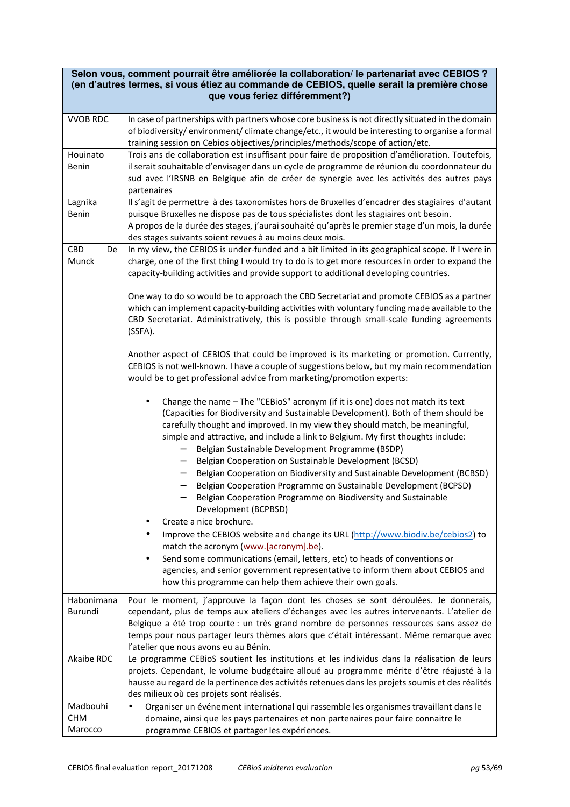|                   | Selon vous, comment pourrait être améliorée la collaboration/ le partenariat avec CEBIOS ?<br>(en d'autres termes, si vous étiez au commande de CEBIOS, quelle serait la première chose        |
|-------------------|------------------------------------------------------------------------------------------------------------------------------------------------------------------------------------------------|
|                   | que vous feriez différemment?)                                                                                                                                                                 |
|                   |                                                                                                                                                                                                |
| <b>VVOB RDC</b>   | In case of partnerships with partners whose core business is not directly situated in the domain                                                                                               |
|                   | of biodiversity/environment/climate change/etc., it would be interesting to organise a formal                                                                                                  |
|                   | training session on Cebios objectives/principles/methods/scope of action/etc.                                                                                                                  |
| Houinato<br>Benin | Trois ans de collaboration est insuffisant pour faire de proposition d'amélioration. Toutefois,<br>il serait souhaitable d'envisager dans un cycle de programme de réunion du coordonnateur du |
|                   | sud avec l'IRSNB en Belgique afin de créer de synergie avec les activités des autres pays                                                                                                      |
|                   | partenaires                                                                                                                                                                                    |
| Lagnika           | Il s'agit de permettre à des taxonomistes hors de Bruxelles d'encadrer des stagiaires d'autant                                                                                                 |
| Benin             | puisque Bruxelles ne dispose pas de tous spécialistes dont les stagiaires ont besoin.                                                                                                          |
|                   | A propos de la durée des stages, j'aurai souhaité qu'après le premier stage d'un mois, la durée                                                                                                |
|                   | des stages suivants soient revues à au moins deux mois.                                                                                                                                        |
| CBD<br>De         | In my view, the CEBIOS is under-funded and a bit limited in its geographical scope. If I were in                                                                                               |
| Munck             | charge, one of the first thing I would try to do is to get more resources in order to expand the                                                                                               |
|                   | capacity-building activities and provide support to additional developing countries.                                                                                                           |
|                   |                                                                                                                                                                                                |
|                   | One way to do so would be to approach the CBD Secretariat and promote CEBIOS as a partner                                                                                                      |
|                   | which can implement capacity-building activities with voluntary funding made available to the                                                                                                  |
|                   | CBD Secretariat. Administratively, this is possible through small-scale funding agreements                                                                                                     |
|                   | (SSFA).                                                                                                                                                                                        |
|                   |                                                                                                                                                                                                |
|                   | Another aspect of CEBIOS that could be improved is its marketing or promotion. Currently,                                                                                                      |
|                   | CEBIOS is not well-known. I have a couple of suggestions below, but my main recommendation                                                                                                     |
|                   | would be to get professional advice from marketing/promotion experts:                                                                                                                          |
|                   |                                                                                                                                                                                                |
|                   | Change the name - The "CEBioS" acronym (if it is one) does not match its text<br>$\bullet$                                                                                                     |
|                   | (Capacities for Biodiversity and Sustainable Development). Both of them should be                                                                                                              |
|                   | carefully thought and improved. In my view they should match, be meaningful,                                                                                                                   |
|                   | simple and attractive, and include a link to Belgium. My first thoughts include:                                                                                                               |
|                   | Belgian Sustainable Development Programme (BSDP)                                                                                                                                               |
|                   | Belgian Cooperation on Sustainable Development (BCSD)                                                                                                                                          |
|                   | Belgian Cooperation on Biodiversity and Sustainable Development (BCBSD)<br>$\qquad \qquad -$                                                                                                   |
|                   | Belgian Cooperation Programme on Sustainable Development (BCPSD)                                                                                                                               |
|                   | Belgian Cooperation Programme on Biodiversity and Sustainable                                                                                                                                  |
|                   | Development (BCPBSD)                                                                                                                                                                           |
|                   | Create a nice brochure.                                                                                                                                                                        |
|                   | Improve the CEBIOS website and change its URL (http://www.biodiv.be/cebios2) to                                                                                                                |
|                   | match the acronym (www.facronym].be).                                                                                                                                                          |
|                   | Send some communications (email, letters, etc) to heads of conventions or                                                                                                                      |
|                   | agencies, and senior government representative to inform them about CEBIOS and                                                                                                                 |
|                   | how this programme can help them achieve their own goals.                                                                                                                                      |
| Habonimana        | Pour le moment, j'approuve la façon dont les choses se sont déroulées. Je donnerais,                                                                                                           |
| Burundi           | cependant, plus de temps aux ateliers d'échanges avec les autres intervenants. L'atelier de                                                                                                    |
|                   | Belgique a été trop courte : un très grand nombre de personnes ressources sans assez de                                                                                                        |
|                   | temps pour nous partager leurs thèmes alors que c'était intéressant. Même remarque avec                                                                                                        |
|                   | l'atelier que nous avons eu au Bénin.                                                                                                                                                          |
| Akaibe RDC        | Le programme CEBioS soutient les institutions et les individus dans la réalisation de leurs                                                                                                    |
|                   | projets. Cependant, le volume budgétaire alloué au programme mérite d'être réajusté à la                                                                                                       |
|                   | hausse au regard de la pertinence des activités retenues dans les projets soumis et des réalités                                                                                               |
|                   | des milieux où ces projets sont réalisés.                                                                                                                                                      |
| Madbouhi          | Organiser un événement international qui rassemble les organismes travaillant dans le<br>$\bullet$                                                                                             |
| <b>CHM</b>        | domaine, ainsi que les pays partenaires et non partenaires pour faire connaitre le                                                                                                             |
| Marocco           | programme CEBIOS et partager les expériences.                                                                                                                                                  |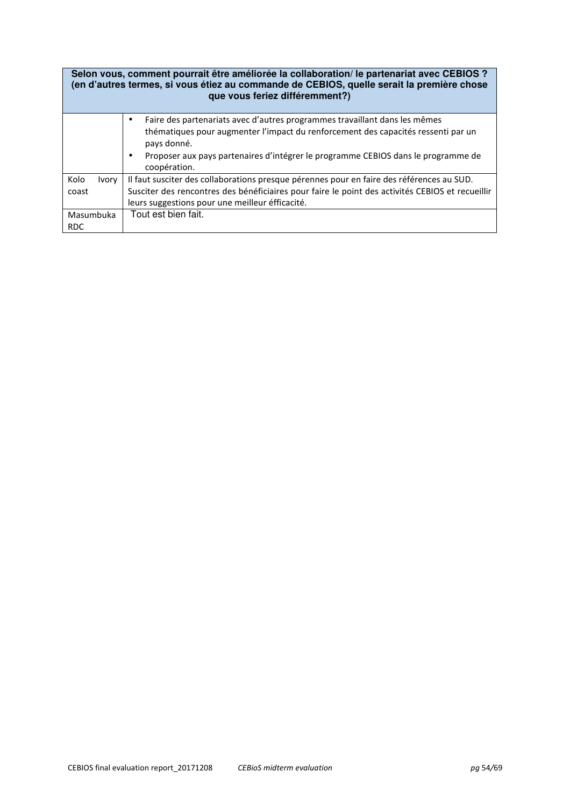|               | Selon vous, comment pourrait être améliorée la collaboration/ le partenariat avec CEBIOS ?<br>(en d'autres termes, si vous étiez au commande de CEBIOS, quelle serait la première chose<br>que vous feriez différemment?) |
|---------------|---------------------------------------------------------------------------------------------------------------------------------------------------------------------------------------------------------------------------|
|               | Faire des partenariats avec d'autres programmes travaillant dans les mêmes<br>$\bullet$                                                                                                                                   |
|               | thématiques pour augmenter l'impact du renforcement des capacités ressenti par un<br>pays donné.                                                                                                                          |
|               | Proposer aux pays partenaires d'intégrer le programme CEBIOS dans le programme de<br>$\bullet$<br>coopération.                                                                                                            |
| Kolo<br>Ivory | Il faut susciter des collaborations presque pérennes pour en faire des références au SUD.                                                                                                                                 |
| coast         | Susciter des rencontres des bénéficiaires pour faire le point des activités CEBIOS et recueillir                                                                                                                          |
|               | leurs suggestions pour une meilleur éfficacité.                                                                                                                                                                           |
| Masumbuka     | Tout est bien fait.                                                                                                                                                                                                       |
| <b>RDC</b>    |                                                                                                                                                                                                                           |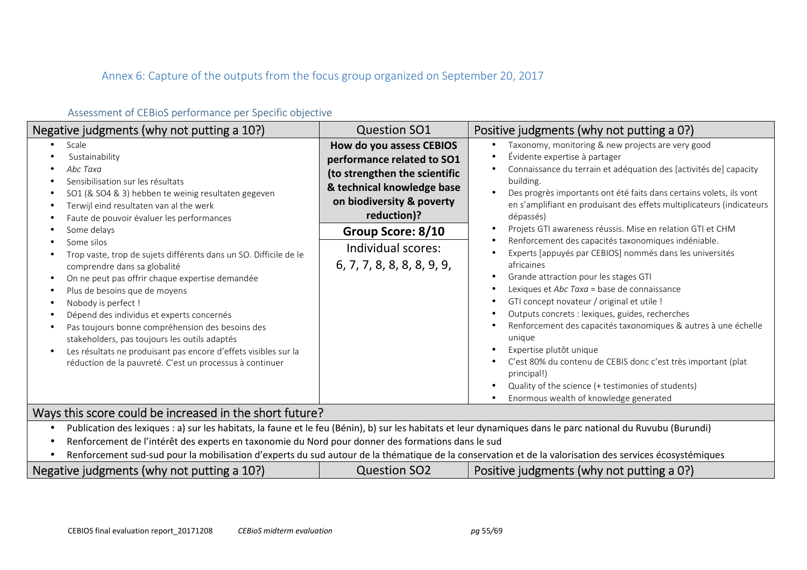# Annex 6: Capture of the outputs from the focus group organized on September 20, 2017

| Negative judgments (why not putting a 10?)                                                                                                                                                                                                                                                                                                                                                                                                                                                                                                                                                                                                                                                                                                            | <b>Question SO1</b>                                                                                                                                                                                                                        | Positive judgments (why not putting a 0?)                                                                                                                                                                                                                                                                                                                                                                                                                                                                                                                                                                                                                                                                                                                                                                                                                                                                                                                                                                                                                                                   |
|-------------------------------------------------------------------------------------------------------------------------------------------------------------------------------------------------------------------------------------------------------------------------------------------------------------------------------------------------------------------------------------------------------------------------------------------------------------------------------------------------------------------------------------------------------------------------------------------------------------------------------------------------------------------------------------------------------------------------------------------------------|--------------------------------------------------------------------------------------------------------------------------------------------------------------------------------------------------------------------------------------------|---------------------------------------------------------------------------------------------------------------------------------------------------------------------------------------------------------------------------------------------------------------------------------------------------------------------------------------------------------------------------------------------------------------------------------------------------------------------------------------------------------------------------------------------------------------------------------------------------------------------------------------------------------------------------------------------------------------------------------------------------------------------------------------------------------------------------------------------------------------------------------------------------------------------------------------------------------------------------------------------------------------------------------------------------------------------------------------------|
| Scale<br>Sustainability<br>Abc Taxa<br>Sensibilisation sur les résultats<br>SO1 (& SO4 & 3) hebben te weinig resultaten gegeven<br>Terwijl eind resultaten van al the werk<br>Faute de pouvoir évaluer les performances<br>Some delays<br>Some silos<br>Trop vaste, trop de sujets différents dans un SO. Difficile de le<br>comprendre dans sa globalité<br>On ne peut pas offrir chaque expertise demandée<br>Plus de besoins que de moyens<br>Nobody is perfect !<br>Dépend des individus et experts concernés<br>Pas toujours bonne compréhension des besoins des<br>stakeholders, pas toujours les outils adaptés<br>Les résultats ne produisant pas encore d'effets visibles sur la<br>réduction de la pauvreté. C'est un processus à continuer | How do you assess CEBIOS<br>performance related to SO1<br>(to strengthen the scientific<br>& technical knowledge base<br>on biodiversity & poverty<br>reduction)?<br>Group Score: 8/10<br>Individual scores:<br>6, 7, 7, 8, 8, 8, 8, 9, 9, | Taxonomy, monitoring & new projects are very good<br>$\bullet$<br>Évidente expertise à partager<br>$\bullet$<br>Connaissance du terrain et adéquation des [activités de] capacity<br>٠<br>building.<br>Des progrès importants ont été faits dans certains volets, ils vont<br>$\bullet$<br>en s'amplifiant en produisant des effets multiplicateurs (indicateurs<br>dépassés)<br>Projets GTI awareness réussis. Mise en relation GTI et CHM<br>$\bullet$<br>Renforcement des capacités taxonomiques indéniable.<br>Experts [appuyés par CEBIOS] nommés dans les universités<br>africaines<br>Grande attraction pour les stages GTI<br>٠<br>Lexiques et Abc Taxa = base de connaissance<br>GTI concept novateur / original et utile !<br>Outputs concrets : lexiques, guides, recherches<br>Renforcement des capacités taxonomiques & autres à une échelle<br>unique<br>Expertise plutôt unique<br>C'est 80% du contenu de CEBIS donc c'est très important (plat<br>principal!)<br>Quality of the science (+ testimonies of students)<br>$\bullet$<br>Enormous wealth of knowledge generated |

## Assessment of CEBioS performance per Specific objective

## Ways this score could be increased in the short future?

- •Publication des lexiques : a) sur les habitats, la faune et le feu (Bénin), b) sur les habitats et leur dynamiques dans le parc national du Ruvubu (Burundi)
- •Renforcement de l'intérêt des experts en taxonomie du Nord pour donner des formations dans le sud
- •Renforcement sud-sud pour la mobilisation d'experts du sud autour de la thématique de la conservation et de la valorisation des services écosystémiques

| Negative judgments (why not putting a 10?) | <b>Question SO2</b> | Positive judgments (why not putting a 0?) |  |
|--------------------------------------------|---------------------|-------------------------------------------|--|
|--------------------------------------------|---------------------|-------------------------------------------|--|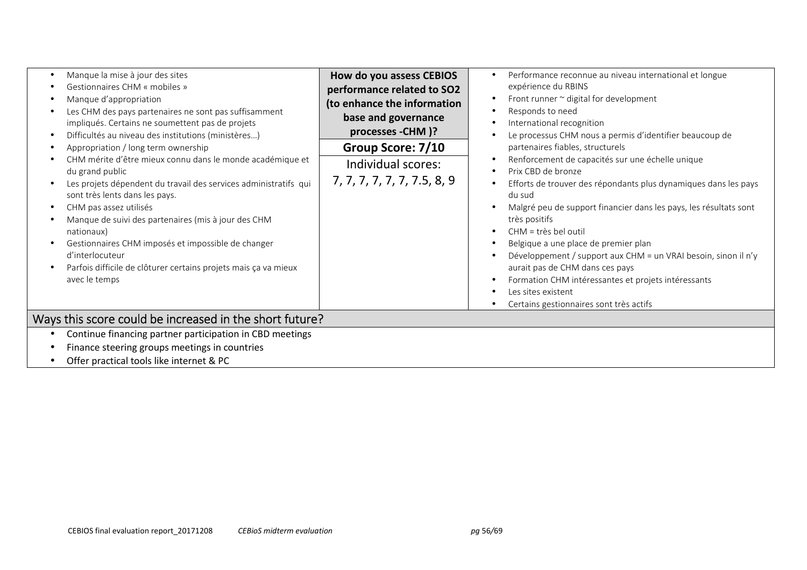| Manque la mise à jour des sites<br>Gestionnaires CHM « mobiles »<br>Manque d'appropriation<br>Les CHM des pays partenaires ne sont pas suffisamment<br>impliqués. Certains ne soumettent pas de projets<br>Difficultés au niveau des institutions (ministères)<br>Appropriation / long term ownership<br>CHM mérite d'être mieux connu dans le monde académique et<br>du grand public<br>Les projets dépendent du travail des services administratifs qui<br>sont très lents dans les pays.<br>CHM pas assez utilisés<br>Manque de suivi des partenaires (mis à jour des CHM<br>nationaux)<br>Gestionnaires CHM imposés et impossible de changer<br>d'interlocuteur<br>Parfois difficile de clôturer certains projets mais ça va mieux<br>avec le temps | How do you assess CEBIOS<br>performance related to SO2<br>(to enhance the information<br>base and governance<br>processes - CHM )?<br>Group Score: 7/10<br>Individual scores:<br>7, 7, 7, 7, 7, 7, 7.5, 8, 9 | Performance reconnue au niveau international et longue<br>$\bullet$<br>expérience du RBINS<br>Front runner $\sim$ digital for development<br>$\bullet$<br>Responds to need<br>International recognition<br>Le processus CHM nous a permis d'identifier beaucoup de<br>partenaires fiables, structurels<br>Renforcement de capacités sur une échelle unique<br>Prix CBD de bronze<br>Efforts de trouver des répondants plus dynamiques dans les pays<br>du sud<br>Malgré peu de support financier dans les pays, les résultats sont<br>très positifs<br>CHM = très bel outil<br>Belgique a une place de premier plan<br>Développement / support aux CHM = un VRAI besoin, sinon il n'y<br>aurait pas de CHM dans ces pays<br>Formation CHM intéressantes et projets intéressants<br>Les sites existent |  |
|---------------------------------------------------------------------------------------------------------------------------------------------------------------------------------------------------------------------------------------------------------------------------------------------------------------------------------------------------------------------------------------------------------------------------------------------------------------------------------------------------------------------------------------------------------------------------------------------------------------------------------------------------------------------------------------------------------------------------------------------------------|--------------------------------------------------------------------------------------------------------------------------------------------------------------------------------------------------------------|-------------------------------------------------------------------------------------------------------------------------------------------------------------------------------------------------------------------------------------------------------------------------------------------------------------------------------------------------------------------------------------------------------------------------------------------------------------------------------------------------------------------------------------------------------------------------------------------------------------------------------------------------------------------------------------------------------------------------------------------------------------------------------------------------------|--|
| Ways this score could be increased in the short future?                                                                                                                                                                                                                                                                                                                                                                                                                                                                                                                                                                                                                                                                                                 |                                                                                                                                                                                                              | Certains gestionnaires sont très actifs                                                                                                                                                                                                                                                                                                                                                                                                                                                                                                                                                                                                                                                                                                                                                               |  |
|                                                                                                                                                                                                                                                                                                                                                                                                                                                                                                                                                                                                                                                                                                                                                         |                                                                                                                                                                                                              |                                                                                                                                                                                                                                                                                                                                                                                                                                                                                                                                                                                                                                                                                                                                                                                                       |  |
| Continue financing partner participation in CBD meetings                                                                                                                                                                                                                                                                                                                                                                                                                                                                                                                                                                                                                                                                                                |                                                                                                                                                                                                              |                                                                                                                                                                                                                                                                                                                                                                                                                                                                                                                                                                                                                                                                                                                                                                                                       |  |
| Finance steering groups meetings in countries                                                                                                                                                                                                                                                                                                                                                                                                                                                                                                                                                                                                                                                                                                           |                                                                                                                                                                                                              |                                                                                                                                                                                                                                                                                                                                                                                                                                                                                                                                                                                                                                                                                                                                                                                                       |  |
| Offer practical tools like internet & PC                                                                                                                                                                                                                                                                                                                                                                                                                                                                                                                                                                                                                                                                                                                |                                                                                                                                                                                                              |                                                                                                                                                                                                                                                                                                                                                                                                                                                                                                                                                                                                                                                                                                                                                                                                       |  |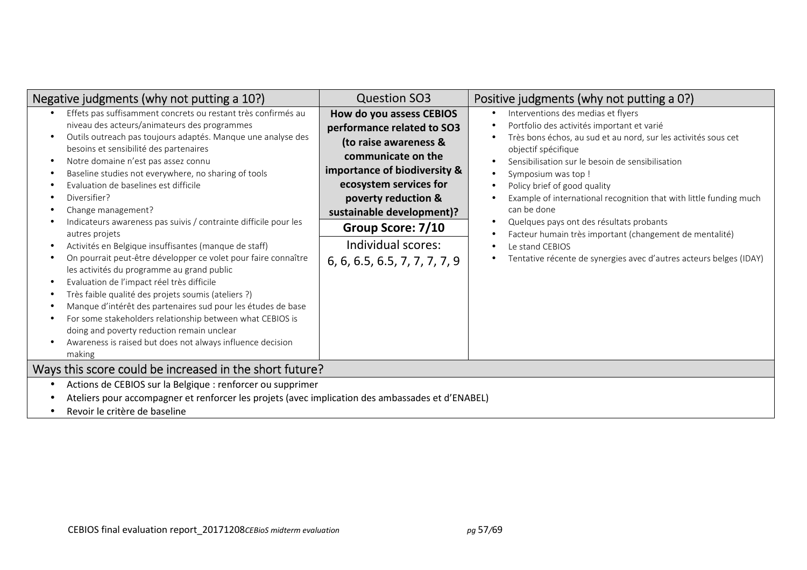| Negative judgments (why not putting a 10?)                                                                                                                                                                                                                                                                                                                                                                                                                                                                                                                                                                                                                                                                                                                                                                                                                                                                                                                                                                                   | <b>Question SO3</b>                                                                                                                                                                                                                                                                             | Positive judgments (why not putting a 0?)                                                                                                                                                                                                                                                                                                                                                                                                                                                                                                                                                                       |  |
|------------------------------------------------------------------------------------------------------------------------------------------------------------------------------------------------------------------------------------------------------------------------------------------------------------------------------------------------------------------------------------------------------------------------------------------------------------------------------------------------------------------------------------------------------------------------------------------------------------------------------------------------------------------------------------------------------------------------------------------------------------------------------------------------------------------------------------------------------------------------------------------------------------------------------------------------------------------------------------------------------------------------------|-------------------------------------------------------------------------------------------------------------------------------------------------------------------------------------------------------------------------------------------------------------------------------------------------|-----------------------------------------------------------------------------------------------------------------------------------------------------------------------------------------------------------------------------------------------------------------------------------------------------------------------------------------------------------------------------------------------------------------------------------------------------------------------------------------------------------------------------------------------------------------------------------------------------------------|--|
| Effets pas suffisamment concrets ou restant très confirmés au<br>niveau des acteurs/animateurs des programmes<br>Outils outreach pas toujours adaptés. Manque une analyse des<br>besoins et sensibilité des partenaires<br>Notre domaine n'est pas assez connu<br>Baseline studies not everywhere, no sharing of tools<br>Evaluation de baselines est difficile<br>Diversifier?<br>Change management?<br>Indicateurs awareness pas suivis / contrainte difficile pour les<br>autres projets<br>Activités en Belgique insuffisantes (manque de staff)<br>On pourrait peut-être développer ce volet pour faire connaître<br>les activités du programme au grand public<br>Evaluation de l'impact réel très difficile<br>Très faible qualité des projets soumis (ateliers ?)<br>Manque d'intérêt des partenaires sud pour les études de base<br>For some stakeholders relationship between what CEBIOS is<br>doing and poverty reduction remain unclear<br>Awareness is raised but does not always influence decision<br>making | How do you assess CEBIOS<br>performance related to SO3<br>(to raise awareness &<br>communicate on the<br>importance of biodiversity &<br>ecosystem services for<br>poverty reduction &<br>sustainable development)?<br>Group Score: 7/10<br>Individual scores:<br>6, 6, 6.5, 6.5, 7, 7, 7, 7, 9 | Interventions des medias et flyers<br>$\bullet$<br>Portfolio des activités important et varié<br>Très bons échos, au sud et au nord, sur les activités sous cet<br>objectif spécifique<br>Sensibilisation sur le besoin de sensibilisation<br>Symposium was top!<br>Policy brief of good quality<br>Example of international recognition that with little funding much<br>can be done<br>Quelques pays ont des résultats probants<br>$\bullet$<br>Facteur humain très important (changement de mentalité)<br>Le stand CEBIOS<br>$\bullet$<br>Tentative récente de synergies avec d'autres acteurs belges (IDAY) |  |
| Ways this score could be increased in the short future?                                                                                                                                                                                                                                                                                                                                                                                                                                                                                                                                                                                                                                                                                                                                                                                                                                                                                                                                                                      |                                                                                                                                                                                                                                                                                                 |                                                                                                                                                                                                                                                                                                                                                                                                                                                                                                                                                                                                                 |  |
| Actions de CEBIOS sur la Belgique : renforcer ou supprimer<br>Ateliers pour accompagner et renforcer les projets (avec implication des ambassades et d'ENABEL)<br>Revoir le critère de baseline                                                                                                                                                                                                                                                                                                                                                                                                                                                                                                                                                                                                                                                                                                                                                                                                                              |                                                                                                                                                                                                                                                                                                 |                                                                                                                                                                                                                                                                                                                                                                                                                                                                                                                                                                                                                 |  |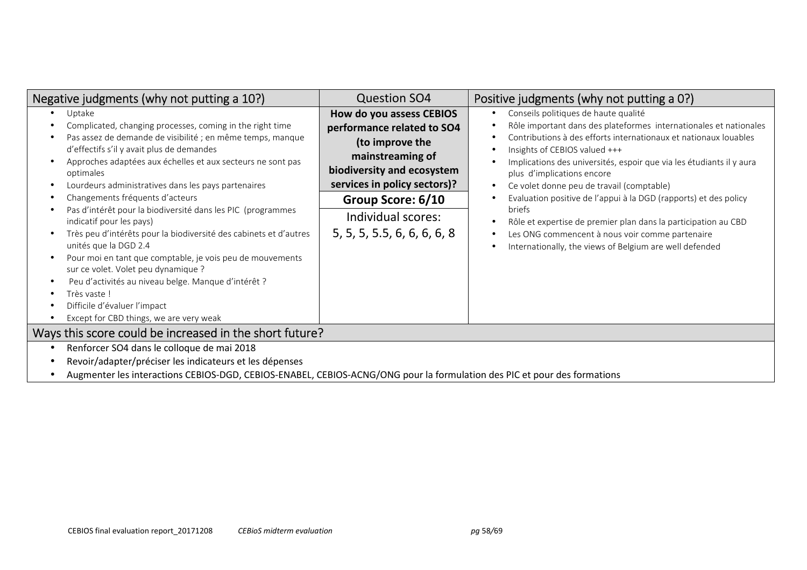| Negative judgments (why not putting a 10?)                                                                                                                                                                                                                                                                                                                                                                                                                                                                                                                                                                                                                                                                                                                                                         | <b>Question SO4</b>                                                                                                                                                                                                                   | Positive judgments (why not putting a 0?)                                                                                                                                                                                                                                                                                                                                                                                                                                                                                                                                                                                       |  |
|----------------------------------------------------------------------------------------------------------------------------------------------------------------------------------------------------------------------------------------------------------------------------------------------------------------------------------------------------------------------------------------------------------------------------------------------------------------------------------------------------------------------------------------------------------------------------------------------------------------------------------------------------------------------------------------------------------------------------------------------------------------------------------------------------|---------------------------------------------------------------------------------------------------------------------------------------------------------------------------------------------------------------------------------------|---------------------------------------------------------------------------------------------------------------------------------------------------------------------------------------------------------------------------------------------------------------------------------------------------------------------------------------------------------------------------------------------------------------------------------------------------------------------------------------------------------------------------------------------------------------------------------------------------------------------------------|--|
| Uptake<br>Complicated, changing processes, coming in the right time<br>Pas assez de demande de visibilité ; en même temps, manque<br>d'effectifs s'il y avait plus de demandes<br>Approches adaptées aux échelles et aux secteurs ne sont pas<br>optimales<br>Lourdeurs administratives dans les pays partenaires<br>Changements fréquents d'acteurs<br>Pas d'intérêt pour la biodiversité dans les PIC (programmes<br>indicatif pour les pays)<br>Très peu d'intérêts pour la biodiversité des cabinets et d'autres<br>unités que la DGD 2.4<br>Pour moi en tant que comptable, je vois peu de mouvements<br>sur ce volet. Volet peu dynamique ?<br>Peu d'activités au niveau belge. Manque d'intérêt ?<br>Très vaste!<br>Difficile d'évaluer l'impact<br>Except for CBD things, we are very weak | How do you assess CEBIOS<br>performance related to SO4<br>(to improve the<br>mainstreaming of<br>biodiversity and ecosystem<br>services in policy sectors)?<br>Group Score: 6/10<br>Individual scores:<br>5, 5, 5, 5.5, 6, 6, 6, 6, 8 | Conseils politiques de haute qualité<br>Rôle important dans des plateformes internationales et nationales<br>Contributions à des efforts internationaux et nationaux louables<br>Insights of CEBIOS valued +++<br>Implications des universités, espoir que via les étudiants il y aura<br>plus d'implications encore<br>Ce volet donne peu de travail (comptable)<br>Evaluation positive de l'appui à la DGD (rapports) et des policy<br>briefs<br>Rôle et expertise de premier plan dans la participation au CBD<br>Les ONG commencent à nous voir comme partenaire<br>Internationally, the views of Belgium are well defended |  |
| Ways this score could be increased in the short future?                                                                                                                                                                                                                                                                                                                                                                                                                                                                                                                                                                                                                                                                                                                                            |                                                                                                                                                                                                                                       |                                                                                                                                                                                                                                                                                                                                                                                                                                                                                                                                                                                                                                 |  |
| Renforcer SO4 dans le colloque de mai 2018<br>Revoir/adapter/préciser les indicateurs et les dépenses<br>Augmenter les interactions CEBIOS-DGD, CEBIOS-ENABEL, CEBIOS-ACNG/ONG pour la formulation des PIC et pour des formations                                                                                                                                                                                                                                                                                                                                                                                                                                                                                                                                                                  |                                                                                                                                                                                                                                       |                                                                                                                                                                                                                                                                                                                                                                                                                                                                                                                                                                                                                                 |  |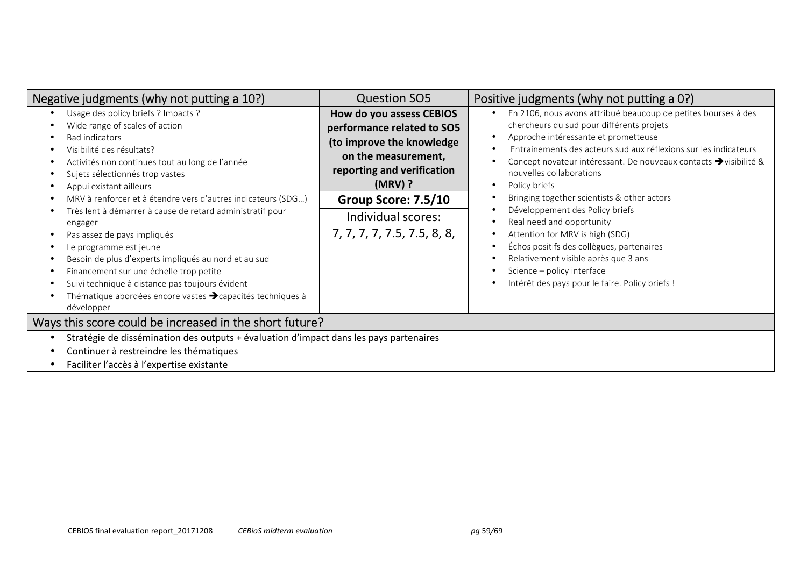| Negative judgments (why not putting a 10?)                                                                                                                                                                                                                                                                                                                                                                                                                                                                                                                                                                                                                                      | <b>Question SO5</b>                                                                                                                                                                                                               | Positive judgments (why not putting a 0?)                                                                                                                                                                                                                                                                                                                                                                                                                                                                                                                                                                                                                                                                                                 |
|---------------------------------------------------------------------------------------------------------------------------------------------------------------------------------------------------------------------------------------------------------------------------------------------------------------------------------------------------------------------------------------------------------------------------------------------------------------------------------------------------------------------------------------------------------------------------------------------------------------------------------------------------------------------------------|-----------------------------------------------------------------------------------------------------------------------------------------------------------------------------------------------------------------------------------|-------------------------------------------------------------------------------------------------------------------------------------------------------------------------------------------------------------------------------------------------------------------------------------------------------------------------------------------------------------------------------------------------------------------------------------------------------------------------------------------------------------------------------------------------------------------------------------------------------------------------------------------------------------------------------------------------------------------------------------------|
| Usage des policy briefs ? Impacts ?<br>Wide range of scales of action<br><b>Bad indicators</b><br>Visibilité des résultats?<br>Activités non continues tout au long de l'année<br>Sujets sélectionnés trop vastes<br>Appui existant ailleurs<br>MRV à renforcer et à étendre vers d'autres indicateurs (SDG)<br>Très lent à démarrer à cause de retard administratif pour<br>engager<br>Pas assez de pays impliqués<br>Le programme est jeune<br>Besoin de plus d'experts impliqués au nord et au sud<br>Financement sur une échelle trop petite<br>Suivi technique à distance pas toujours évident<br>Thématique abordées encore vastes > capacités techniques à<br>développer | How do you assess CEBIOS<br>performance related to SO5<br>(to improve the knowledge<br>on the measurement,<br>reporting and verification<br>$(MRV)$ ?<br>Group Score: 7.5/10<br>Individual scores:<br>7, 7, 7, 7, 7.5, 7.5, 8, 8, | En 2106, nous avons attribué beaucoup de petites bourses à des<br>$\bullet$<br>chercheurs du sud pour différents projets<br>Approche intéressante et prometteuse<br>$\bullet$<br>Entrainements des acteurs sud aux réflexions sur les indicateurs<br>Concept novateur intéressant. De nouveaux contacts → visibilité &<br>nouvelles collaborations<br>Policy briefs<br>$\bullet$<br>Bringing together scientists & other actors<br>٠<br>Développement des Policy briefs<br>$\bullet$<br>Real need and opportunity<br>Attention for MRV is high (SDG)<br>٠<br>Échos positifs des collègues, partenaires<br>٠<br>Relativement visible après que 3 ans<br>٠<br>Science - policy interface<br>Intérêt des pays pour le faire. Policy briefs ! |
| Ways this score could be increased in the short future?                                                                                                                                                                                                                                                                                                                                                                                                                                                                                                                                                                                                                         |                                                                                                                                                                                                                                   |                                                                                                                                                                                                                                                                                                                                                                                                                                                                                                                                                                                                                                                                                                                                           |
| Stratégie de dissémination des outputs + évaluation d'impact dans les pays partenaires<br>Continuer à restreindre les thématiques<br>Faciliter l'accès à l'expertise existante                                                                                                                                                                                                                                                                                                                                                                                                                                                                                                  |                                                                                                                                                                                                                                   |                                                                                                                                                                                                                                                                                                                                                                                                                                                                                                                                                                                                                                                                                                                                           |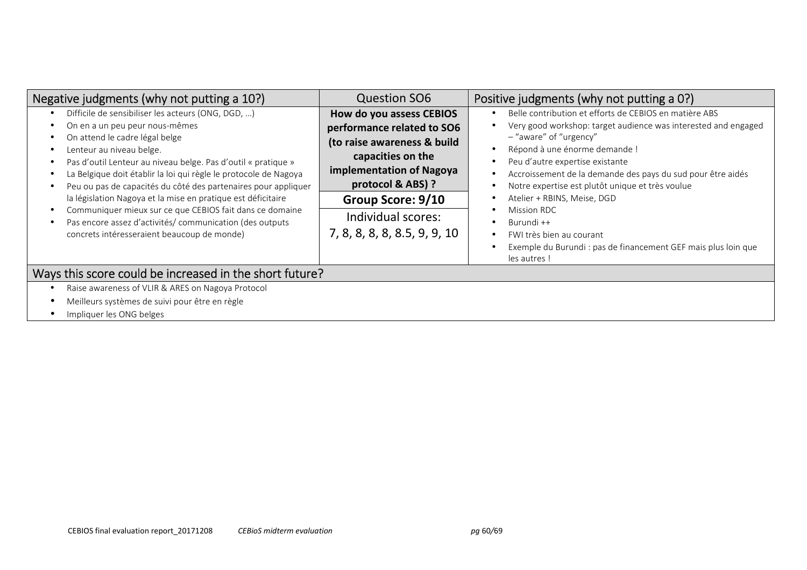| Negative judgments (why not putting a 10?)                                                                                                                                                                                                                                                                                                                                                                                                                                                                                                                                                       | <b>Question SO6</b>                                                                                                                                                                                                                    | Positive judgments (why not putting a 0?)                                                                                                                                                                                                                                                                                                                                                                                                                                                                                                                                                                                 |
|--------------------------------------------------------------------------------------------------------------------------------------------------------------------------------------------------------------------------------------------------------------------------------------------------------------------------------------------------------------------------------------------------------------------------------------------------------------------------------------------------------------------------------------------------------------------------------------------------|----------------------------------------------------------------------------------------------------------------------------------------------------------------------------------------------------------------------------------------|---------------------------------------------------------------------------------------------------------------------------------------------------------------------------------------------------------------------------------------------------------------------------------------------------------------------------------------------------------------------------------------------------------------------------------------------------------------------------------------------------------------------------------------------------------------------------------------------------------------------------|
| Difficile de sensibiliser les acteurs (ONG, DGD, )<br>On en a un peu peur nous-mêmes<br>On attend le cadre légal belge<br>Lenteur au niveau belge.<br>Pas d'outil Lenteur au niveau belge. Pas d'outil « pratique »<br>La Belgique doit établir la loi qui règle le protocole de Nagoya<br>Peu ou pas de capacités du côté des partenaires pour appliquer<br>la législation Nagoya et la mise en pratique est déficitaire<br>Communiquer mieux sur ce que CEBIOS fait dans ce domaine<br>Pas encore assez d'activités/ communication (des outputs<br>concrets intéresseraient beaucoup de monde) | How do you assess CEBIOS<br>performance related to SO6<br>(to raise awareness & build<br>capacities on the<br>implementation of Nagoya<br>protocol & ABS) ?<br>Group Score: 9/10<br>Individual scores:<br>7, 8, 8, 8, 8, 8.5, 9, 9, 10 | Belle contribution et efforts de CEBIOS en matière ABS<br>$\bullet$<br>Very good workshop: target audience was interested and engaged<br>٠<br>- "aware" of "urgency"<br>Répond à une énorme demande !<br>$\bullet$<br>Peu d'autre expertise existante<br>$\bullet$<br>Accroissement de la demande des pays du sud pour être aidés<br>٠<br>Notre expertise est plutôt unique et très voulue<br>$\bullet$<br>Atelier + RBINS, Meise, DGD<br>٠<br>Mission RDC<br>$\bullet$<br>Burundi ++<br>٠<br>FWI très bien au courant<br>$\bullet$<br>Exemple du Burundi : pas de financement GEF mais plus loin que<br>٠<br>les autres! |
| Ways this score could be increased in the short future?                                                                                                                                                                                                                                                                                                                                                                                                                                                                                                                                          |                                                                                                                                                                                                                                        |                                                                                                                                                                                                                                                                                                                                                                                                                                                                                                                                                                                                                           |
| Raise awareness of VLIR & ARES on Nagoya Protocol                                                                                                                                                                                                                                                                                                                                                                                                                                                                                                                                                |                                                                                                                                                                                                                                        |                                                                                                                                                                                                                                                                                                                                                                                                                                                                                                                                                                                                                           |
| Meilleurs systèmes de suivi pour être en règle                                                                                                                                                                                                                                                                                                                                                                                                                                                                                                                                                   |                                                                                                                                                                                                                                        |                                                                                                                                                                                                                                                                                                                                                                                                                                                                                                                                                                                                                           |

• Impliquer les ONG belges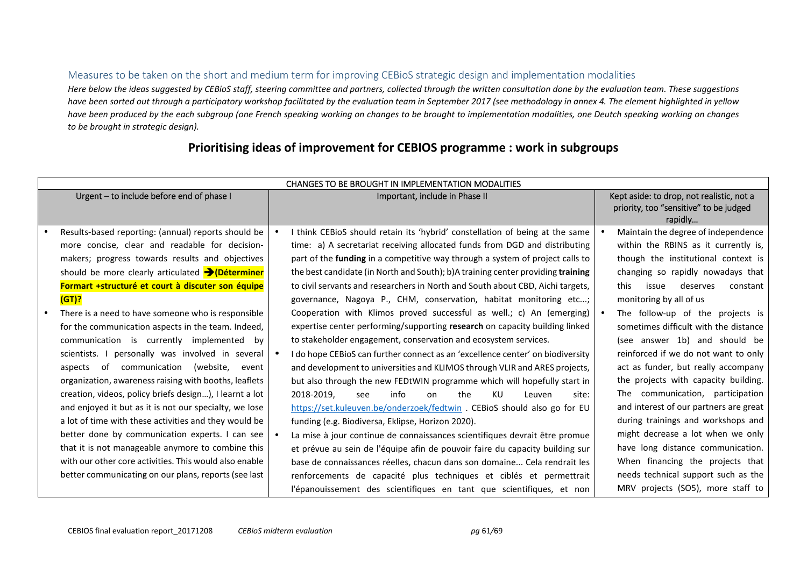## Measures to be taken on the short and medium term for improving CEBioS strategic design and implementation modalities

Here below the ideas suggested by CEBioS staff, steering committee and partners, collected through the written consultation done by the evaluation team. These suggestions *have been sorted out through a participatory workshop facilitated by the evaluation team in September 2017 (see methodology in annex 4. The element highlighted in yellow have been produced by the each subgroup (one French speaking working on changes to be brought to implementation modalities, one Deutch speaking working on changes to be brought in strategic design).* 

| CHANGES TO BE BROUGHT IN IMPLEMENTATION MODALITIES           |  |                                                                                 |  |                                           |
|--------------------------------------------------------------|--|---------------------------------------------------------------------------------|--|-------------------------------------------|
| Urgent - to include before end of phase I                    |  | Important, include in Phase II                                                  |  | Kept aside: to drop, not realistic, not a |
|                                                              |  |                                                                                 |  | priority, too "sensitive" to be judged    |
|                                                              |  |                                                                                 |  | rapidly                                   |
| Results-based reporting: (annual) reports should be          |  | I think CEBioS should retain its 'hybrid' constellation of being at the same    |  | Maintain the degree of independence       |
| more concise, clear and readable for decision-               |  | time: a) A secretariat receiving allocated funds from DGD and distributing      |  | within the RBINS as it currently is,      |
| makers; progress towards results and objectives              |  | part of the funding in a competitive way through a system of project calls to   |  | though the institutional context is       |
| should be more clearly articulated $\rightarrow$ (Déterminer |  | the best candidate (in North and South); b)A training center providing training |  | changing so rapidly nowadays that         |
| Formart +structuré et court à discuter son équipe            |  | to civil servants and researchers in North and South about CBD, Aichi targets,  |  | deserves<br>issue<br>this<br>constant     |
| (GT)?                                                        |  | governance, Nagoya P., CHM, conservation, habitat monitoring etc;               |  | monitoring by all of us                   |
| There is a need to have someone who is responsible           |  | Cooperation with Klimos proved successful as well.; c) An (emerging)            |  | The follow-up of the projects is          |
| for the communication aspects in the team. Indeed,           |  | expertise center performing/supporting research on capacity building linked     |  | sometimes difficult with the distance     |
| communication is currently implemented by                    |  | to stakeholder engagement, conservation and ecosystem services.                 |  | (see answer 1b) and should be             |
| scientists. I personally was involved in several             |  | I do hope CEBioS can further connect as an 'excellence center' on biodiversity  |  | reinforced if we do not want to only      |
| aspects of communication<br>(website,<br>event               |  | and development to universities and KLIMOS through VLIR and ARES projects,      |  | act as funder, but really accompany       |
| organization, awareness raising with booths, leaflets        |  | but also through the new FEDtWIN programme which will hopefully start in        |  | the projects with capacity building.      |
| creation, videos, policy briefs design), I learnt a lot      |  | 2018-2019.<br>info<br>the<br>KU<br>see<br>on<br>Leuven<br>site:                 |  | The communication, participation          |
| and enjoyed it but as it is not our specialty, we lose       |  | https://set.kuleuven.be/onderzoek/fedtwin . CEBioS should also go for EU        |  | and interest of our partners are great    |
| a lot of time with these activities and they would be        |  | funding (e.g. Biodiversa, Eklipse, Horizon 2020).                               |  | during trainings and workshops and        |
| better done by communication experts. I can see              |  | La mise à jour continue de connaissances scientifiques devrait être promue      |  | might decrease a lot when we only         |
| that it is not manageable anymore to combine this            |  | et prévue au sein de l'équipe afin de pouvoir faire du capacity building sur    |  | have long distance communication.         |
| with our other core activities. This would also enable       |  | base de connaissances réelles, chacun dans son domaine Cela rendrait les        |  | When financing the projects that          |
| better communicating on our plans, reports (see last         |  | renforcements de capacité plus techniques et ciblés et permettrait              |  | needs technical support such as the       |
|                                                              |  | l'épanouissement des scientifiques en tant que scientifiques, et non            |  | MRV projects (SO5), more staff to         |

# **Prioritising ideas of improvement for CEBIOS programme : work in subgroups**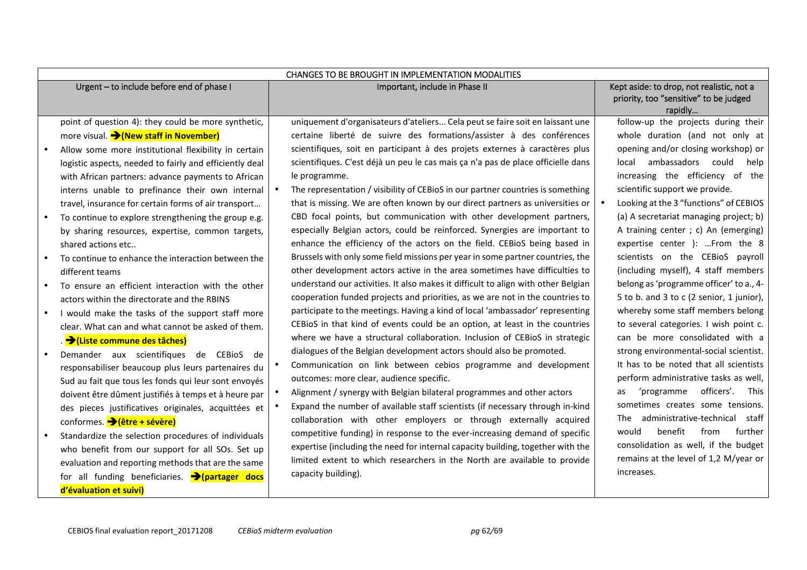|           | CHANGES TO BE BROUGHT IN IMPLEMENTATION MODALITIES          |           |                                                                                   |  |                                                                                                |  |
|-----------|-------------------------------------------------------------|-----------|-----------------------------------------------------------------------------------|--|------------------------------------------------------------------------------------------------|--|
|           | Urgent - to include before end of phase I                   |           | Important, include in Phase II                                                    |  | Kept aside: to drop, not realistic, not a<br>priority, too "sensitive" to be judged<br>rapidly |  |
|           | point of question 4): they could be more synthetic,         |           | uniquement d'organisateurs d'ateliers Cela peut se faire soit en laissant une     |  | follow-up the projects during their                                                            |  |
|           | more visual. Mew staff in November)                         |           | certaine liberté de suivre des formations/assister à des conférences              |  | whole duration (and not only at                                                                |  |
|           | Allow some more institutional flexibility in certain        |           | scientifiques, soit en participant à des projets externes à caractères plus       |  | opening and/or closing workshop) or                                                            |  |
|           | logistic aspects, needed to fairly and efficiently deal     |           | scientifiques. C'est déjà un peu le cas mais ça n'a pas de place officielle dans  |  | local ambassadors could<br>help                                                                |  |
|           | with African partners: advance payments to African          |           | le programme.                                                                     |  | increasing the efficiency of the                                                               |  |
|           | interns unable to prefinance their own internal             | $\bullet$ | The representation / visibility of CEBioS in our partner countries is something   |  | scientific support we provide.                                                                 |  |
|           | travel, insurance for certain forms of air transport        |           | that is missing. We are often known by our direct partners as universities or     |  | Looking at the 3 "functions" of CEBIOS                                                         |  |
|           | To continue to explore strengthening the group e.g.         |           | CBD focal points, but communication with other development partners,              |  | (a) A secretariat managing project; b)                                                         |  |
|           | by sharing resources, expertise, common targets,            |           | especially Belgian actors, could be reinforced. Synergies are important to        |  | A training center ; c) An (emerging)                                                           |  |
|           | shared actions etc                                          |           | enhance the efficiency of the actors on the field. CEBioS being based in          |  | expertise center ): From the 8                                                                 |  |
|           | To continue to enhance the interaction between the          |           | Brussels with only some field missions per year in some partner countries, the    |  | scientists on the CEBioS payroll                                                               |  |
|           | different teams                                             |           | other development actors active in the area sometimes have difficulties to        |  | (including myself), 4 staff members                                                            |  |
| $\bullet$ | To ensure an efficient interaction with the other           |           | understand our activities. It also makes it difficult to align with other Belgian |  | belong as 'programme officer' to a., 4-                                                        |  |
|           | actors within the directorate and the RBINS                 |           | cooperation funded projects and priorities, as we are not in the countries to     |  | 5 to b. and 3 to c (2 senior, 1 junior),                                                       |  |
|           | I would make the tasks of the support staff more            |           | participate to the meetings. Having a kind of local 'ambassador' representing     |  | whereby some staff members belong                                                              |  |
|           | clear. What can and what cannot be asked of them.           |           | CEBioS in that kind of events could be an option, at least in the countries       |  | to several categories. I wish point c.                                                         |  |
|           | . → (Liste commune des tâches)                              |           | where we have a structural collaboration. Inclusion of CEBioS in strategic        |  | can be more consolidated with a                                                                |  |
| $\bullet$ | Demander aux scientifiques de CEBioS de                     |           | dialogues of the Belgian development actors should also be promoted.              |  | strong environmental-social scientist.                                                         |  |
|           | responsabiliser beaucoup plus leurs partenaires du          |           | Communication on link between cebios programme and development                    |  | It has to be noted that all scientists                                                         |  |
|           | Sud au fait que tous les fonds qui leur sont envoyés        |           | outcomes: more clear, audience specific.                                          |  | perform administrative tasks as well,                                                          |  |
|           | doivent être dûment justifiés à temps et à heure par        |           | Alignment / synergy with Belgian bilateral programmes and other actors            |  | officers'.<br>This<br>'programme<br>as                                                         |  |
|           | des pieces justificatives originales, acquittées et         | $\bullet$ | Expand the number of available staff scientists (if necessary through in-kind     |  | sometimes creates some tensions.                                                               |  |
|           | conformes. → (être + sévère)                                |           | collaboration with other employers or through externally acquired                 |  | administrative-technical<br>staff<br>The                                                       |  |
|           | Standardize the selection procedures of individuals         |           | competitive funding) in response to the ever-increasing demand of specific        |  | benefit<br>from<br>further<br>would                                                            |  |
|           | who benefit from our support for all SOs. Set up            |           | expertise (including the need for internal capacity building, together with the   |  | consolidation as well, if the budget                                                           |  |
|           | evaluation and reporting methods that are the same          |           | limited extent to which researchers in the North are available to provide         |  | remains at the level of 1,2 M/year or                                                          |  |
|           | for all funding beneficiaries. $\rightarrow$ (partager docs |           | capacity building).                                                               |  | increases.                                                                                     |  |
|           | d'évaluation et suivi)                                      |           |                                                                                   |  |                                                                                                |  |
|           |                                                             |           |                                                                                   |  |                                                                                                |  |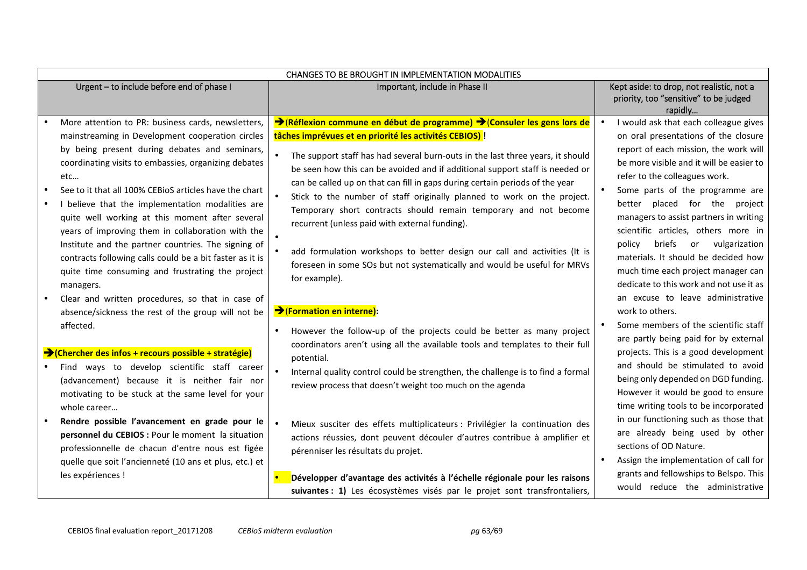| CHANGES TO BE BROUGHT IN IMPLEMENTATION MODALITIES                                                                                                                                                                                                                                                                                                                                                                                                                                                                                                              |                                                                                                                                                                                                                                                                                                                                                                                                                                                                                                                                                                                                                                                                                                                                                              |  |                                                                                                                                                                                                                                                                                                                                                                                                                                            |  |  |
|-----------------------------------------------------------------------------------------------------------------------------------------------------------------------------------------------------------------------------------------------------------------------------------------------------------------------------------------------------------------------------------------------------------------------------------------------------------------------------------------------------------------------------------------------------------------|--------------------------------------------------------------------------------------------------------------------------------------------------------------------------------------------------------------------------------------------------------------------------------------------------------------------------------------------------------------------------------------------------------------------------------------------------------------------------------------------------------------------------------------------------------------------------------------------------------------------------------------------------------------------------------------------------------------------------------------------------------------|--|--------------------------------------------------------------------------------------------------------------------------------------------------------------------------------------------------------------------------------------------------------------------------------------------------------------------------------------------------------------------------------------------------------------------------------------------|--|--|
| Urgent - to include before end of phase I                                                                                                                                                                                                                                                                                                                                                                                                                                                                                                                       | Important, include in Phase II                                                                                                                                                                                                                                                                                                                                                                                                                                                                                                                                                                                                                                                                                                                               |  | Kept aside: to drop, not realistic, not a<br>priority, too "sensitive" to be judged<br>rapidly                                                                                                                                                                                                                                                                                                                                             |  |  |
| More attention to PR: business cards, newsletters,<br>mainstreaming in Development cooperation circles<br>by being present during debates and seminars,<br>coordinating visits to embassies, organizing debates<br>etc<br>See to it that all 100% CEBioS articles have the chart<br>I believe that the implementation modalities are<br>quite well working at this moment after several<br>years of improving them in collaboration with the<br>Institute and the partner countries. The signing of<br>contracts following calls could be a bit faster as it is | → (Réflexion commune en début de programme) → (Consuler les gens lors de<br>tâches imprévues et en priorité les activités CEBIOS) !<br>The support staff has had several burn-outs in the last three years, it should<br>be seen how this can be avoided and if additional support staff is needed or<br>can be called up on that can fill in gaps during certain periods of the year<br>Stick to the number of staff originally planned to work on the project.<br>Temporary short contracts should remain temporary and not become<br>recurrent (unless paid with external funding).<br>add formulation workshops to better design our call and activities (It is<br>$\bullet$<br>foreseen in some SOs but not systematically and would be useful for MRVs |  | I would ask that each colleague gives<br>on oral presentations of the closure<br>report of each mission, the work will<br>be more visible and it will be easier to<br>refer to the colleagues work.<br>Some parts of the programme are<br>better placed for the project<br>managers to assist partners in writing<br>scientific articles, others more in<br>briefs<br>policy<br>vulgarization<br>or<br>materials. It should be decided how |  |  |
| quite time consuming and frustrating the project<br>managers.<br>Clear and written procedures, so that in case of<br>absence/sickness the rest of the group will not be<br>affected.<br>→ (Chercher des infos + recours possible + stratégie)<br>Find ways to develop scientific staff career<br>(advancement) because it is neither fair nor<br>motivating to be stuck at the same level for your                                                                                                                                                              | for example).<br>→ (Formation en interne):<br>However the follow-up of the projects could be better as many project<br>coordinators aren't using all the available tools and templates to their full<br>potential.<br>Internal quality control could be strengthen, the challenge is to find a formal<br>review process that doesn't weight too much on the agenda                                                                                                                                                                                                                                                                                                                                                                                           |  | much time each project manager can<br>dedicate to this work and not use it as<br>an excuse to leave administrative<br>work to others.<br>Some members of the scientific staff<br>are partly being paid for by external<br>projects. This is a good development<br>and should be stimulated to avoid<br>being only depended on DGD funding.<br>However it would be good to ensure                                                           |  |  |
| whole career<br>Rendre possible l'avancement en grade pour le<br>personnel du CEBIOS : Pour le moment la situation<br>professionnelle de chacun d'entre nous est figée<br>quelle que soit l'ancienneté (10 ans et plus, etc.) et<br>les expériences !                                                                                                                                                                                                                                                                                                           | Mieux susciter des effets multiplicateurs : Privilégier la continuation des<br>actions réussies, dont peuvent découler d'autres contribue à amplifier et<br>pérenniser les résultats du projet.<br>Développer d'avantage des activités à l'échelle régionale pour les raisons<br>suivantes : 1) Les écosystèmes visés par le projet sont transfrontaliers,                                                                                                                                                                                                                                                                                                                                                                                                   |  | time writing tools to be incorporated<br>in our functioning such as those that<br>are already being used by other<br>sections of OD Nature.<br>Assign the implementation of call for<br>grants and fellowships to Belspo. This<br>would reduce the administrative                                                                                                                                                                          |  |  |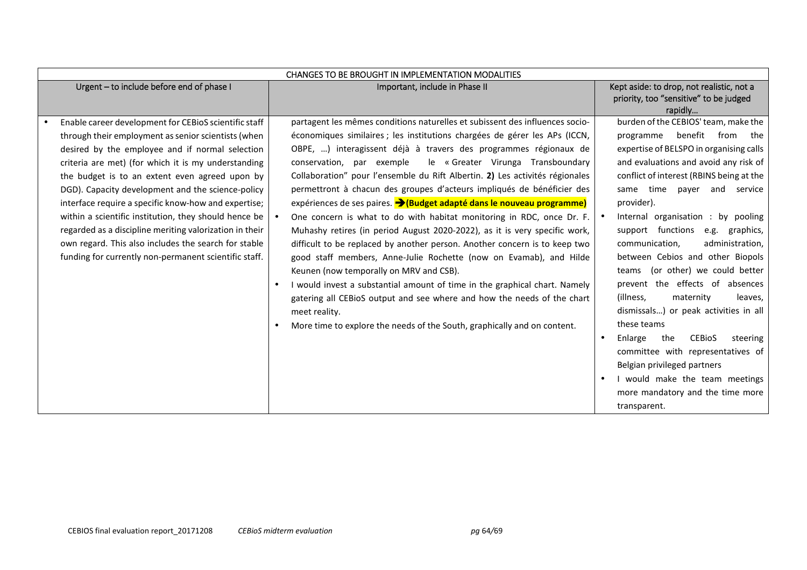|                                           | <b>CHANGES TO BE BROUGHT IN IMPLEMENTATION MODALITIES</b> |  |                                                                                  |           |                                             |  |
|-------------------------------------------|-----------------------------------------------------------|--|----------------------------------------------------------------------------------|-----------|---------------------------------------------|--|
| Urgent - to include before end of phase I |                                                           |  | Important, include in Phase II                                                   |           | Kept aside: to drop, not realistic, not a   |  |
|                                           |                                                           |  |                                                                                  |           | priority, too "sensitive" to be judged      |  |
|                                           |                                                           |  |                                                                                  |           | rapidly                                     |  |
|                                           | Enable career development for CEBioS scientific staff     |  | partagent les mêmes conditions naturelles et subissent des influences socio-     |           | burden of the CEBIOS' team, make the        |  |
|                                           | through their employment as senior scientists (when       |  | économiques similaires ; les institutions chargées de gérer les APs (ICCN,       |           | benefit<br>from<br>programme<br>the         |  |
|                                           | desired by the employee and if normal selection           |  | OBPE, ) interagissent déjà à travers des programmes régionaux de                 |           | expertise of BELSPO in organising calls     |  |
|                                           | criteria are met) (for which it is my understanding       |  | le « Greater Virunga Transboundary<br>conservation, par exemple                  |           | and evaluations and avoid any risk of       |  |
|                                           | the budget is to an extent even agreed upon by            |  | Collaboration" pour l'ensemble du Rift Albertin. 2) Les activités régionales     |           | conflict of interest (RBINS being at the    |  |
|                                           | DGD). Capacity development and the science-policy         |  | permettront à chacun des groupes d'acteurs impliqués de bénéficier des           |           | same time payer<br>and<br>service           |  |
|                                           | interface require a specific know-how and expertise;      |  | expériences de ses paires. <b>&gt; (Budget adapté dans le nouveau programme)</b> |           | provider).                                  |  |
|                                           | within a scientific institution, they should hence be     |  | One concern is what to do with habitat monitoring in RDC, once Dr. F.            | $\bullet$ | Internal organisation : by pooling          |  |
|                                           | regarded as a discipline meriting valorization in their   |  | Muhashy retires (in period August 2020-2022), as it is very specific work,       |           | support functions e.g. graphics,            |  |
|                                           | own regard. This also includes the search for stable      |  | difficult to be replaced by another person. Another concern is to keep two       |           | communication,<br>administration,           |  |
|                                           | funding for currently non-permanent scientific staff.     |  | good staff members, Anne-Julie Rochette (now on Evamab), and Hilde               |           | between Cebios and other Biopols            |  |
|                                           |                                                           |  | Keunen (now temporally on MRV and CSB).                                          |           | (or other) we could better<br>teams         |  |
|                                           |                                                           |  | I would invest a substantial amount of time in the graphical chart. Namely       |           | prevent the effects of absences             |  |
|                                           |                                                           |  | gatering all CEBioS output and see where and how the needs of the chart          |           | (illness,<br>maternity<br>leaves,           |  |
|                                           |                                                           |  | meet reality.                                                                    |           | dismissals) or peak activities in all       |  |
|                                           |                                                           |  | More time to explore the needs of the South, graphically and on content.         |           | these teams                                 |  |
|                                           |                                                           |  |                                                                                  | $\bullet$ | Enlarge<br>the<br><b>CEBIOS</b><br>steering |  |
|                                           |                                                           |  |                                                                                  |           | committee with representatives of           |  |
|                                           |                                                           |  |                                                                                  |           | Belgian privileged partners                 |  |
|                                           |                                                           |  |                                                                                  | $\bullet$ | I would make the team meetings              |  |
|                                           |                                                           |  |                                                                                  |           | more mandatory and the time more            |  |
|                                           |                                                           |  |                                                                                  |           | transparent.                                |  |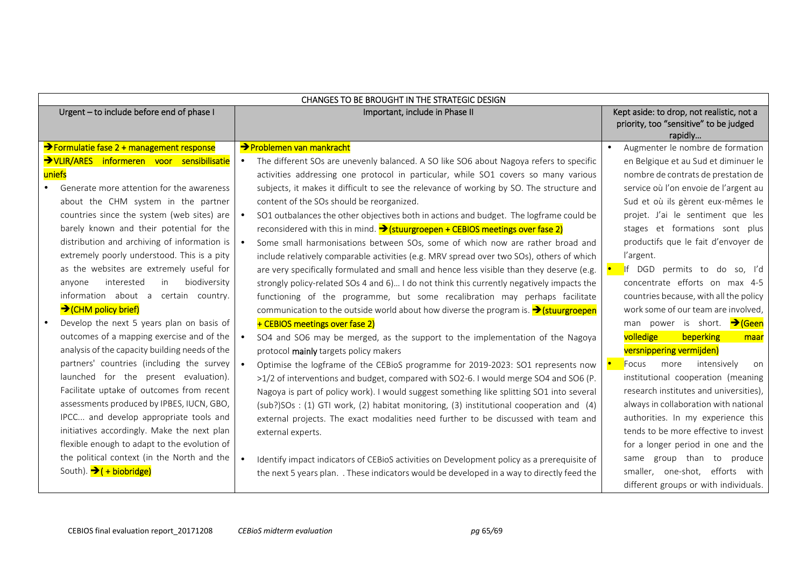| CHANGES TO BE BROUGHT IN THE STRATEGIC DESIGN  |                                                                                                     |                                                   |  |  |  |
|------------------------------------------------|-----------------------------------------------------------------------------------------------------|---------------------------------------------------|--|--|--|
| Urgent - to include before end of phase I      | Important, include in Phase II                                                                      | Kept aside: to drop, not realistic, not a         |  |  |  |
|                                                |                                                                                                     | priority, too "sensitive" to be judged<br>rapidly |  |  |  |
| >Formulatie fase 2 + management response       | >Problemen van mankracht                                                                            | Augmenter le nombre de formation                  |  |  |  |
| >VLIR/ARES informeren voor sensibilisatie      | The different SOs are unevenly balanced. A SO like SO6 about Nagoya refers to specific<br>$\bullet$ | en Belgique et au Sud et diminuer le              |  |  |  |
| uniefs                                         | activities addressing one protocol in particular, while SO1 covers so many various                  | nombre de contrats de prestation de               |  |  |  |
| Generate more attention for the awareness      | subjects, it makes it difficult to see the relevance of working by SO. The structure and            | service où l'on envoie de l'argent au             |  |  |  |
| about the CHM system in the partner            | content of the SOs should be reorganized.                                                           | Sud et où ils gèrent eux-mêmes le                 |  |  |  |
| countries since the system (web sites) are     | SO1 outbalances the other objectives both in actions and budget. The logframe could be<br>$\bullet$ | projet. J'ai le sentiment que les                 |  |  |  |
| barely known and their potential for the       | reconsidered with this in mind. > (stuurgroepen + CEBIOS meetings over fase 2)                      | stages et formations sont plus                    |  |  |  |
| distribution and archiving of information is   | Some small harmonisations between SOs, some of which now are rather broad and<br>$\bullet$          | productifs que le fait d'envoyer de               |  |  |  |
| extremely poorly understood. This is a pity    | include relatively comparable activities (e.g. MRV spread over two SOs), others of which            | l'argent.                                         |  |  |  |
| as the websites are extremely useful for       | are very specifically formulated and small and hence less visible than they deserve (e.g.           | If DGD permits to do so, I'd                      |  |  |  |
| biodiversity<br>interested<br>in<br>anyone     | strongly policy-related SOs 4 and 6) I do not think this currently negatively impacts the           | concentrate efforts on max 4-5                    |  |  |  |
| information about a certain country.           | functioning of the programme, but some recalibration may perhaps facilitate                         | countries because, with all the policy            |  |  |  |
| $\rightarrow$ (CHM policy brief)               | communication to the outside world about how diverse the program is. $\rightarrow$ (stuurgroepen    | work some of our team are involved,               |  |  |  |
| Develop the next 5 years plan on basis of      | + CEBIOS meetings over fase 2)                                                                      | man power is short. → Geen                        |  |  |  |
| outcomes of a mapping exercise and of the      | SO4 and SO6 may be merged, as the support to the implementation of the Nagoya                       | volledige<br>beperking<br>maar                    |  |  |  |
| analysis of the capacity building needs of the | protocol mainly targets policy makers                                                               | versnippering vermijden)                          |  |  |  |
| partners' countries (including the survey      | Optimise the logframe of the CEBioS programme for 2019-2023: SO1 represents now<br>$\bullet$        | Focus<br>intensively<br>more<br>on                |  |  |  |
| launched for the present evaluation).          | >1/2 of interventions and budget, compared with SO2-6. I would merge SO4 and SO6 (P.                | institutional cooperation (meaning                |  |  |  |
| Facilitate uptake of outcomes from recent      | Nagoya is part of policy work). I would suggest something like splitting SO1 into several           | research institutes and universities),            |  |  |  |
| assessments produced by IPBES, IUCN, GBO,      | (sub?)SOs: (1) GTI work, (2) habitat monitoring, (3) institutional cooperation and (4)              | always in collaboration with national             |  |  |  |
| IPCC and develop appropriate tools and         | external projects. The exact modalities need further to be discussed with team and                  | authorities. In my experience this                |  |  |  |
| initiatives accordingly. Make the next plan    | external experts.                                                                                   | tends to be more effective to invest              |  |  |  |
| flexible enough to adapt to the evolution of   |                                                                                                     | for a longer period in one and the                |  |  |  |
| the political context (in the North and the    | Identify impact indicators of CEBioS activities on Development policy as a prerequisite of          | same group than to produce                        |  |  |  |
| South). → (+ biobridge)                        | the next 5 years plan. . These indicators would be developed in a way to directly feed the          | smaller, one-shot, efforts with                   |  |  |  |
|                                                |                                                                                                     | different groups or with individuals.             |  |  |  |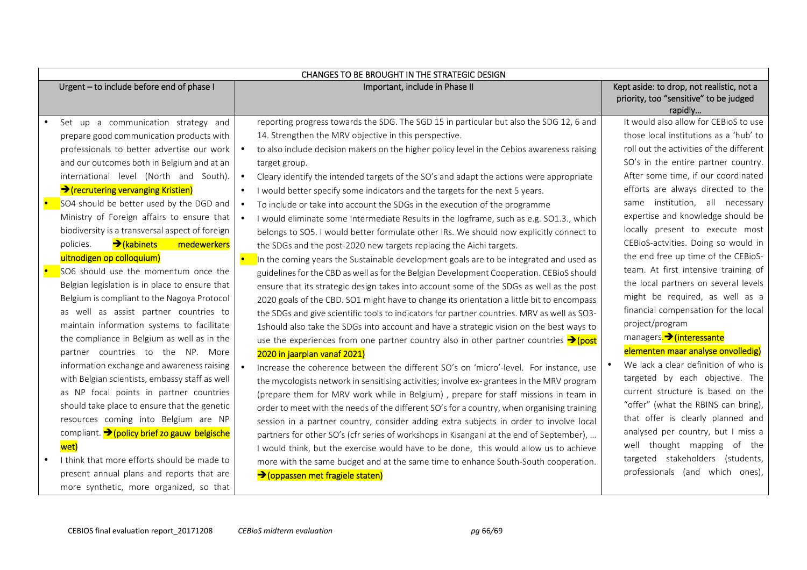| Urgent - to include before end of phase I                                                                                                                                                                                                                                                                                                                                                                                                                                                                                                                                                                                                                                                                                                                                                                                                                                                                                                                                                                                                             | Important, include in Phase II                                                                                                                                                                                                                                                                                                                                                                                                                                                                                                                                                                                                                                                                                                                                                                                                                                                                                                                                                                                                                                                                                                                                                                                                                                                                                                                                                                                                                                                                                                                                                                                                                                                                                                                                                                                                                                                                                                                                                                                 |  | Kept aside: to drop, not realistic, not a<br>priority, too "sensitive" to be judged<br>rapidly                                                                                                                                                                                                                                                                                                                                                                                                                                                                                                                                                                                                                                                                                                                                                                                                      |
|-------------------------------------------------------------------------------------------------------------------------------------------------------------------------------------------------------------------------------------------------------------------------------------------------------------------------------------------------------------------------------------------------------------------------------------------------------------------------------------------------------------------------------------------------------------------------------------------------------------------------------------------------------------------------------------------------------------------------------------------------------------------------------------------------------------------------------------------------------------------------------------------------------------------------------------------------------------------------------------------------------------------------------------------------------|----------------------------------------------------------------------------------------------------------------------------------------------------------------------------------------------------------------------------------------------------------------------------------------------------------------------------------------------------------------------------------------------------------------------------------------------------------------------------------------------------------------------------------------------------------------------------------------------------------------------------------------------------------------------------------------------------------------------------------------------------------------------------------------------------------------------------------------------------------------------------------------------------------------------------------------------------------------------------------------------------------------------------------------------------------------------------------------------------------------------------------------------------------------------------------------------------------------------------------------------------------------------------------------------------------------------------------------------------------------------------------------------------------------------------------------------------------------------------------------------------------------------------------------------------------------------------------------------------------------------------------------------------------------------------------------------------------------------------------------------------------------------------------------------------------------------------------------------------------------------------------------------------------------------------------------------------------------------------------------------------------------|--|-----------------------------------------------------------------------------------------------------------------------------------------------------------------------------------------------------------------------------------------------------------------------------------------------------------------------------------------------------------------------------------------------------------------------------------------------------------------------------------------------------------------------------------------------------------------------------------------------------------------------------------------------------------------------------------------------------------------------------------------------------------------------------------------------------------------------------------------------------------------------------------------------------|
| Set up a communication strategy and<br>prepare good communication products with<br>professionals to better advertise our work<br>and our outcomes both in Belgium and at an<br>international level (North and South).<br>→ (recrutering vervanging Kristien)<br>SO4 should be better used by the DGD and<br>Ministry of Foreign affairs to ensure that<br>biodiversity is a transversal aspect of foreign<br>$\rightarrow$ (kabinets<br>policies.<br>medewerkers<br>uitnodigen op colloquium)<br>SO6 should use the momentum once the<br>Belgian legislation is in place to ensure that<br>Belgium is compliant to the Nagoya Protocol<br>as well as assist partner countries to<br>maintain information systems to facilitate<br>the compliance in Belgium as well as in the<br>partner countries to the NP. More<br>information exchange and awareness raising<br>with Belgian scientists, embassy staff as well<br>as NP focal points in partner countries<br>should take place to ensure that the genetic<br>resources coming into Belgium are NP | reporting progress towards the SDG. The SGD 15 in particular but also the SDG 12, 6 and<br>14. Strengthen the MRV objective in this perspective.<br>to also include decision makers on the higher policy level in the Cebios awareness raising<br>$\bullet$<br>target group.<br>Cleary identify the intended targets of the SO's and adapt the actions were appropriate<br>$\bullet$<br>I would better specify some indicators and the targets for the next 5 years.<br>$\bullet$<br>To include or take into account the SDGs in the execution of the programme<br>I would eliminate some Intermediate Results in the logframe, such as e.g. SO1.3., which<br>belongs to SO5. I would better formulate other IRs. We should now explicitly connect to<br>the SDGs and the post-2020 new targets replacing the Aichi targets.<br>In the coming years the Sustainable development goals are to be integrated and used as<br>guidelines for the CBD as well as for the Belgian Development Cooperation. CEBioS should<br>ensure that its strategic design takes into account some of the SDGs as well as the post<br>2020 goals of the CBD. SO1 might have to change its orientation a little bit to encompass<br>the SDGs and give scientific tools to indicators for partner countries. MRV as well as SO3-<br>1should also take the SDGs into account and have a strategic vision on the best ways to<br>use the experiences from one partner country also in other partner countries $\rightarrow$ (post<br>2020 in jaarplan vanaf 2021)<br>Increase the coherence between the different SO's on 'micro'-level. For instance, use<br>the mycologists network in sensitising activities; involve ex-grantees in the MRV program<br>(prepare them for MRV work while in Belgium), prepare for staff missions in team in<br>order to meet with the needs of the different SO's for a country, when organising training<br>session in a partner country, consider adding extra subjects in order to involve local |  | It would also allow for CEBioS to use<br>those local institutions as a 'hub' to<br>roll out the activities of the different<br>SO's in the entire partner country.<br>After some time, if our coordinated<br>efforts are always directed to the<br>same institution, all necessary<br>expertise and knowledge should be<br>locally present to execute most<br>CEBioS-actvities. Doing so would in<br>the end free up time of the CEBioS-<br>team. At first intensive training of<br>the local partners on several levels<br>might be required, as well as a<br>financial compensation for the local<br>project/program<br>managers. <sup>&gt;</sup> (interessante<br>elementen maar analyse onvolledig)<br>We lack a clear definition of who is<br>targeted by each objective. The<br>current structure is based on the<br>"offer" (what the RBINS can bring),<br>that offer is clearly planned and |
| compliant. > (policy brief zo gauw belgische<br>wet)<br>I think that more efforts should be made to<br>present annual plans and reports that are<br>more synthetic, more organized, so that                                                                                                                                                                                                                                                                                                                                                                                                                                                                                                                                                                                                                                                                                                                                                                                                                                                           | partners for other SO's (cfr series of workshops in Kisangani at the end of September),<br>I would think, but the exercise would have to be done, this would allow us to achieve<br>more with the same budget and at the same time to enhance South-South cooperation.<br>→ (oppassen met fragiele staten)                                                                                                                                                                                                                                                                                                                                                                                                                                                                                                                                                                                                                                                                                                                                                                                                                                                                                                                                                                                                                                                                                                                                                                                                                                                                                                                                                                                                                                                                                                                                                                                                                                                                                                     |  | analysed per country, but I miss a<br>well thought mapping of the<br>targeted stakeholders (students,<br>professionals (and which ones),                                                                                                                                                                                                                                                                                                                                                                                                                                                                                                                                                                                                                                                                                                                                                            |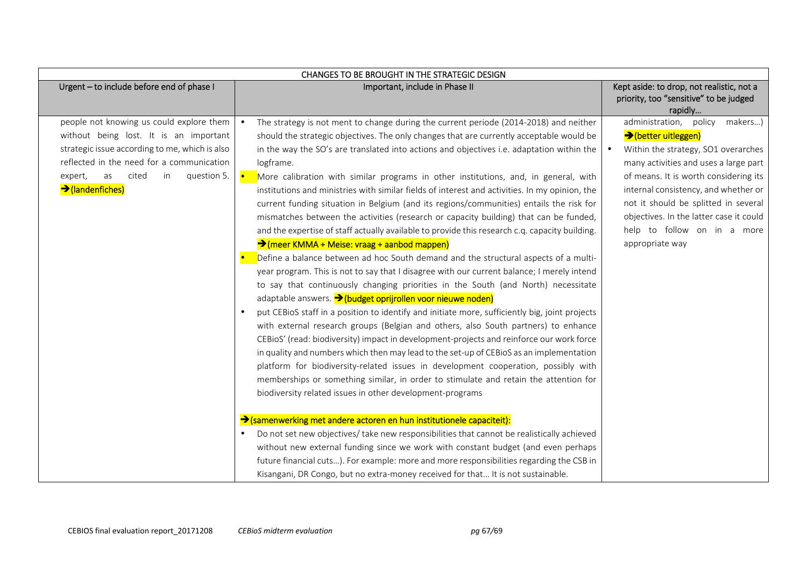| Urgent - to include before end of phase I<br>Kept aside: to drop, not realistic, not a<br>Important, include in Phase II<br>priority, too "sensitive" to be judged<br>rapidly<br>people not knowing us could explore them<br>The strategy is not ment to change during the current periode (2014-2018) and neither<br>administration, policy makers)<br>→(better uitleggen)<br>without being lost. It is an important<br>should the strategic objectives. The only changes that are currently acceptable would be<br>strategic issue according to me, which is also<br>in the way the SO's are translated into actions and objectives i.e. adaptation within the<br>Within the strategy, SO1 overarches<br>$\bullet$<br>reflected in the need for a communication<br>logframe.<br>question 5.<br>of means. It is worth considering its<br>as<br>cited<br>in<br>expert,<br>More calibration with similar programs in other institutions, and, in general, with<br>→ (landenfiches)<br>internal consistency, and whether or<br>institutions and ministries with similar fields of interest and activities. In my opinion, the<br>not it should be splitted in several<br>current funding situation in Belgium (and its regions/communities) entails the risk for<br>objectives. In the latter case it could<br>mismatches between the activities (research or capacity building) that can be funded,<br>help to follow on in a more<br>and the expertise of staff actually available to provide this research c.q. capacity building.<br>→ (meer KMMA + Meise: vraag + aanbod mappen)<br>appropriate way<br>Define a balance between ad hoc South demand and the structural aspects of a multi-<br>year program. This is not to say that I disagree with our current balance; I merely intend<br>to say that continuously changing priorities in the South (and North) necessitate<br>adaptable answers. > (budget oprijrollen voor nieuwe noden)<br>put CEBioS staff in a position to identify and initiate more, sufficiently big, joint projects<br>$\bullet$<br>with external research groups (Belgian and others, also South partners) to enhance<br>CEBioS' (read: biodiversity) impact in development-projects and reinforce our work force<br>in quality and numbers which then may lead to the set-up of CEBioS as an implementation<br>platform for biodiversity-related issues in development cooperation, possibly with<br>memberships or something similar, in order to stimulate and retain the attention for<br>biodiversity related issues in other development-programs<br>Samenwerking met andere actoren en hun institutionele capaciteit): | CHANGES TO BE BROUGHT IN THE STRATEGIC DESIGN                                                           |                                       |
|--------------------------------------------------------------------------------------------------------------------------------------------------------------------------------------------------------------------------------------------------------------------------------------------------------------------------------------------------------------------------------------------------------------------------------------------------------------------------------------------------------------------------------------------------------------------------------------------------------------------------------------------------------------------------------------------------------------------------------------------------------------------------------------------------------------------------------------------------------------------------------------------------------------------------------------------------------------------------------------------------------------------------------------------------------------------------------------------------------------------------------------------------------------------------------------------------------------------------------------------------------------------------------------------------------------------------------------------------------------------------------------------------------------------------------------------------------------------------------------------------------------------------------------------------------------------------------------------------------------------------------------------------------------------------------------------------------------------------------------------------------------------------------------------------------------------------------------------------------------------------------------------------------------------------------------------------------------------------------------------------------------------------------------------------------------------------------------------------------------------------------------------------------------------------------------------------------------------------------------------------------------------------------------------------------------------------------------------------------------------------------------------------------------------------------------------------------------------------------------------------------------------------------------------------------------------------------------------------------------------------------------------------------------|---------------------------------------------------------------------------------------------------------|---------------------------------------|
|                                                                                                                                                                                                                                                                                                                                                                                                                                                                                                                                                                                                                                                                                                                                                                                                                                                                                                                                                                                                                                                                                                                                                                                                                                                                                                                                                                                                                                                                                                                                                                                                                                                                                                                                                                                                                                                                                                                                                                                                                                                                                                                                                                                                                                                                                                                                                                                                                                                                                                                                                                                                                                                              |                                                                                                         |                                       |
| without new external funding since we work with constant budget (and even perhaps<br>future financial cuts). For example: more and more responsibilities regarding the CSB in<br>Kisangani, DR Congo, but no extra-money received for that It is not sustainable.                                                                                                                                                                                                                                                                                                                                                                                                                                                                                                                                                                                                                                                                                                                                                                                                                                                                                                                                                                                                                                                                                                                                                                                                                                                                                                                                                                                                                                                                                                                                                                                                                                                                                                                                                                                                                                                                                                                                                                                                                                                                                                                                                                                                                                                                                                                                                                                            | Do not set new objectives/ take new responsibilities that cannot be realistically achieved<br>$\bullet$ | many activities and uses a large part |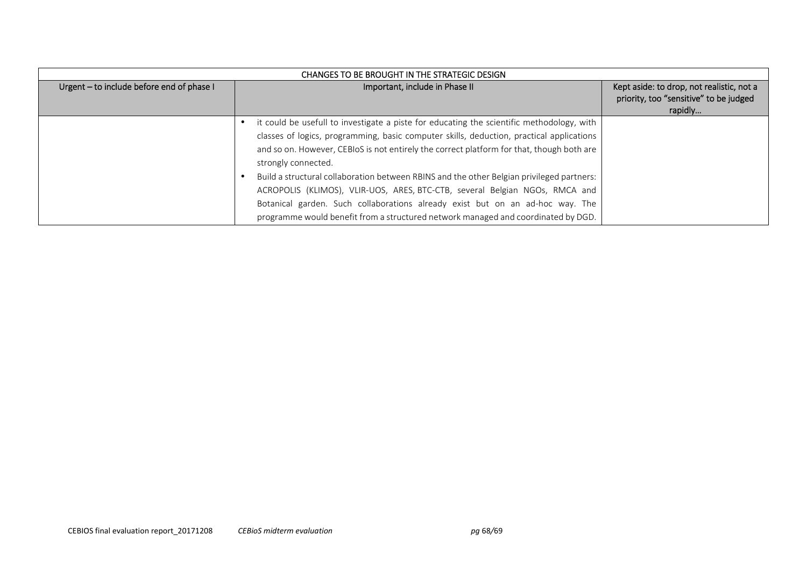| Urgent - to include before end of phase I | Important, include in Phase II                                                            | Kept aside: to drop, not realistic, not a<br>priority, too "sensitive" to be judged |
|-------------------------------------------|-------------------------------------------------------------------------------------------|-------------------------------------------------------------------------------------|
|                                           |                                                                                           | rapidly                                                                             |
|                                           | it could be usefull to investigate a piste for educating the scientific methodology, with |                                                                                     |
|                                           | classes of logics, programming, basic computer skills, deduction, practical applications  |                                                                                     |
|                                           | and so on. However, CEBIOS is not entirely the correct platform for that, though both are |                                                                                     |
|                                           | strongly connected.                                                                       |                                                                                     |
|                                           | Build a structural collaboration between RBINS and the other Belgian privileged partners: |                                                                                     |
|                                           | ACROPOLIS (KLIMOS), VLIR-UOS, ARES, BTC-CTB, several Belgian NGOs, RMCA and               |                                                                                     |
|                                           | Botanical garden. Such collaborations already exist but on an ad-hoc way. The             |                                                                                     |
|                                           | programme would benefit from a structured network managed and coordinated by DGD.         |                                                                                     |